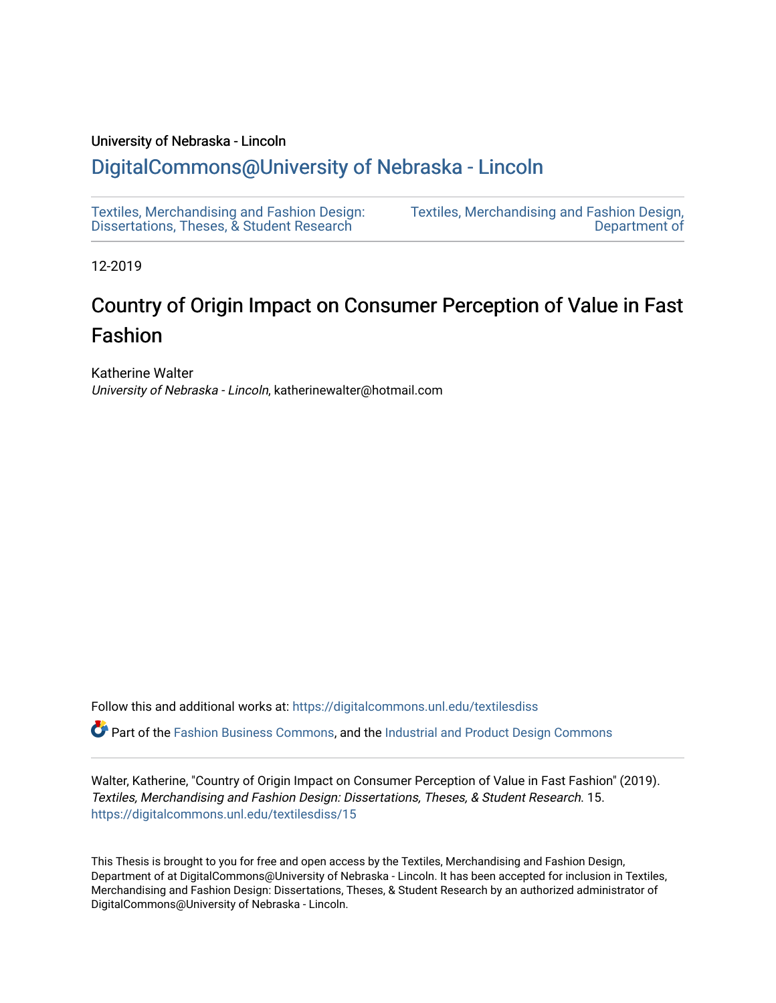## University of Nebraska - Lincoln

## [DigitalCommons@University of Nebraska - Lincoln](https://digitalcommons.unl.edu/)

[Textiles, Merchandising and Fashion Design:](https://digitalcommons.unl.edu/textilesdiss) [Dissertations, Theses, & Student Research](https://digitalcommons.unl.edu/textilesdiss) 

[Textiles, Merchandising and Fashion Design,](https://digitalcommons.unl.edu/textiles)  [Department of](https://digitalcommons.unl.edu/textiles) 

12-2019

# Country of Origin Impact on Consumer Perception of Value in Fast Fashion

Katherine Walter University of Nebraska - Lincoln, katherinewalter@hotmail.com

Follow this and additional works at: [https://digitalcommons.unl.edu/textilesdiss](https://digitalcommons.unl.edu/textilesdiss?utm_source=digitalcommons.unl.edu%2Ftextilesdiss%2F15&utm_medium=PDF&utm_campaign=PDFCoverPages) 

**P** Part of the [Fashion Business Commons,](http://network.bepress.com/hgg/discipline/1147?utm_source=digitalcommons.unl.edu%2Ftextilesdiss%2F15&utm_medium=PDF&utm_campaign=PDFCoverPages) and the Industrial and Product Design Commons

Walter, Katherine, "Country of Origin Impact on Consumer Perception of Value in Fast Fashion" (2019). Textiles, Merchandising and Fashion Design: Dissertations, Theses, & Student Research. 15. [https://digitalcommons.unl.edu/textilesdiss/15](https://digitalcommons.unl.edu/textilesdiss/15?utm_source=digitalcommons.unl.edu%2Ftextilesdiss%2F15&utm_medium=PDF&utm_campaign=PDFCoverPages) 

This Thesis is brought to you for free and open access by the Textiles, Merchandising and Fashion Design, Department of at DigitalCommons@University of Nebraska - Lincoln. It has been accepted for inclusion in Textiles, Merchandising and Fashion Design: Dissertations, Theses, & Student Research by an authorized administrator of DigitalCommons@University of Nebraska - Lincoln.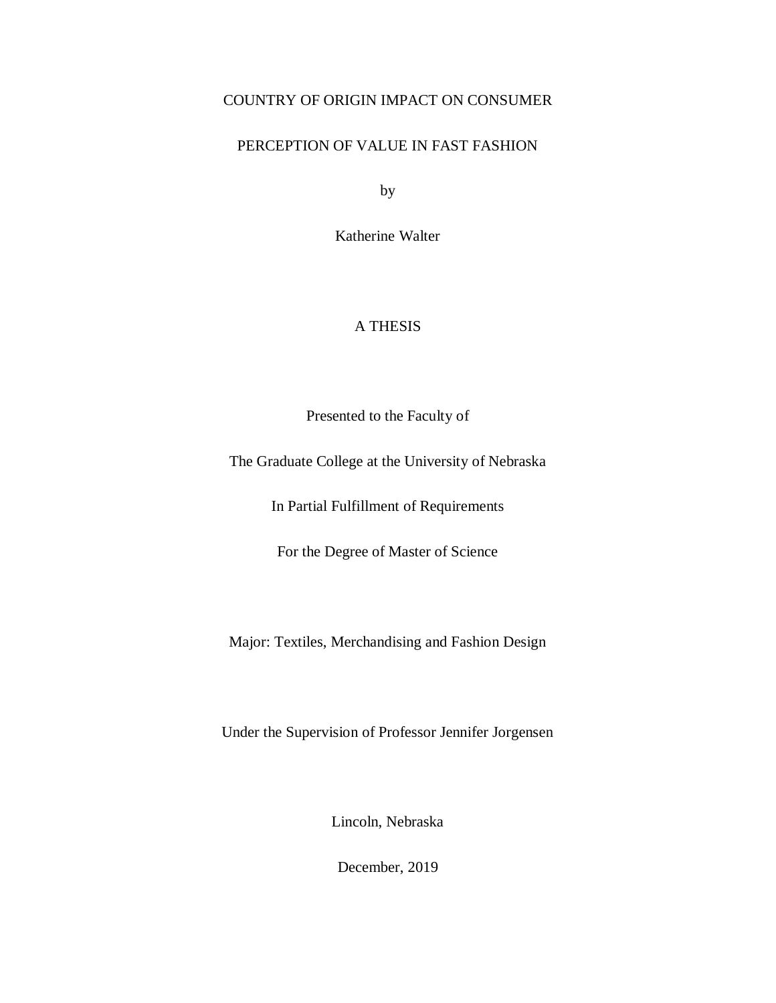## COUNTRY OF ORIGIN IMPACT ON CONSUMER

## PERCEPTION OF VALUE IN FAST FASHION

by

Katherine Walter

## A THESIS

Presented to the Faculty of

The Graduate College at the University of Nebraska

In Partial Fulfillment of Requirements

For the Degree of Master of Science

Major: Textiles, Merchandising and Fashion Design

Under the Supervision of Professor Jennifer Jorgensen

Lincoln, Nebraska

December, 2019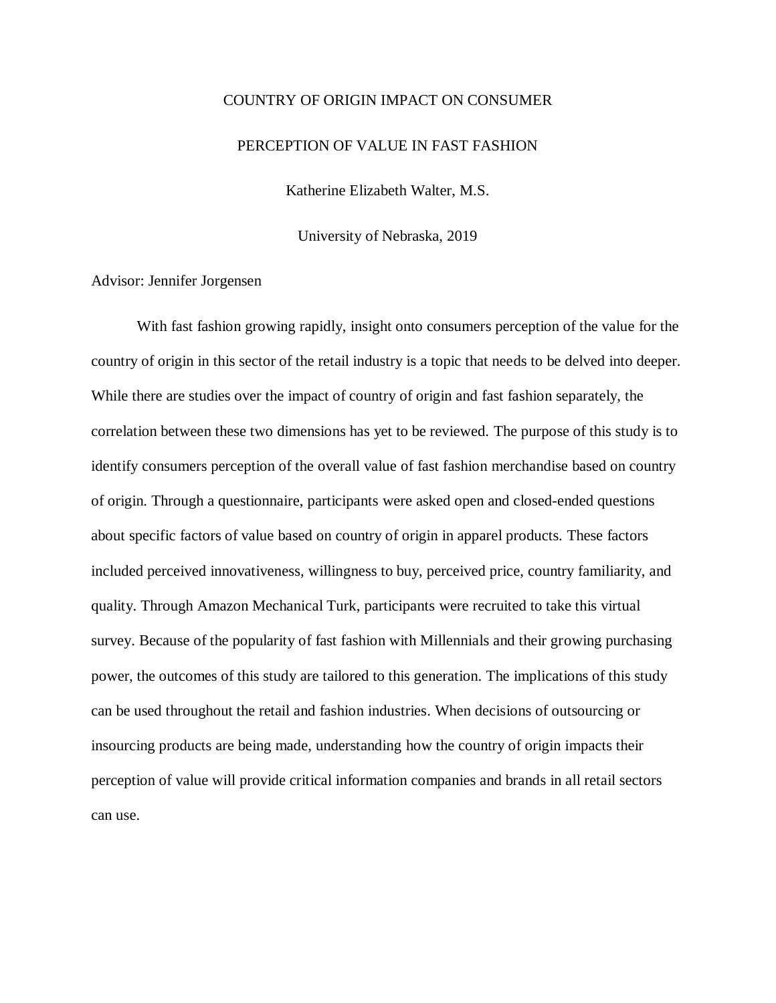# COUNTRY OF ORIGIN IMPACT ON CONSUMER PERCEPTION OF VALUE IN FAST FASHION

Katherine Elizabeth Walter, M.S.

University of Nebraska, 2019

## Advisor: Jennifer Jorgensen

With fast fashion growing rapidly, insight onto consumers perception of the value for the country of origin in this sector of the retail industry is a topic that needs to be delved into deeper. While there are studies over the impact of country of origin and fast fashion separately, the correlation between these two dimensions has yet to be reviewed. The purpose of this study is to identify consumers perception of the overall value of fast fashion merchandise based on country of origin. Through a questionnaire, participants were asked open and closed-ended questions about specific factors of value based on country of origin in apparel products. These factors included perceived innovativeness, willingness to buy, perceived price, country familiarity, and quality. Through Amazon Mechanical Turk, participants were recruited to take this virtual survey. Because of the popularity of fast fashion with Millennials and their growing purchasing power, the outcomes of this study are tailored to this generation. The implications of this study can be used throughout the retail and fashion industries. When decisions of outsourcing or insourcing products are being made, understanding how the country of origin impacts their perception of value will provide critical information companies and brands in all retail sectors can use.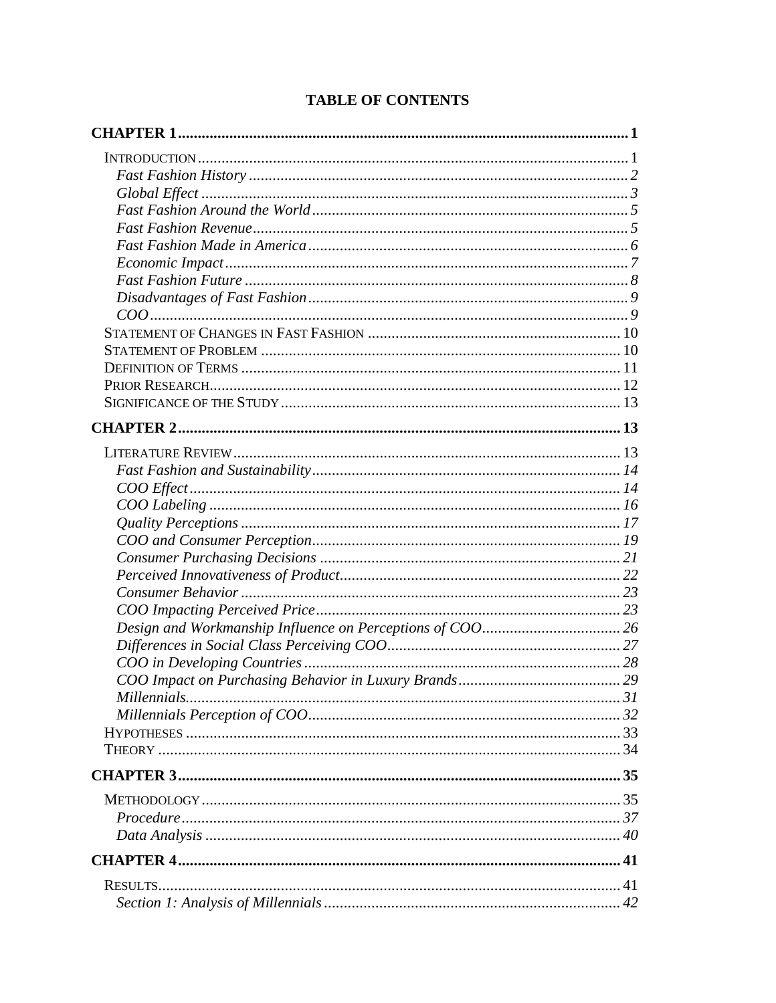## **TABLE OF CONTENTS**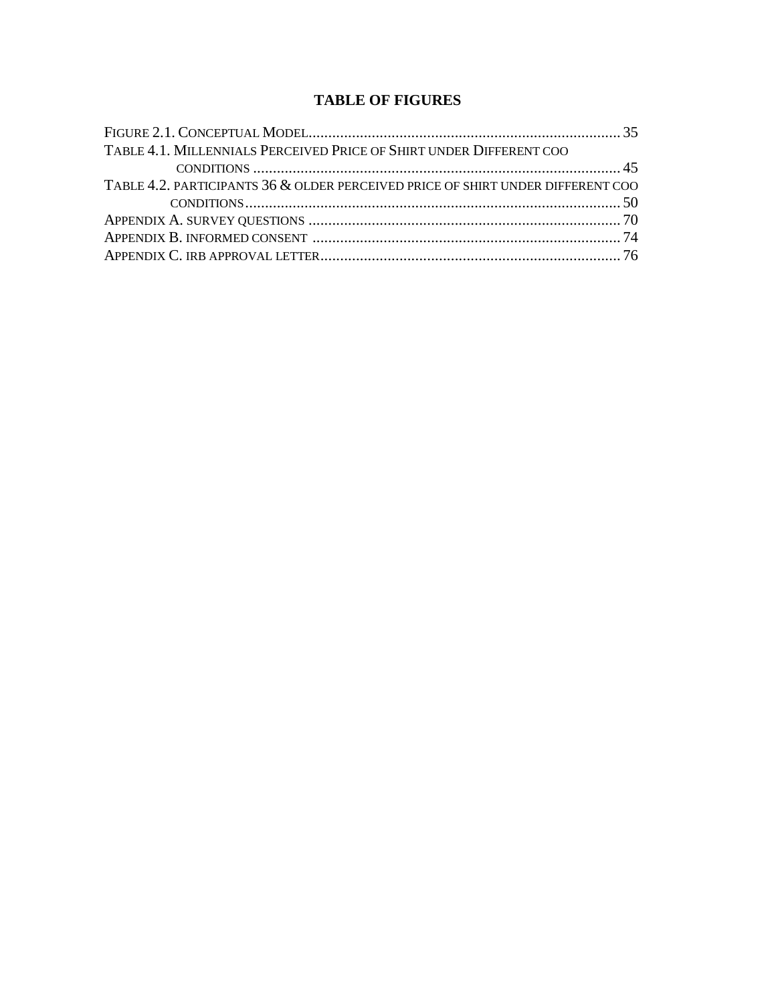## **TABLE OF FIGURES**

| TABLE 4.2. PARTICIPANTS 36 & OLDER PERCEIVED PRICE OF SHIRT UNDER DIFFERENT COO |
|---------------------------------------------------------------------------------|
|                                                                                 |
|                                                                                 |
|                                                                                 |
|                                                                                 |
|                                                                                 |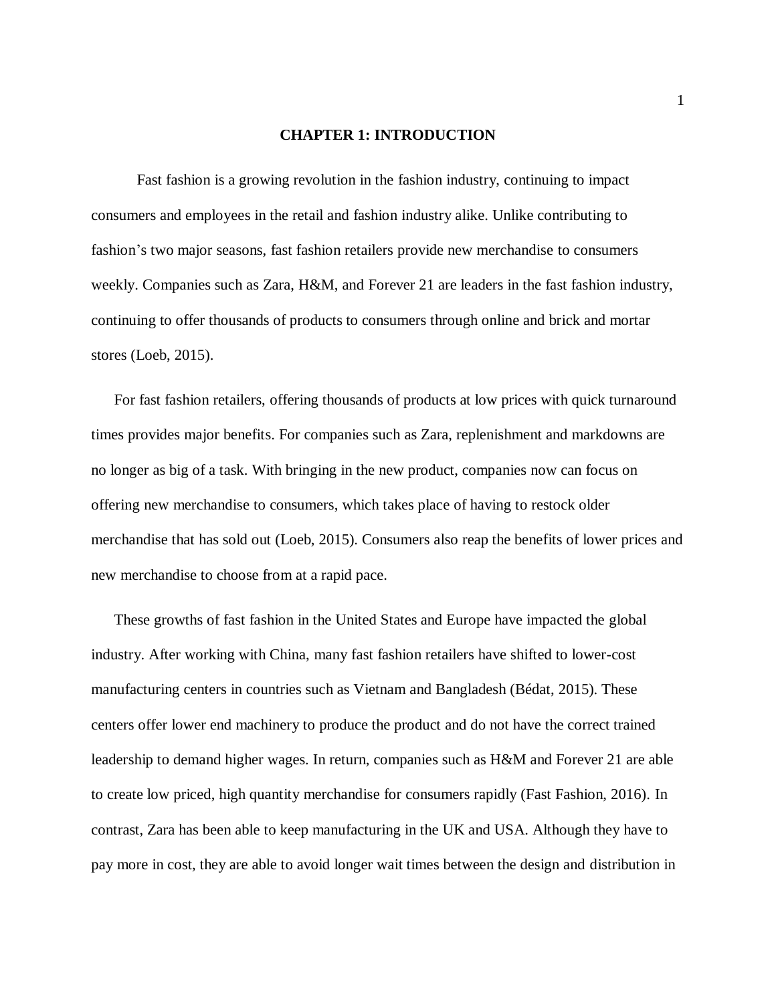#### **CHAPTER 1: INTRODUCTION**

Fast fashion is a growing revolution in the fashion industry, continuing to impact consumers and employees in the retail and fashion industry alike. Unlike contributing to fashion's two major seasons, fast fashion retailers provide new merchandise to consumers weekly. Companies such as Zara, H&M, and Forever 21 are leaders in the fast fashion industry, continuing to offer thousands of products to consumers through online and brick and mortar stores (Loeb, 2015).

For fast fashion retailers, offering thousands of products at low prices with quick turnaround times provides major benefits. For companies such as Zara, replenishment and markdowns are no longer as big of a task. With bringing in the new product, companies now can focus on offering new merchandise to consumers, which takes place of having to restock older merchandise that has sold out (Loeb, 2015). Consumers also reap the benefits of lower prices and new merchandise to choose from at a rapid pace.

These growths of fast fashion in the United States and Europe have impacted the global industry. After working with China, many fast fashion retailers have shifted to lower-cost manufacturing centers in countries such as Vietnam and Bangladesh (Bédat, 2015). These centers offer lower end machinery to produce the product and do not have the correct trained leadership to demand higher wages. In return, companies such as H&M and Forever 21 are able to create low priced, high quantity merchandise for consumers rapidly (Fast Fashion, 2016). In contrast, Zara has been able to keep manufacturing in the UK and USA. Although they have to pay more in cost, they are able to avoid longer wait times between the design and distribution in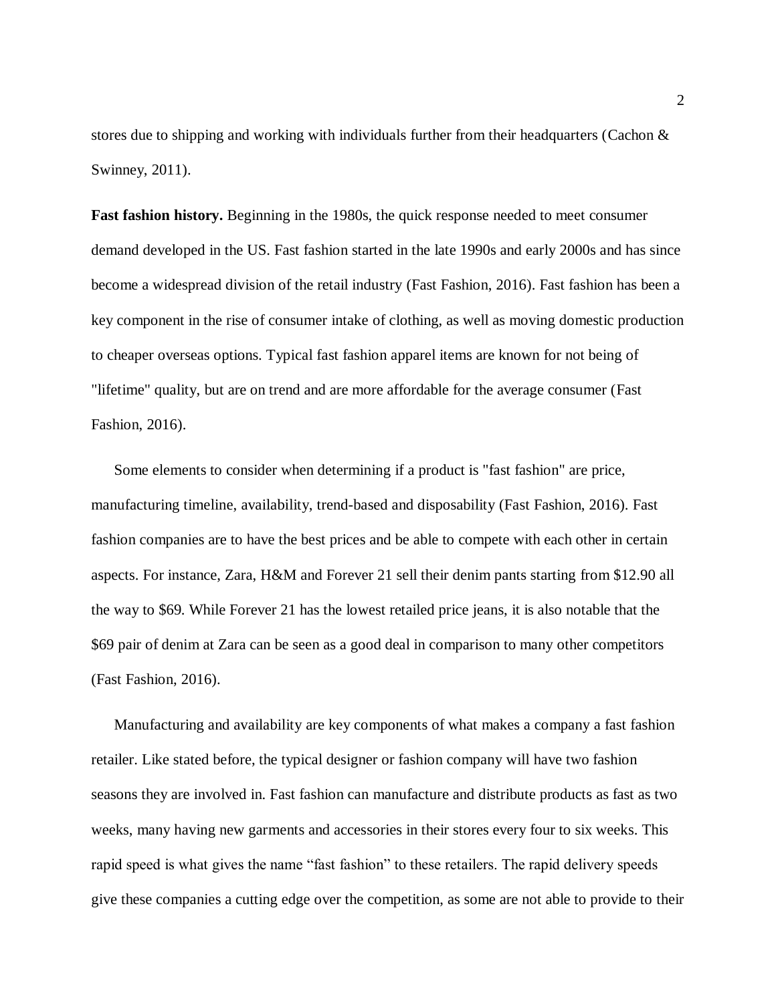stores due to shipping and working with individuals further from their headquarters (Cachon & Swinney, 2011).

**Fast fashion history.** Beginning in the 1980s, the quick response needed to meet consumer demand developed in the US. Fast fashion started in the late 1990s and early 2000s and has since become a widespread division of the retail industry [\(Fast](http://www.thefashionlaw.com/learn/fast-fashions-green-initiatives-dont-believe-the-hype) Fashion, 2016). Fast fashion has been a key component in the rise of consumer intake of clothing, as well as moving domestic production to cheaper overseas options. Typical fast fashion apparel items are known for not being of "lifetime" quality, but are on trend and are more affordable for the average consumer [\(Fast](http://www.thefashionlaw.com/learn/fast-fashions-green-initiatives-dont-believe-the-hype) Fashion, 2016).

Some elements to consider when determining if a product is "fast fashion" are price, manufacturing timeline, availability, trend-based and disposability [\(Fast](http://www.thefashionlaw.com/learn/fast-fashions-green-initiatives-dont-believe-the-hype) Fashion, 2016). Fast fashion companies are to have the best prices and be able to compete with each other in certain aspects. For instance, Zara, H&M and Forever 21 sell their denim pants starting from \$12.90 all the way to \$69. While Forever 21 has the lowest retailed price jeans, it is also notable that the \$69 pair of denim at Zara can be seen as a good deal in comparison to many other competitors [\(Fast](http://www.thefashionlaw.com/learn/fast-fashions-green-initiatives-dont-believe-the-hype) Fashion, 2016).

Manufacturing and availability are key components of what makes a company a fast fashion retailer. Like stated before, the typical designer or fashion company will have two fashion seasons they are involved in. Fast fashion can manufacture and distribute products as fast as two weeks, many having new garments and accessories in their stores every four to six weeks. This rapid speed is what gives the name "fast fashion" to these retailers. The rapid delivery speeds give these companies a cutting edge over the competition, as some are not able to provide to their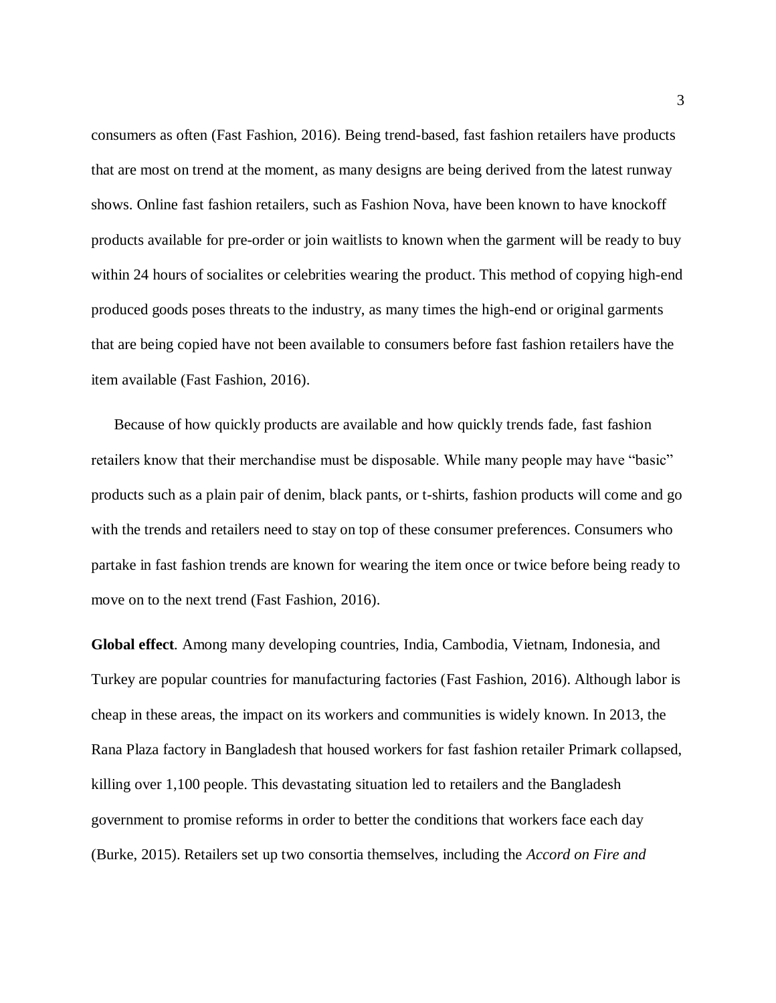consumers as often [\(Fast](http://www.thefashionlaw.com/learn/fast-fashions-green-initiatives-dont-believe-the-hype) Fashion, 2016). Being trend-based, fast fashion retailers have products that are most on trend at the moment, as many designs are being derived from the latest runway shows. Online fast fashion retailers, such as Fashion Nova, have been known to have knockoff products available for pre-order or join waitlists to known when the garment will be ready to buy within 24 hours of socialites or celebrities wearing the product. This method of copying high-end produced goods poses threats to the industry, as many times the high-end or original garments that are being copied have not been available to consumers before fast fashion retailers have the item available [\(Fast](http://www.thefashionlaw.com/learn/fast-fashions-green-initiatives-dont-believe-the-hype) Fashion, 2016).

Because of how quickly products are available and how quickly trends fade, fast fashion retailers know that their merchandise must be disposable. While many people may have "basic" products such as a plain pair of denim, black pants, or t-shirts, fashion products will come and go with the trends and retailers need to stay on top of these consumer preferences. Consumers who partake in fast fashion trends are known for wearing the item once or twice before being ready to move on to the next trend [\(Fast](http://www.thefashionlaw.com/learn/fast-fashions-green-initiatives-dont-believe-the-hype) Fashion, 2016).

**Global effect***.* Among many developing countries, India, Cambodia, Vietnam, Indonesia, and Turkey are popular countries for manufacturing factories [\(Fast](http://www.thefashionlaw.com/learn/fast-fashions-green-initiatives-dont-believe-the-hype) Fashion, 2016). Although labor is cheap in these areas, the impact on its workers and communities is widely known. In 2013, the Rana Plaza factory in Bangladesh that housed workers for fast fashion retailer Primark collapsed, killing over 1,100 people. This devastating situation led to retailers and the Bangladesh government to promise reforms in order to better the conditions that workers face each day (Burke, 2015). Retailers set up two consortia themselves, including the *Accord on Fire and*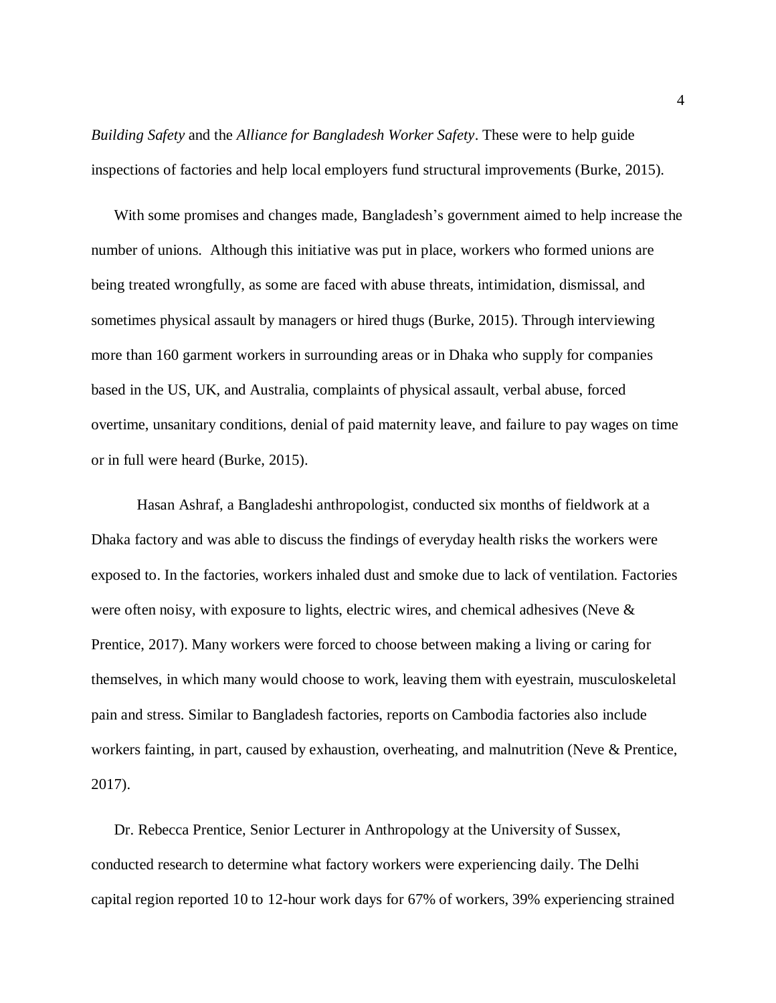*Building Safety* and the *Alliance for Bangladesh Worker Safety*. These were to help guide inspections of factories and help local employers fund structural improvements (Burke, 2015).

With some promises and changes made, Bangladesh's government aimed to help increase the number of unions. Although this initiative was put in place, workers who formed unions are being treated wrongfully, as some are faced with abuse threats, intimidation, dismissal, and sometimes physical assault by managers or hired thugs (Burke, 2015). Through interviewing more than 160 garment workers in surrounding areas or in Dhaka who supply for companies based in the US, UK, and Australia, complaints of physical assault, verbal abuse, forced overtime, unsanitary conditions, denial of paid maternity leave, and failure to pay wages on time or in full were heard (Burke, 2015).

Hasan Ashraf, a Bangladeshi anthropologist, conducted six months of fieldwork at a Dhaka factory and was able to discuss the findings of everyday health risks the workers were exposed to. In the factories, workers inhaled dust and smoke due to lack of ventilation. Factories were often noisy, with exposure to lights, electric wires, and chemical adhesives (Neve  $\&$ Prentice, 2017). Many workers were forced to choose between making a living or caring for themselves, in which many would choose to work, leaving them with eyestrain, musculoskeletal pain and stress. Similar to Bangladesh factories, reports on Cambodia factories also include workers fainting, in part, caused by exhaustion, overheating, and malnutrition (Neve & Prentice, 2017).

Dr. Rebecca Prentice, Senior Lecturer in Anthropology at the University of Sussex, conducted research to determine what factory workers were experiencing daily. The Delhi capital region reported 10 to 12-hour work days for 67% of workers, 39% experiencing strained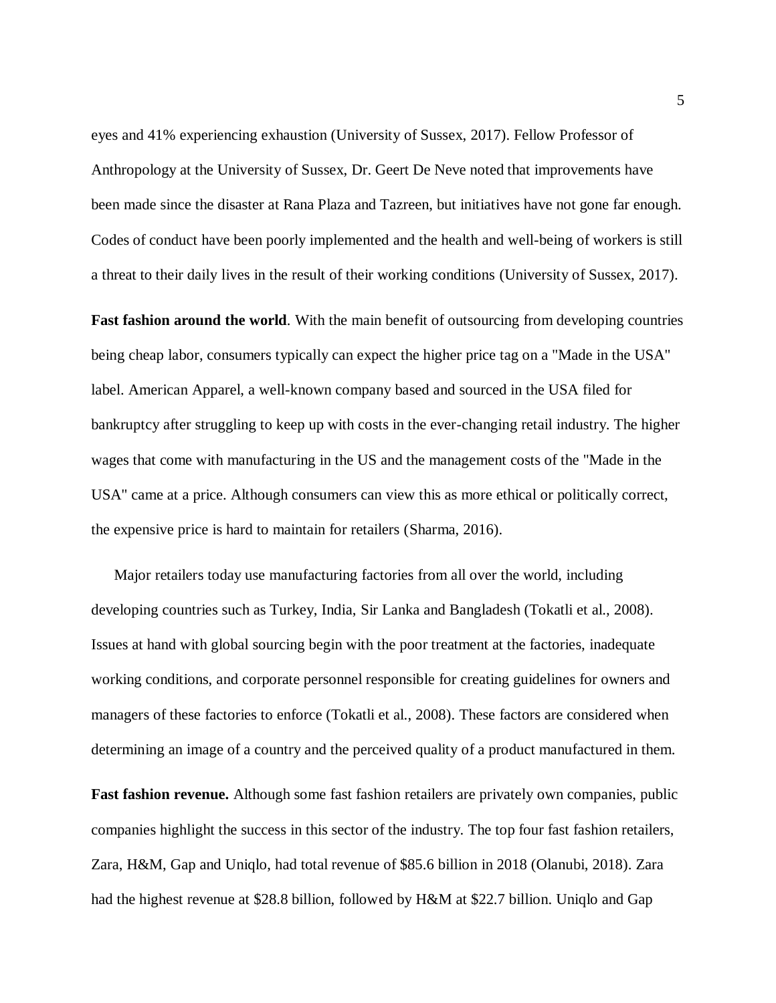eyes and 41% experiencing exhaustion (University of Sussex, 2017). Fellow Professor of Anthropology at the University of Sussex, Dr. Geert De Neve noted that improvements have been made since the disaster at Rana Plaza and Tazreen, but initiatives have not gone far enough. Codes of conduct have been poorly implemented and the health and well-being of workers is still a threat to their daily lives in the result of their working conditions (University of Sussex, 2017).

**Fast fashion around the world***.* With the main benefit of outsourcing from developing countries being cheap labor, consumers typically can expect the higher price tag on a "Made in the USA" label. American Apparel, a well-known company based and sourced in the USA filed for bankruptcy after struggling to keep up with costs in the ever-changing retail industry. The higher wages that come with manufacturing in the US and the management costs of the "Made in the USA" came at a price. Although consumers can view this as more ethical or politically correct, the expensive price is hard to maintain for retailers (Sharma, 2016).

Major retailers today use manufacturing factories from all over the world, including developing countries such as Turkey, India, Sir Lanka and Bangladesh (Tokatli et al., 2008). Issues at hand with global sourcing begin with the poor treatment at the factories, inadequate working conditions, and corporate personnel responsible for creating guidelines for owners and managers of these factories to enforce (Tokatli et al., 2008). These factors are considered when determining an image of a country and the perceived quality of a product manufactured in them.

**Fast fashion revenue.** Although some fast fashion retailers are privately own companies, public companies highlight the success in this sector of the industry. The top four fast fashion retailers, Zara, H&M, Gap and Uniqlo, had total revenue of \$85.6 billion in 2018 (Olanubi, 2018). Zara had the highest revenue at \$28.8 billion, followed by H&M at \$22.7 billion. Uniqlo and Gap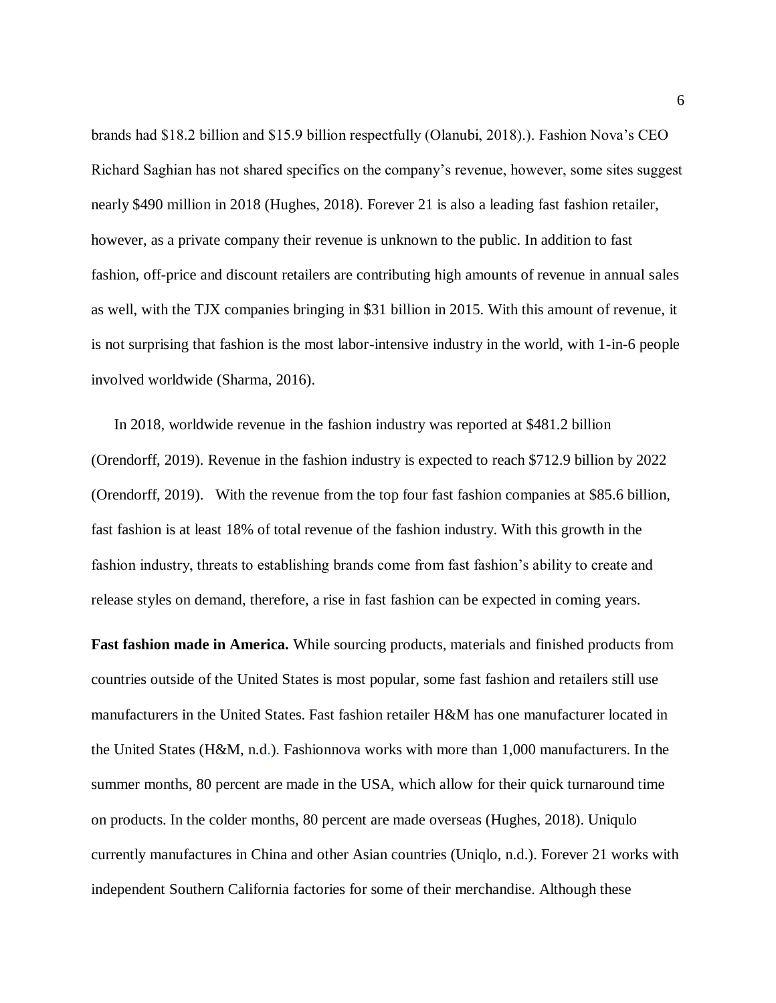brands had \$18.2 billion and \$15.9 billion respectfully (Olanubi, 2018).). Fashion Nova's CEO Richard Saghian has not shared specifics on the company's revenue, however, some sites suggest nearly \$490 million in 2018 (Hughes, 2018). Forever 21 is also a leading fast fashion retailer, however, as a private company their revenue is unknown to the public. In addition to fast fashion, off-price and discount retailers are contributing high amounts of revenue in annual sales as well, with the TJX companies bringing in \$31 billion in 2015. With this amount of revenue, it is not surprising that fashion is the most labor-intensive industry in the world, with 1-in-6 people involved worldwide (Sharma, 2016).

In 2018, worldwide revenue in the fashion industry was reported at \$481.2 billion (Orendorff, 2019). Revenue in the fashion industry is expected to reach \$712.9 billion by 2022 (Orendorff, 2019). With the revenue from the top four fast fashion companies at \$85.6 billion, fast fashion is at least 18% of total revenue of the fashion industry. With this growth in the fashion industry, threats to establishing brands come from fast fashion's ability to create and release styles on demand, therefore, a rise in fast fashion can be expected in coming years.

**Fast fashion made in America.** While sourcing products, materials and finished products from countries outside of the United States is most popular, some fast fashion and retailers still use manufacturers in the United States. Fast fashion retailer H&M has one manufacturer located in the United States [\(H&M,](https://sustainability.hm.com/en/sustainability/downloads-resources/resources/supplier-list.html) n.d.). Fashionnova works with more than 1,000 manufacturers. In the summer months, 80 percent are made in the USA, which allow for their quick turnaround time on products. In the colder months, 80 percent are made overseas (Hughes, 2018). Uniqulo currently manufactures in China and other Asian countries (Uniqlo, n.d.). Forever 21 works with independent Southern California factories for some of their merchandise. Although these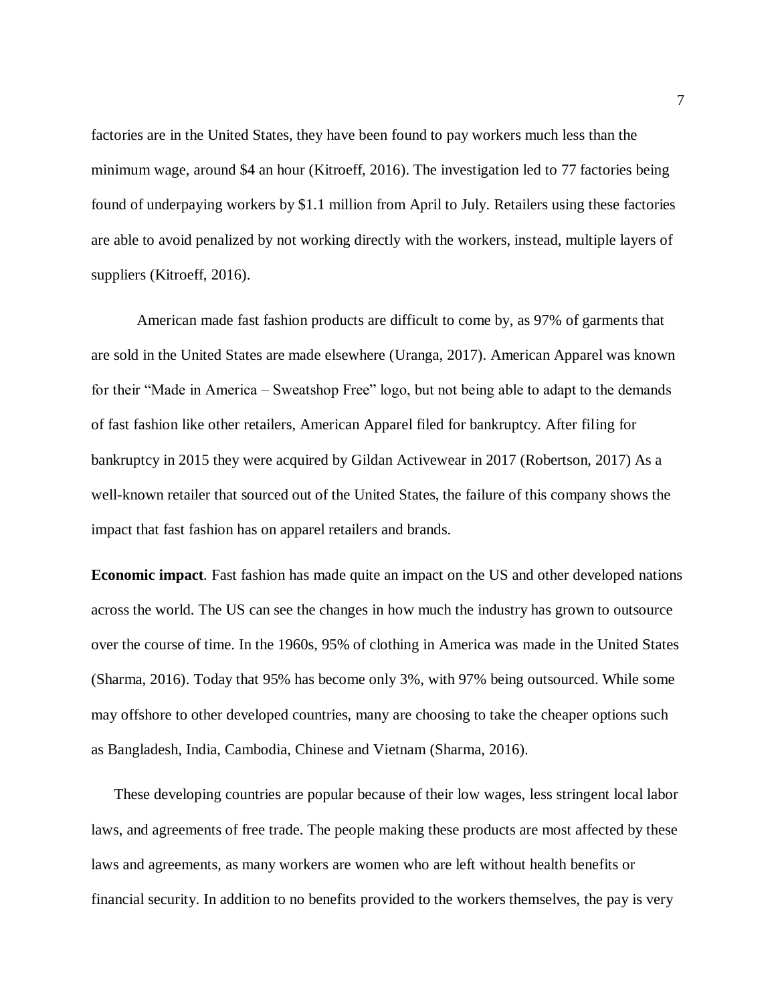factories are in the United States, they have been found to pay workers much less than the minimum wage, around \$4 an hour (Kitroeff, 2016). The investigation led to 77 factories being found of underpaying workers by \$1.1 million from April to July. Retailers using these factories are able to avoid penalized by not working directly with the workers, instead, multiple layers of suppliers (Kitroeff, 2016).

American made fast fashion products are difficult to come by, as 97% of garments that are sold in the United States are made elsewhere [\(Uranga,](https://www.presstelegram.com/2017/01/15/fashion-worn-in-the-usa-but-made-overseas/) 2017). American Apparel was known for their "Made in America – Sweatshop Free" logo, but not being able to adapt to the demands of fast fashion like other retailers, American Apparel filed for bankruptcy. After filing for bankruptcy in 2015 they were acquired by Gildan Activewear in 2017 (Robertson, 2017) As a well-known retailer that sourced out of the United States, the failure of this company shows the impact that fast fashion has on apparel retailers and brands.

**Economic impact***.* Fast fashion has made quite an impact on the US and other developed nations across the world. The US can see the changes in how much the industry has grown to outsource over the course of time. In the 1960s, 95% of clothing in America was made in the United States (Sharma, 2016). Today that 95% has become only 3%, with 97% being outsourced. While some may offshore to other developed countries, many are choosing to take the cheaper options such as Bangladesh, India, Cambodia, Chinese and Vietnam (Sharma, 2016).

These developing countries are popular because of their low wages, less stringent local labor laws, and agreements of free trade. The people making these products are most affected by these laws and agreements, as many workers are women who are left without health benefits or financial security. In addition to no benefits provided to the workers themselves, the pay is very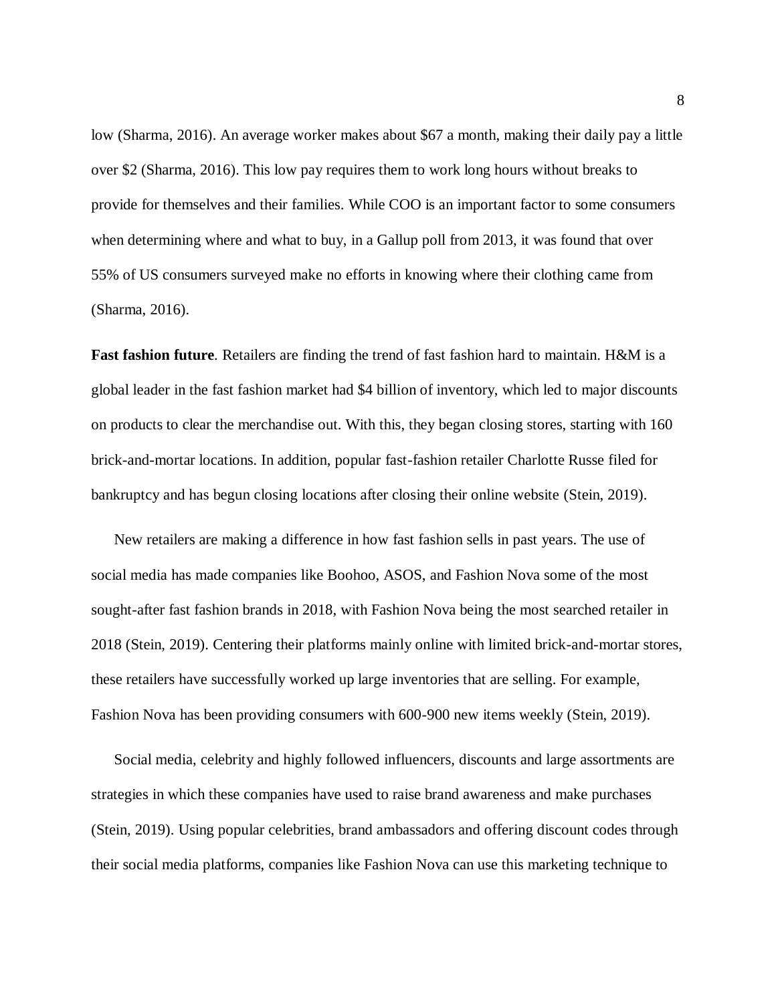low (Sharma, 2016). An average worker makes about \$67 a month, making their daily pay a little over \$2 (Sharma, 2016). This low pay requires them to work long hours without breaks to provide for themselves and their families. While COO is an important factor to some consumers when determining where and what to buy, in a Gallup poll from 2013, it was found that over 55% of US consumers surveyed make no efforts in knowing where their clothing came from (Sharma, 2016).

**Fast fashion future***.* Retailers are finding the trend of fast fashion hard to maintain. H&M is a global leader in the fast fashion market had \$4 billion of inventory, which led to major discounts on products to clear the merchandise out. With this, they began closing stores, starting with 160 brick-and-mortar locations. In addition, popular fast-fashion retailer Charlotte Russe filed for bankruptcy and has begun closing locations after closing their online website (Stein, 2019).

New retailers are making a difference in how fast fashion sells in past years. The use of social media has made companies like Boohoo, ASOS, and Fashion Nova some of the most sought-after fast fashion brands in 2018, with Fashion Nova being the most searched retailer in 2018 (Stein, 2019). Centering their platforms mainly online with limited brick-and-mortar stores, these retailers have successfully worked up large inventories that are selling. For example, Fashion Nova has been providing consumers with 600-900 new items weekly (Stein, 2019).

Social media, celebrity and highly followed influencers, discounts and large assortments are strategies in which these companies have used to raise brand awareness and make purchases (Stein, 2019). Using popular celebrities, brand ambassadors and offering discount codes through their social media platforms, companies like Fashion Nova can use this marketing technique to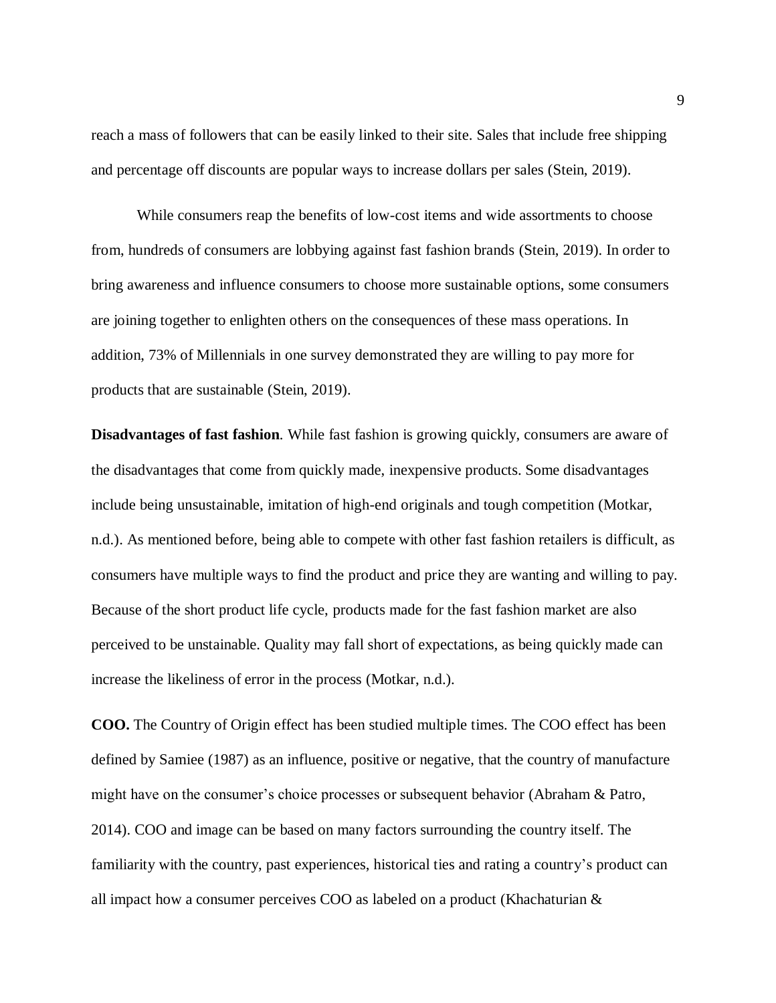reach a mass of followers that can be easily linked to their site. Sales that include free shipping and percentage off discounts are popular ways to increase dollars per sales (Stein, 2019).

While consumers reap the benefits of low-cost items and wide assortments to choose from, hundreds of consumers are lobbying against fast fashion brands (Stein, 2019). In order to bring awareness and influence consumers to choose more sustainable options, some consumers are joining together to enlighten others on the consequences of these mass operations. In addition, 73% of Millennials in one survey demonstrated they are willing to pay more for products that are sustainable (Stein, 2019).

**Disadvantages of fast fashion***.* While fast fashion is growing quickly, consumers are aware of the disadvantages that come from quickly made, inexpensive products. Some disadvantages include being unsustainable, imitation of high-end originals and tough competition (Motkar, n.d.). As mentioned before, being able to compete with other fast fashion retailers is difficult, as consumers have multiple ways to find the product and price they are wanting and willing to pay. Because of the short product life cycle, products made for the fast fashion market are also perceived to be unstainable. Quality may fall short of expectations, as being quickly made can increase the likeliness of error in the process (Motkar, n.d.).

**COO.** The Country of Origin effect has been studied multiple times. The COO effect has been defined by Samiee (1987) as an influence, positive or negative, that the country of manufacture might have on the consumer's choice processes or subsequent behavior (Abraham & Patro, 2014). COO and image can be based on many factors surrounding the country itself. The familiarity with the country, past experiences, historical ties and rating a country's product can all impact how a consumer perceives COO as labeled on a product (Khachaturian &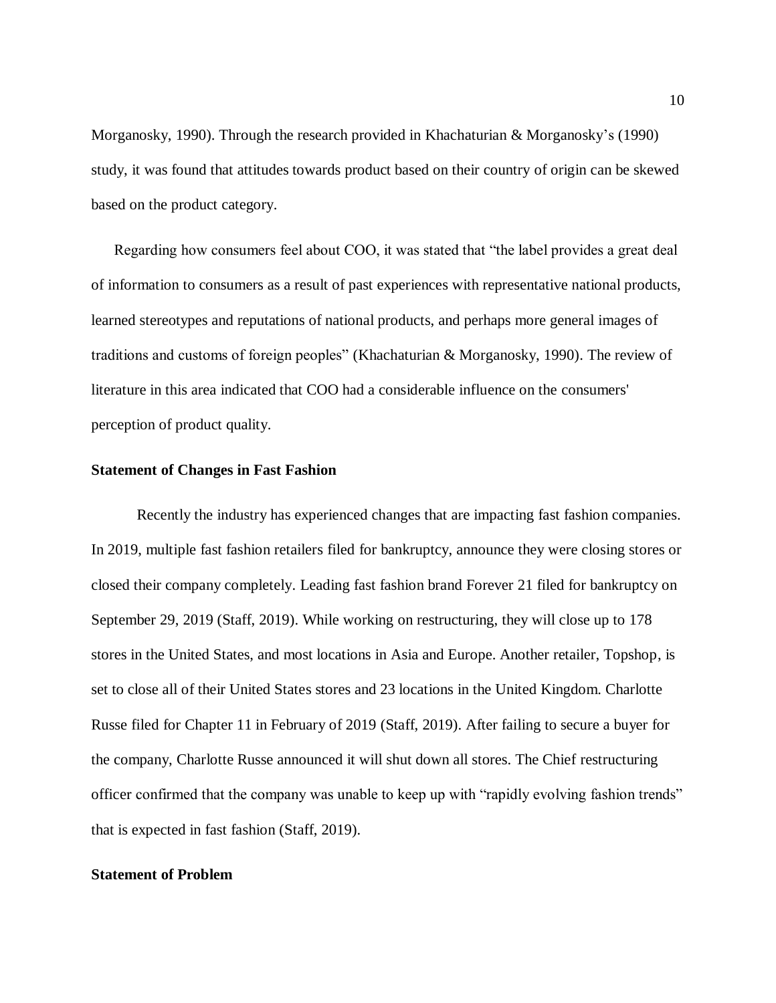Morganosky, 1990). Through the research provided in Khachaturian & Morganosky's (1990) study, it was found that attitudes towards product based on their country of origin can be skewed based on the product category.

Regarding how consumers feel about COO, it was stated that "the label provides a great deal of information to consumers as a result of past experiences with representative national products, learned stereotypes and reputations of national products, and perhaps more general images of traditions and customs of foreign peoples" (Khachaturian & Morganosky, 1990). The review of literature in this area indicated that COO had a considerable influence on the consumers' perception of product quality.

#### **Statement of Changes in Fast Fashion**

Recently the industry has experienced changes that are impacting fast fashion companies. In 2019, multiple fast fashion retailers filed for bankruptcy, announce they were closing stores or closed their company completely. Leading fast fashion brand Forever 21 filed for bankruptcy on September 29, 2019 (Staff, 2019). While working on restructuring, they will close up to 178 stores in the United States, and most locations in Asia and Europe. Another retailer, Topshop, is set to close all of their United States stores and 23 locations in the United Kingdom. Charlotte Russe filed for Chapter 11 in February of 2019 (Staff, 2019). After failing to secure a buyer for the company, Charlotte Russe announced it will shut down all stores. The Chief restructuring officer confirmed that the company was unable to keep up with "rapidly evolving fashion trends" that is expected in fast fashion (Staff, 2019).

### **Statement of Problem**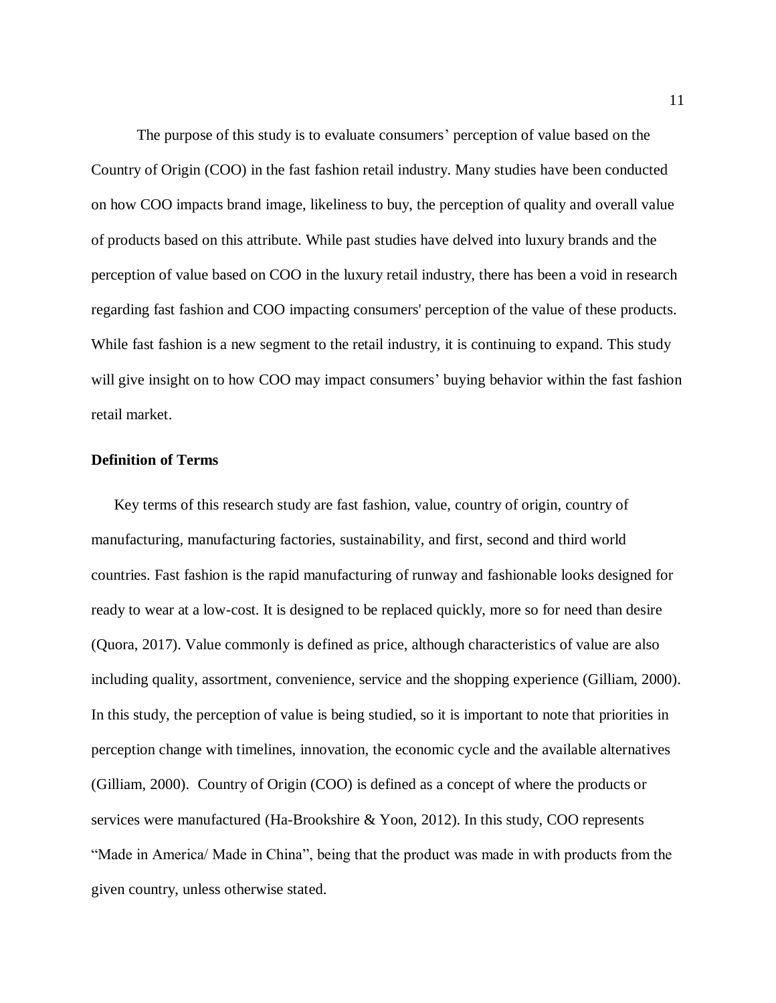The purpose of this study is to evaluate consumers' perception of value based on the Country of Origin (COO) in the fast fashion retail industry. Many studies have been conducted on how COO impacts brand image, likeliness to buy, the perception of quality and overall value of products based on this attribute. While past studies have delved into luxury brands and the perception of value based on COO in the luxury retail industry, there has been a void in research regarding fast fashion and COO impacting consumers' perception of the value of these products. While fast fashion is a new segment to the retail industry, it is continuing to expand. This study will give insight on to how COO may impact consumers' buying behavior within the fast fashion retail market.

## **Definition of Terms**

Key terms of this research study are fast fashion, value, country of origin, country of manufacturing, manufacturing factories, sustainability, and first, second and third world countries. Fast fashion is the rapid manufacturing of runway and fashionable looks designed for ready to wear at a low-cost. It is designed to be replaced quickly, more so for need than desire (Quora, 2017). Value commonly is defined as price, although characteristics of value are also including quality, assortment, convenience, service and the shopping experience (Gilliam, 2000). In this study, the perception of value is being studied, so it is important to note that priorities in perception change with timelines, innovation, the economic cycle and the available alternatives (Gilliam, 2000). Country of Origin (COO) is defined as a concept of where the products or services were manufactured (Ha-Brookshire & Yoon, 2012). In this study, COO represents "Made in America/ Made in China", being that the product was made in with products from the given country, unless otherwise stated.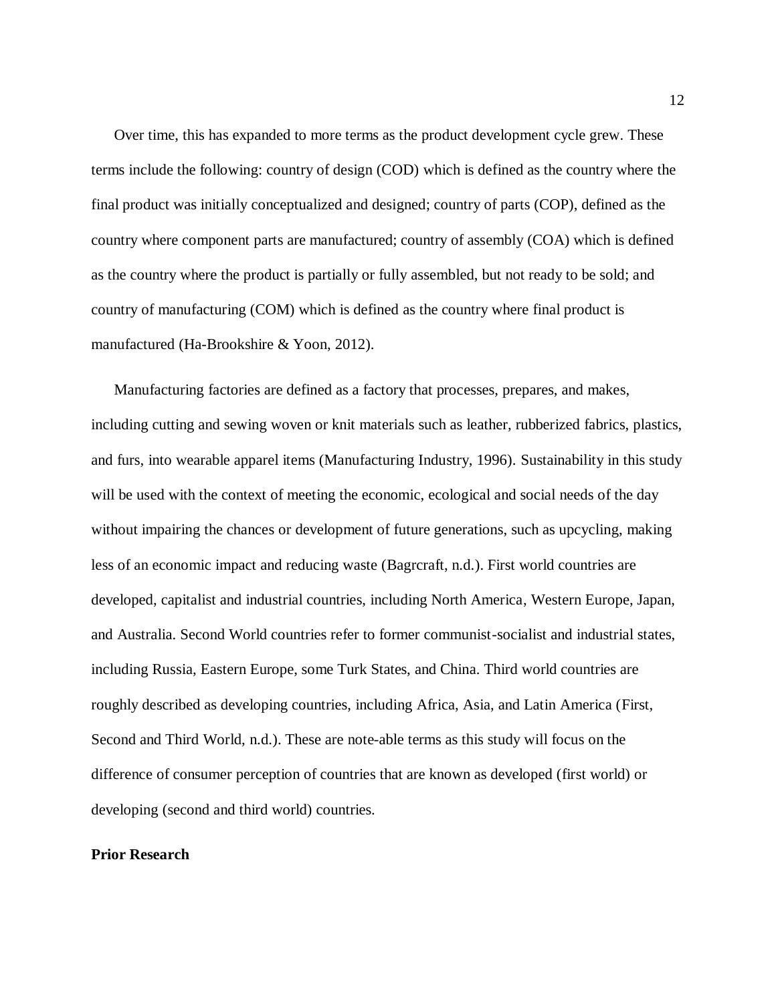Over time, this has expanded to more terms as the product development cycle grew. These terms include the following: country of design (COD) which is defined as the country where the final product was initially conceptualized and designed; country of parts (COP), defined as the country where component parts are manufactured; country of assembly (COA) which is defined as the country where the product is partially or fully assembled, but not ready to be sold; and country of manufacturing (COM) which is defined as the country where final product is manufactured (Ha-Brookshire & Yoon, 2012).

Manufacturing factories are defined as a factory that processes, prepares, and makes, including cutting and sewing woven or knit materials such as leather, rubberized fabrics, plastics, and furs, into wearable apparel items (Manufacturing Industry, 1996). Sustainability in this study will be used with the context of meeting the economic, ecological and social needs of the day without impairing the chances or development of future generations, such as upcycling, making less of an economic impact and reducing waste (Bagrcraft, n.d.). First world countries are developed, capitalist and industrial countries, including North America, Western Europe, Japan, and Australia. Second World countries refer to former communist-socialist and industrial states, including Russia, Eastern Europe, some Turk States, and China. Third world countries are roughly described as developing countries, including Africa, Asia, and Latin America (First, Second and Third World, n.d.). These are note-able terms as this study will focus on the difference of consumer perception of countries that are known as developed (first world) or developing (second and third world) countries.

#### **Prior Research**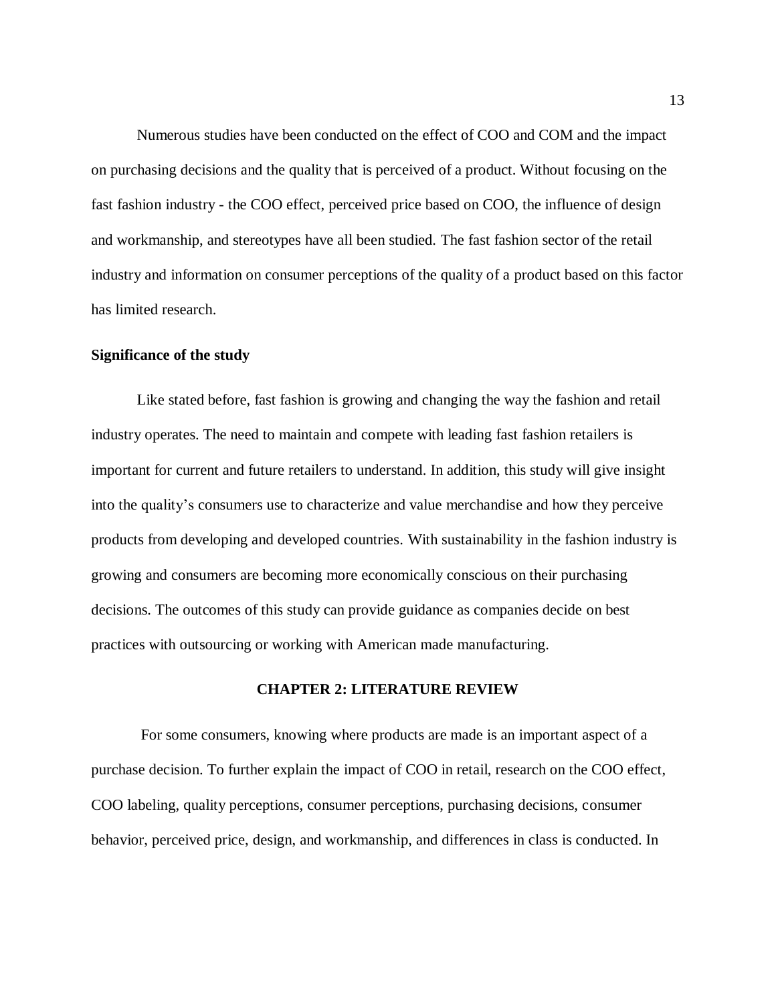Numerous studies have been conducted on the effect of COO and COM and the impact on purchasing decisions and the quality that is perceived of a product. Without focusing on the fast fashion industry - the COO effect, perceived price based on COO, the influence of design and workmanship, and stereotypes have all been studied. The fast fashion sector of the retail industry and information on consumer perceptions of the quality of a product based on this factor has limited research.

### **Significance of the study**

Like stated before, fast fashion is growing and changing the way the fashion and retail industry operates. The need to maintain and compete with leading fast fashion retailers is important for current and future retailers to understand. In addition, this study will give insight into the quality's consumers use to characterize and value merchandise and how they perceive products from developing and developed countries. With sustainability in the fashion industry is growing and consumers are becoming more economically conscious on their purchasing decisions. The outcomes of this study can provide guidance as companies decide on best practices with outsourcing or working with American made manufacturing.

## **CHAPTER 2: LITERATURE REVIEW**

For some consumers, knowing where products are made is an important aspect of a purchase decision. To further explain the impact of COO in retail, research on the COO effect, COO labeling, quality perceptions, consumer perceptions, purchasing decisions, consumer behavior, perceived price, design, and workmanship, and differences in class is conducted. In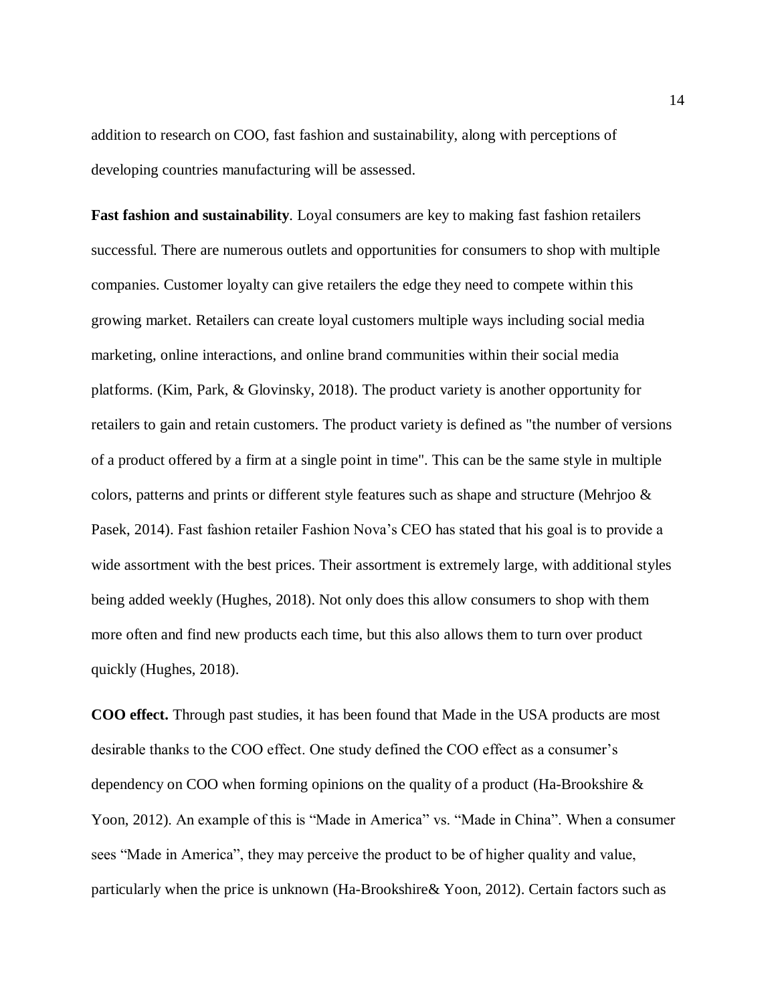addition to research on COO, fast fashion and sustainability, along with perceptions of developing countries manufacturing will be assessed.

**Fast fashion and sustainability***.* Loyal consumers are key to making fast fashion retailers successful. There are numerous outlets and opportunities for consumers to shop with multiple companies. Customer loyalty can give retailers the edge they need to compete within this growing market. Retailers can create loyal customers multiple ways including social media marketing, online interactions, and online brand communities within their social media platforms. (Kim, Park, & Glovinsky, 2018). The product variety is another opportunity for retailers to gain and retain customers. The product variety is defined as "the number of versions of a product offered by a firm at a single point in time". This can be the same style in multiple colors, patterns and prints or different style features such as shape and structure (Mehrjoo & Pasek, 2014). Fast fashion retailer Fashion Nova's CEO has stated that his goal is to provide a wide assortment with the best prices. Their assortment is extremely large, with additional styles being added weekly (Hughes, 2018). Not only does this allow consumers to shop with them more often and find new products each time, but this also allows them to turn over product quickly (Hughes, 2018).

**COO effect.** Through past studies, it has been found that Made in the USA products are most desirable thanks to the COO effect. One study defined the COO effect as a consumer's dependency on COO when forming opinions on the quality of a product (Ha-Brookshire & Yoon, 2012). An example of this is "Made in America" vs. "Made in China". When a consumer sees "Made in America", they may perceive the product to be of higher quality and value, particularly when the price is unknown (Ha-Brookshire& Yoon, 2012). Certain factors such as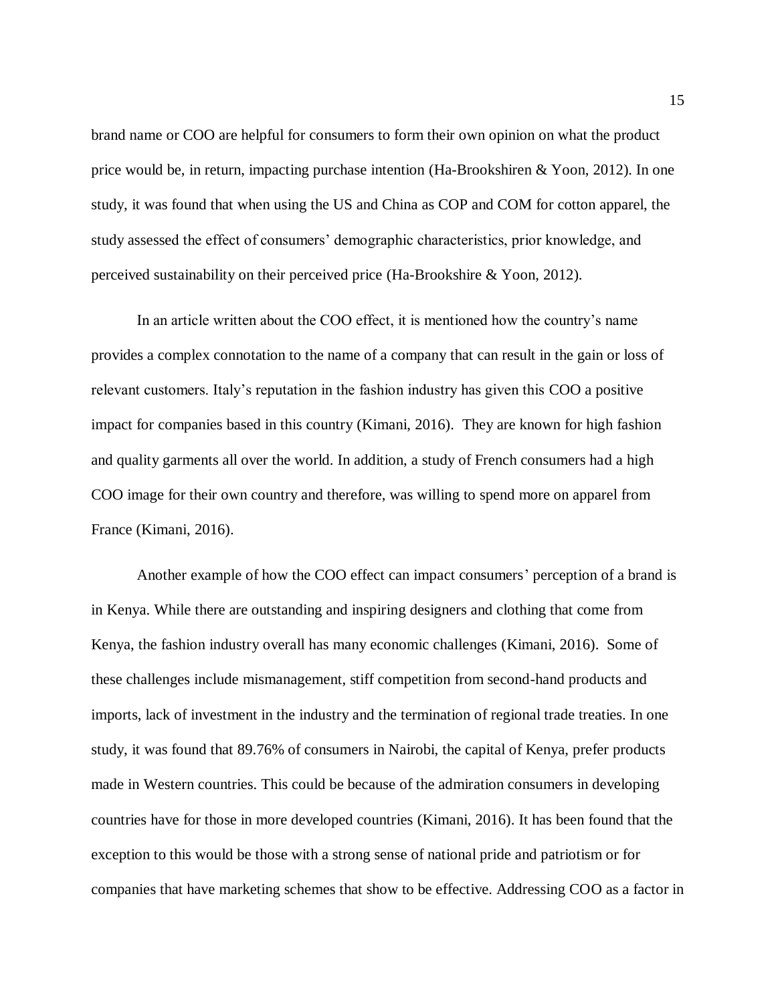brand name or COO are helpful for consumers to form their own opinion on what the product price would be, in return, impacting purchase intention (Ha-Brookshiren & Yoon, 2012). In one study, it was found that when using the US and China as COP and COM for cotton apparel, the study assessed the effect of consumers' demographic characteristics, prior knowledge, and perceived sustainability on their perceived price (Ha-Brookshire & Yoon, 2012).

In an article written about the COO effect, it is mentioned how the country's name provides a complex connotation to the name of a company that can result in the gain or loss of relevant customers. Italy's reputation in the fashion industry has given this COO a positive impact for companies based in this country [\(Kimani,](http://tdsblog.com/the-country-of-origin-effect/) 2016). They are known for high fashion and quality garments all over the world. In addition, a study of French consumers had a high COO image for their own country and therefore, was willing to spend more on apparel from France [\(Kimani,](http://tdsblog.com/the-country-of-origin-effect/) 2016).

Another example of how the COO effect can impact consumers' perception of a brand is in Kenya. While there are outstanding and inspiring designers and clothing that come from Kenya, the fashion industry overall has many economic challenges [\(Kimani,](http://tdsblog.com/the-country-of-origin-effect/) 2016). Some of these challenges include mismanagement, stiff competition from second-hand products and imports, lack of investment in the industry and the termination of regional trade treaties. In one study, it was found that 89.76% of consumers in Nairobi, the capital of Kenya, prefer products made in Western countries. This could be because of the admiration consumers in developing countries have for those in more developed countries [\(Kimani,](http://tdsblog.com/the-country-of-origin-effect/) 2016). It has been found that the exception to this would be those with a strong sense of national pride and patriotism or for companies that have marketing schemes that show to be effective. Addressing COO as a factor in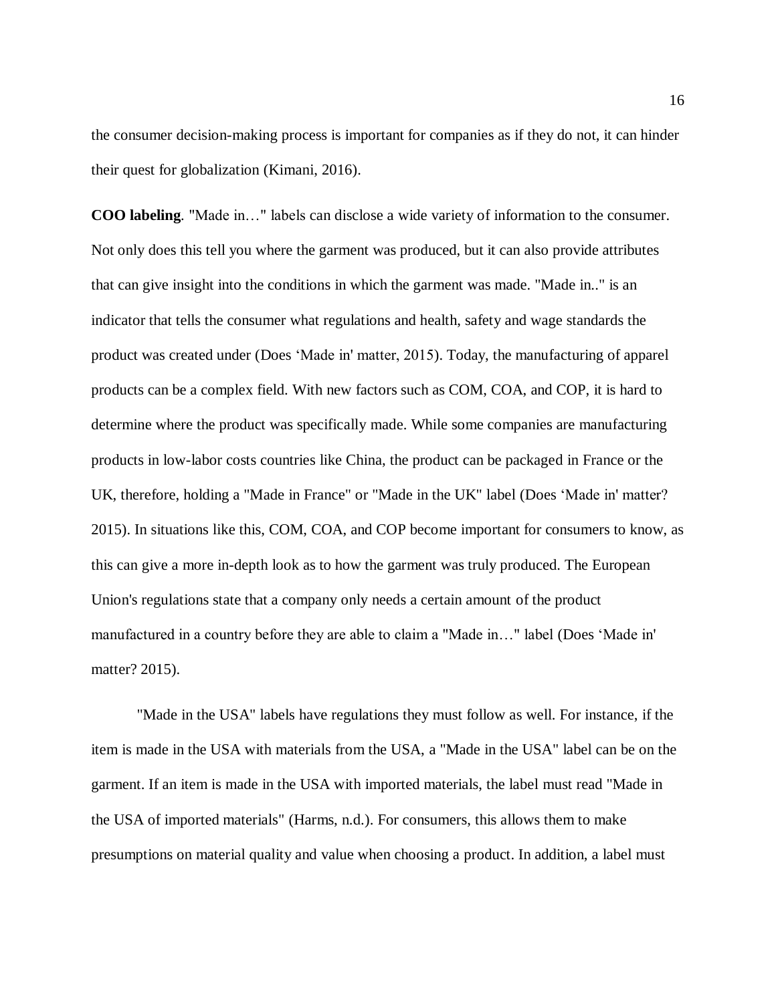the consumer decision-making process is important for companies as if they do not, it can hinder their quest for globalization [\(Kimani,](http://tdsblog.com/the-country-of-origin-effect/) 2016).

**COO labeling***.* "Made in…" labels can disclose a wide variety of information to the consumer. Not only does this tell you where the garment was produced, but it can also provide attributes that can give insight into the conditions in which the garment was made. "Made in.." is an indicator that tells the consumer what regulations and health, safety and wage standards the product was created under [\(Does](https://www.businessoffashion.com/community/voices/discussions/does-made-in-matter/the-made-in-dilemma-to-label-or-not-to-label) 'Made in' matter, 2015). Today, the manufacturing of apparel products can be a complex field. With new factors such as COM, COA, and COP, it is hard to determine where the product was specifically made. While some companies are manufacturing products in low-labor costs countries like China, the product can be packaged in France or the UK, therefore, holding a "Made in France" or "Made in the UK" label [\(Does](https://www.businessoffashion.com/community/voices/discussions/does-made-in-matter/the-made-in-dilemma-to-label-or-not-to-label) 'Made in' matter? 2015). In situations like this, COM, COA, and COP become important for consumers to know, as this can give a more in-depth look as to how the garment was truly produced. The European Union's regulations state that a company only needs a certain amount of the product manufactured in a country before they are able to claim a "Made in…" label [\(Does](https://www.businessoffashion.com/community/voices/discussions/does-made-in-matter/the-made-in-dilemma-to-label-or-not-to-label) 'Made in' matter? 2015).

"Made in the USA" labels have regulations they must follow as well. For instance, if the item is made in the USA with materials from the USA, a "Made in the USA" label can be on the garment. If an item is made in the USA with imported materials, the label must read "Made in the USA of imported materials" (Harms, n.d.). For consumers, this allows them to make presumptions on material quality and value when choosing a product. In addition, a label must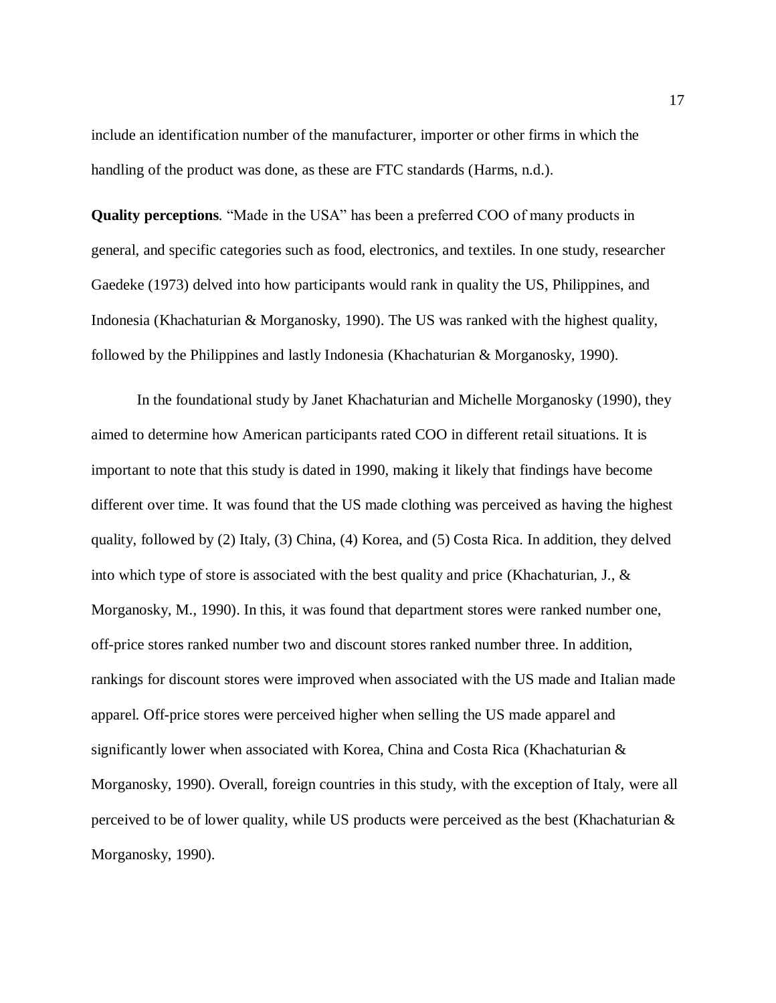include an identification number of the manufacturer, importer or other firms in which the handling of the product was done, as these are FTC standards (Harms, n.d.).

**Quality perceptions***.* "Made in the USA" has been a preferred COO of many products in general, and specific categories such as food, electronics, and textiles. In one study, researcher Gaedeke (1973) delved into how participants would rank in quality the US, Philippines, and Indonesia (Khachaturian & Morganosky, 1990). The US was ranked with the highest quality, followed by the Philippines and lastly Indonesia (Khachaturian & Morganosky, 1990).

In the foundational study by Janet Khachaturian and Michelle Morganosky (1990), they aimed to determine how American participants rated COO in different retail situations. It is important to note that this study is dated in 1990, making it likely that findings have become different over time. It was found that the US made clothing was perceived as having the highest quality, followed by (2) Italy, (3) China, (4) Korea, and (5) Costa Rica. In addition, they delved into which type of store is associated with the best quality and price (Khachaturian, J., & Morganosky, M., 1990). In this, it was found that department stores were ranked number one, off-price stores ranked number two and discount stores ranked number three. In addition, rankings for discount stores were improved when associated with the US made and Italian made apparel. Off-price stores were perceived higher when selling the US made apparel and significantly lower when associated with Korea, China and Costa Rica (Khachaturian & Morganosky, 1990). Overall, foreign countries in this study, with the exception of Italy, were all perceived to be of lower quality, while US products were perceived as the best (Khachaturian & Morganosky, 1990).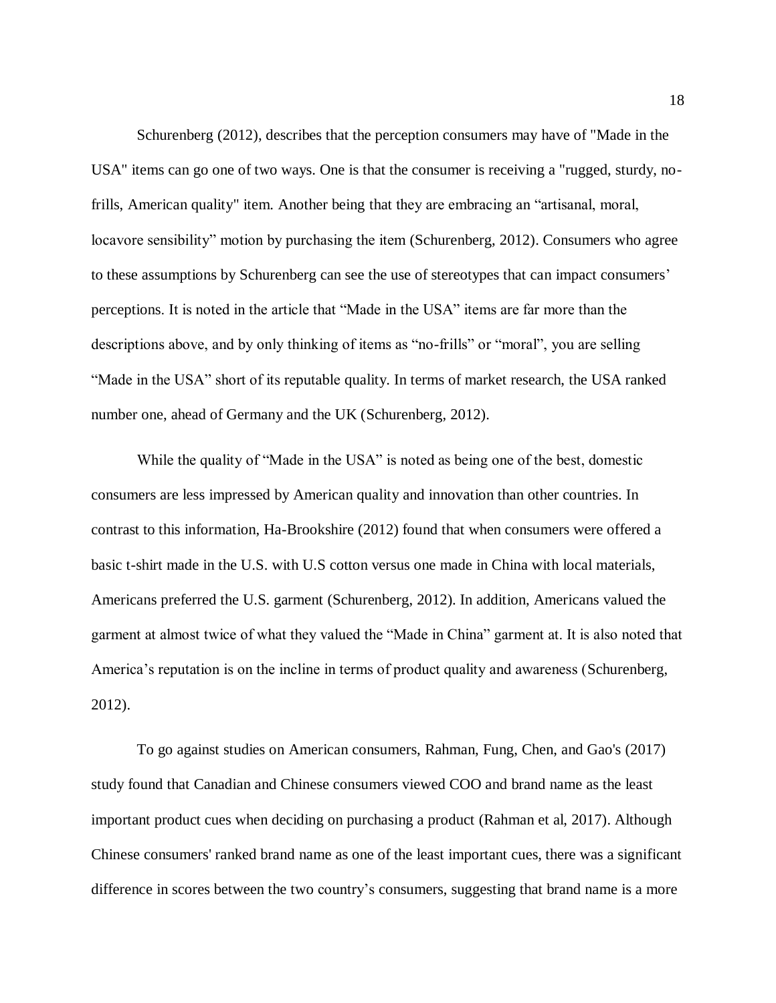Schurenberg (2012), describes that the perception consumers may have of "Made in the USA" items can go one of two ways. One is that the consumer is receiving a "rugged, sturdy, nofrills, American quality" item. Another being that they are embracing an "artisanal, moral, locavore sensibility" motion by purchasing the item (Schurenberg, 2012). Consumers who agree to these assumptions by Schurenberg can see the use of stereotypes that can impact consumers' perceptions. It is noted in the article that "Made in the USA" items are far more than the descriptions above, and by only thinking of items as "no-frills" or "moral", you are selling "Made in the USA" short of its reputable quality. In terms of market research, the USA ranked number one, ahead of Germany and the UK (Schurenberg, 2012).

While the quality of "Made in the USA" is noted as being one of the best, domestic consumers are less impressed by American quality and innovation than other countries. In contrast to this information, Ha-Brookshire (2012) found that when consumers were offered a basic t-shirt made in the U.S. with U.S cotton versus one made in China with local materials, Americans preferred the U.S. garment (Schurenberg, 2012). In addition, Americans valued the garment at almost twice of what they valued the "Made in China" garment at. It is also noted that America's reputation is on the incline in terms of product quality and awareness (Schurenberg, 2012).

To go against studies on American consumers, Rahman, Fung, Chen, and Gao's (2017) study found that Canadian and Chinese consumers viewed COO and brand name as the least important product cues when deciding on purchasing a product (Rahman et al, 2017). Although Chinese consumers' ranked brand name as one of the least important cues, there was a significant difference in scores between the two country's consumers, suggesting that brand name is a more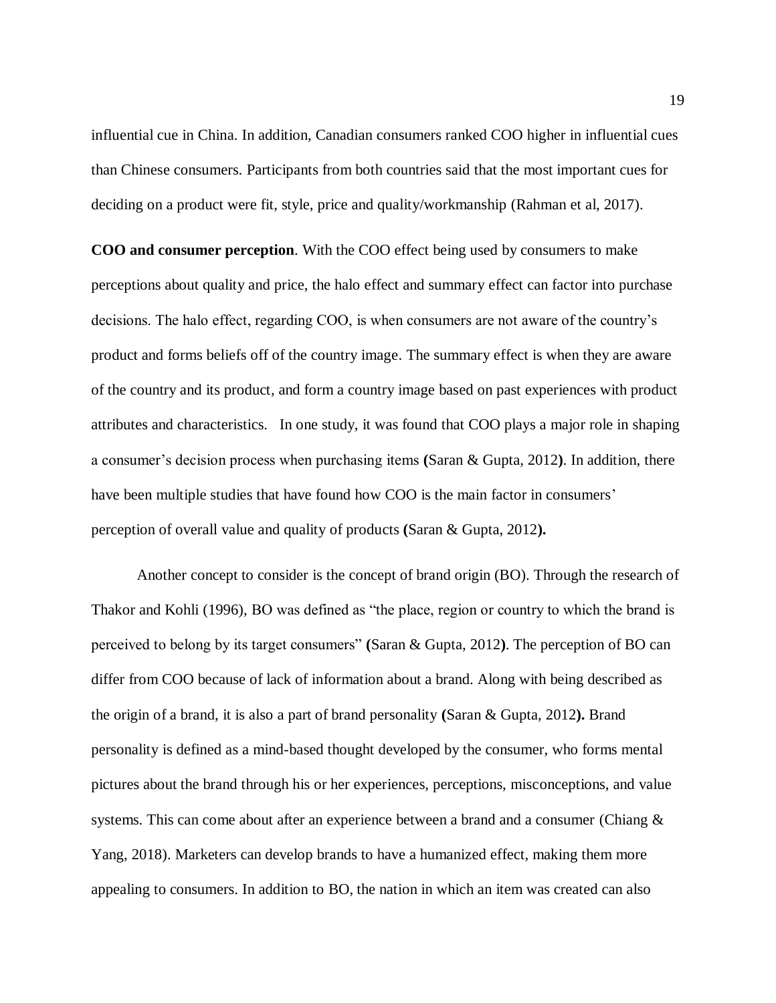influential cue in China. In addition, Canadian consumers ranked COO higher in influential cues than Chinese consumers. Participants from both countries said that the most important cues for deciding on a product were fit, style, price and quality/workmanship (Rahman et al, 2017).

**COO and consumer perception**. With the COO effect being used by consumers to make perceptions about quality and price, the halo effect and summary effect can factor into purchase decisions. The halo effect, regarding COO, is when consumers are not aware of the country's product and forms beliefs off of the country image. The summary effect is when they are aware of the country and its product, and form a country image based on past experiences with product attributes and characteristics. In one study, it was found that COO plays a major role in shaping a consumer's decision process when purchasing items **(**Saran & Gupta, 2012**)**. In addition, there have been multiple studies that have found how COO is the main factor in consumers' perception of overall value and quality of products **(**Saran & Gupta, 2012**).**

Another concept to consider is the concept of brand origin (BO). Through the research of Thakor and Kohli (1996), BO was defined as "the place, region or country to which the brand is perceived to belong by its target consumers" **(**Saran & Gupta, 2012**)**. The perception of BO can differ from COO because of lack of information about a brand. Along with being described as the origin of a brand, it is also a part of brand personality **(**Saran & Gupta, 2012**).** Brand personality is defined as a mind-based thought developed by the consumer, who forms mental pictures about the brand through his or her experiences, perceptions, misconceptions, and value systems. This can come about after an experience between a brand and a consumer (Chiang  $\&$ Yang, 2018). Marketers can develop brands to have a humanized effect, making them more appealing to consumers. In addition to BO, the nation in which an item was created can also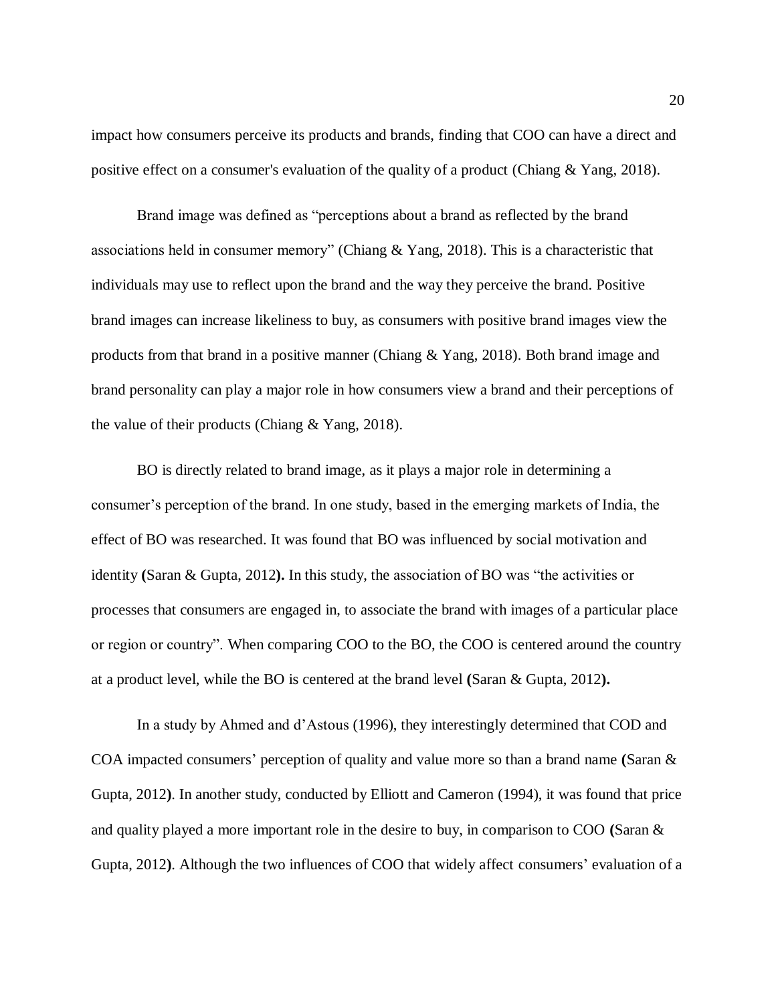impact how consumers perceive its products and brands, finding that COO can have a direct and positive effect on a consumer's evaluation of the quality of a product (Chiang & Yang, 2018).

Brand image was defined as "perceptions about a brand as reflected by the brand associations held in consumer memory" (Chiang & Yang, 2018). This is a characteristic that individuals may use to reflect upon the brand and the way they perceive the brand. Positive brand images can increase likeliness to buy, as consumers with positive brand images view the products from that brand in a positive manner (Chiang & Yang, 2018). Both brand image and brand personality can play a major role in how consumers view a brand and their perceptions of the value of their products (Chiang & Yang, 2018).

BO is directly related to brand image, as it plays a major role in determining a consumer's perception of the brand. In one study, based in the emerging markets of India, the effect of BO was researched. It was found that BO was influenced by social motivation and identity **(**Saran & Gupta, 2012**).** In this study, the association of BO was "the activities or processes that consumers are engaged in, to associate the brand with images of a particular place or region or country". When comparing COO to the BO, the COO is centered around the country at a product level, while the BO is centered at the brand level **(**Saran & Gupta, 2012**).**

In a study by Ahmed and d'Astous (1996), they interestingly determined that COD and COA impacted consumers' perception of quality and value more so than a brand name **(**Saran & Gupta, 2012**)**. In another study, conducted by Elliott and Cameron (1994), it was found that price and quality played a more important role in the desire to buy, in comparison to COO **(**Saran & Gupta, 2012**)**. Although the two influences of COO that widely affect consumers' evaluation of a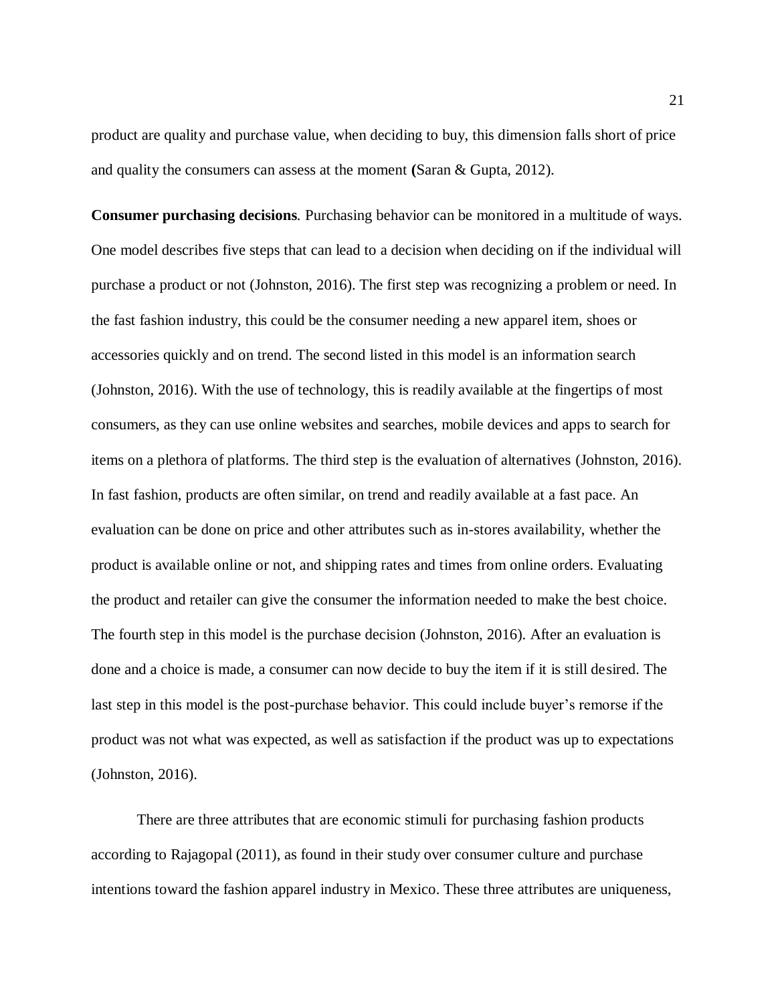product are quality and purchase value, when deciding to buy, this dimension falls short of price and quality the consumers can assess at the moment **(**Saran & Gupta, 2012).

**Consumer purchasing decisions**. Purchasing behavior can be monitored in a multitude of ways. One model describes five steps that can lead to a decision when deciding on if the individual will purchase a product or not (Johnston, 2016). The first step was recognizing a problem or need. In the fast fashion industry, this could be the consumer needing a new apparel item, shoes or accessories quickly and on trend. The second listed in this model is an information search (Johnston, 2016). With the use of technology, this is readily available at the fingertips of most consumers, as they can use online websites and searches, mobile devices and apps to search for items on a plethora of platforms. The third step is the evaluation of alternatives (Johnston, 2016). In fast fashion, products are often similar, on trend and readily available at a fast pace. An evaluation can be done on price and other attributes such as in-stores availability, whether the product is available online or not, and shipping rates and times from online orders. Evaluating the product and retailer can give the consumer the information needed to make the best choice. The fourth step in this model is the purchase decision (Johnston, 2016). After an evaluation is done and a choice is made, a consumer can now decide to buy the item if it is still desired. The last step in this model is the post-purchase behavior. This could include buyer's remorse if the product was not what was expected, as well as satisfaction if the product was up to expectations (Johnston, 2016).

There are three attributes that are economic stimuli for purchasing fashion products according to Rajagopal (2011), as found in their study over consumer culture and purchase intentions toward the fashion apparel industry in Mexico. These three attributes are uniqueness,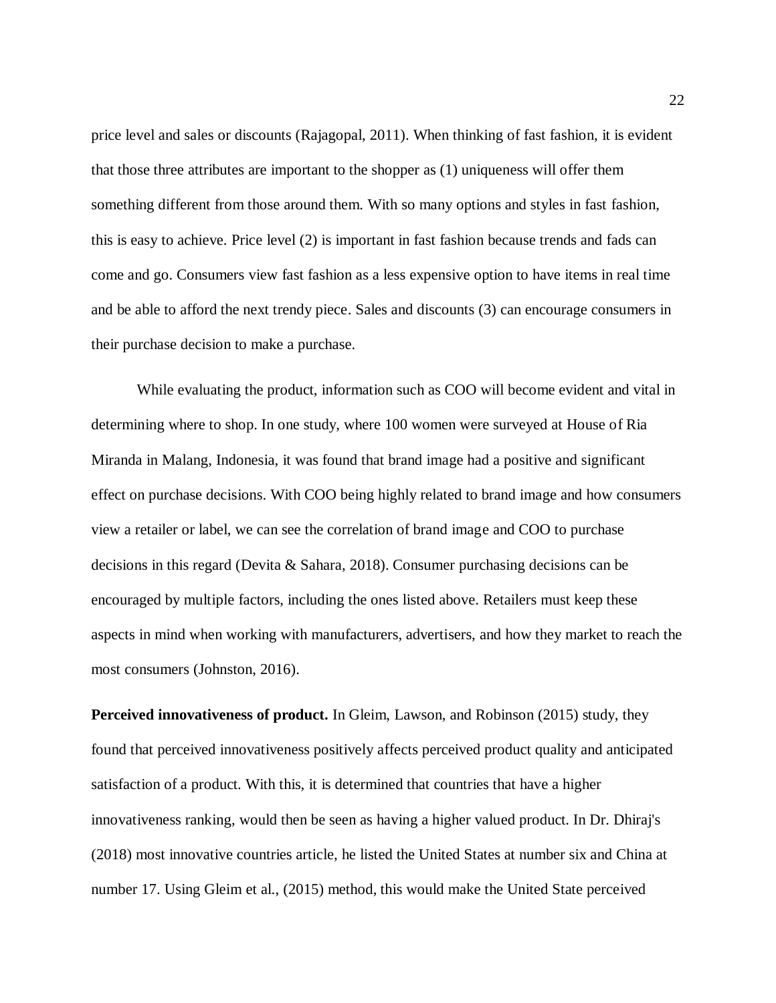price level and sales or discounts (Rajagopal, 2011). When thinking of fast fashion, it is evident that those three attributes are important to the shopper as (1) uniqueness will offer them something different from those around them. With so many options and styles in fast fashion, this is easy to achieve. Price level (2) is important in fast fashion because trends and fads can come and go. Consumers view fast fashion as a less expensive option to have items in real time and be able to afford the next trendy piece. Sales and discounts (3) can encourage consumers in their purchase decision to make a purchase.

While evaluating the product, information such as COO will become evident and vital in determining where to shop. In one study, where 100 women were surveyed at House of Ria Miranda in Malang, Indonesia, it was found that brand image had a positive and significant effect on purchase decisions. With COO being highly related to brand image and how consumers view a retailer or label, we can see the correlation of brand image and COO to purchase decisions in this regard (Devita & Sahara, 2018). Consumer purchasing decisions can be encouraged by multiple factors, including the ones listed above. Retailers must keep these aspects in mind when working with manufacturers, advertisers, and how they market to reach the most consumers (Johnston, 2016).

**Perceived innovativeness of product.** In Gleim, Lawson, and Robinson (2015) study, they found that perceived innovativeness positively affects perceived product quality and anticipated satisfaction of a product. With this, it is determined that countries that have a higher innovativeness ranking, would then be seen as having a higher valued product. In Dr. Dhiraj's (2018) most innovative countries article, he listed the United States at number six and China at number 17. Using Gleim et al., (2015) method, this would make the United State perceived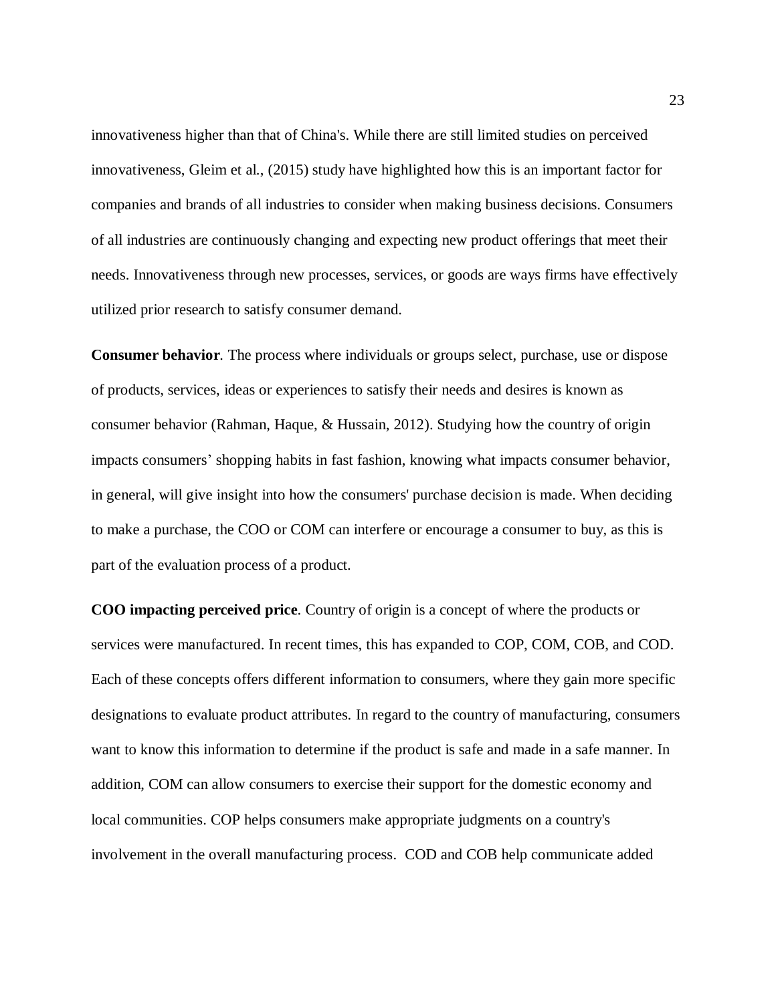innovativeness higher than that of China's. While there are still limited studies on perceived innovativeness, Gleim et al., (2015) study have highlighted how this is an important factor for companies and brands of all industries to consider when making business decisions. Consumers of all industries are continuously changing and expecting new product offerings that meet their needs. Innovativeness through new processes, services, or goods are ways firms have effectively utilized prior research to satisfy consumer demand.

**Consumer behavior***.* The process where individuals or groups select, purchase, use or dispose of products, services, ideas or experiences to satisfy their needs and desires is known as consumer behavior [\(Rahman, Haque, & Hussain, 2012\).](file:///E:/Thesis%20Articles/768-774.pdf) Studying how the country of origin impacts consumers' shopping habits in fast fashion, knowing what impacts consumer behavior, in general, will give insight into how the consumers' purchase decision is made. When deciding to make a purchase, the COO or COM can interfere or encourage a consumer to buy, as this is part of the evaluation process of a product.

**COO impacting perceived price**. Country of origin is a concept of where the products or services were manufactured. In recent times, this has expanded to COP, COM, COB, and COD. Each of these concepts offers different information to consumers, where they gain more specific designations to evaluate product attributes. In regard to the country of manufacturing, consumers want to know this information to determine if the product is safe and made in a safe manner. In addition, COM can allow consumers to exercise their support for the domestic economy and local communities. COP helps consumers make appropriate judgments on a country's involvement in the overall manufacturing process. COD and COB help communicate added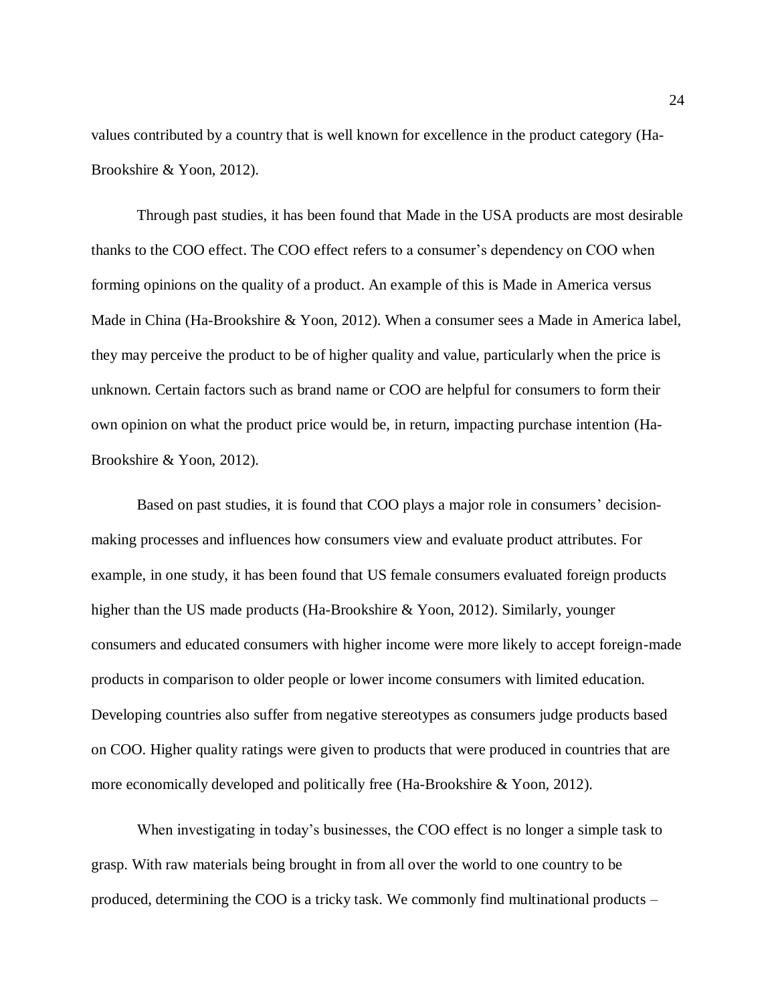values contributed by a country that is well known for excellence in the product category (Ha-Brookshire & Yoon, 2012).

Through past studies, it has been found that Made in the USA products are most desirable thanks to the COO effect. The COO effect refers to a consumer's dependency on COO when forming opinions on the quality of a product. An example of this is Made in America versus Made in China (Ha-Brookshire & Yoon, 2012). When a consumer sees a Made in America label, they may perceive the product to be of higher quality and value, particularly when the price is unknown. Certain factors such as brand name or COO are helpful for consumers to form their own opinion on what the product price would be, in return, impacting purchase intention (Ha-Brookshire & Yoon, 2012).

Based on past studies, it is found that COO plays a major role in consumers' decisionmaking processes and influences how consumers view and evaluate product attributes. For example, in one study, it has been found that US female consumers evaluated foreign products higher than the US made products (Ha-Brookshire & Yoon, 2012). Similarly, younger consumers and educated consumers with higher income were more likely to accept foreign-made products in comparison to older people or lower income consumers with limited education. Developing countries also suffer from negative stereotypes as consumers judge products based on COO. Higher quality ratings were given to products that were produced in countries that are more economically developed and politically free (Ha-Brookshire & Yoon, 2012).

When investigating in today's businesses, the COO effect is no longer a simple task to grasp. With raw materials being brought in from all over the world to one country to be produced, determining the COO is a tricky task. We commonly find multinational products –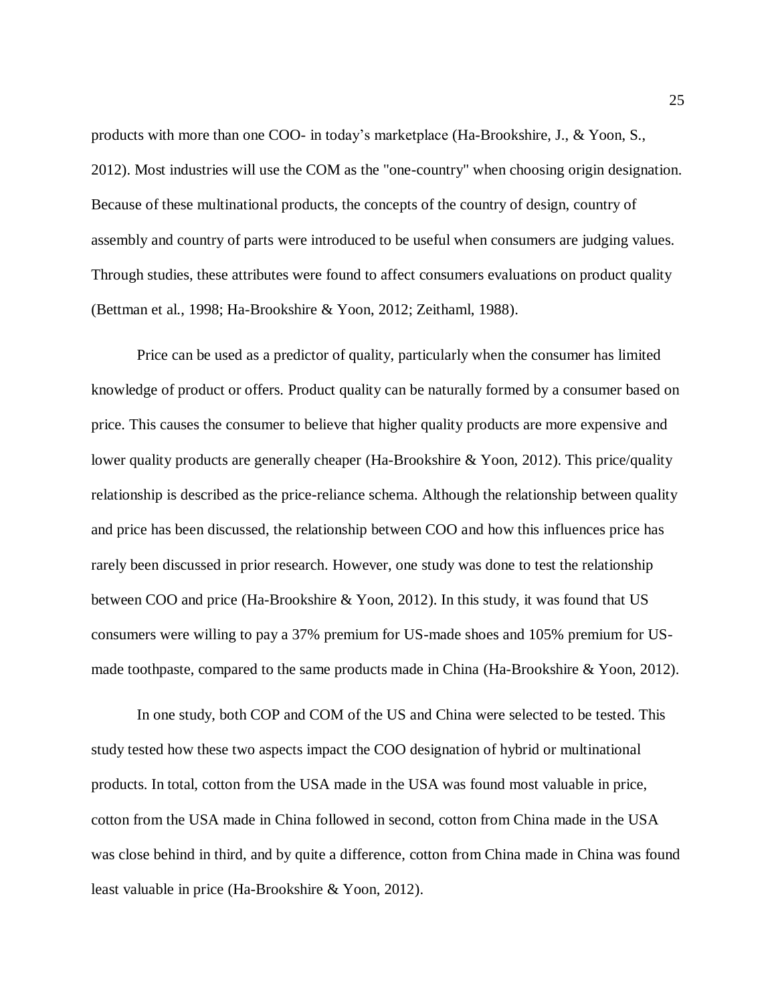products with more than one COO- in today's marketplace (Ha-Brookshire, J., & Yoon, S., 2012). Most industries will use the COM as the "one-country" when choosing origin designation. Because of these multinational products, the concepts of the country of design, country of assembly and country of parts were introduced to be useful when consumers are judging values. Through studies, these attributes were found to affect consumers evaluations on product quality (Bettman et al., 1998; Ha-Brookshire & Yoon, 2012; Zeithaml, 1988).

Price can be used as a predictor of quality, particularly when the consumer has limited knowledge of product or offers. Product quality can be naturally formed by a consumer based on price. This causes the consumer to believe that higher quality products are more expensive and lower quality products are generally cheaper (Ha-Brookshire & Yoon, 2012). This price/quality relationship is described as the price-reliance schema. Although the relationship between quality and price has been discussed, the relationship between COO and how this influences price has rarely been discussed in prior research. However, one study was done to test the relationship between COO and price (Ha-Brookshire & Yoon, 2012). In this study, it was found that US consumers were willing to pay a 37% premium for US-made shoes and 105% premium for USmade toothpaste, compared to the same products made in China (Ha-Brookshire & Yoon, 2012).

In one study, both COP and COM of the US and China were selected to be tested. This study tested how these two aspects impact the COO designation of hybrid or multinational products. In total, cotton from the USA made in the USA was found most valuable in price, cotton from the USA made in China followed in second, cotton from China made in the USA was close behind in third, and by quite a difference, cotton from China made in China was found least valuable in price (Ha-Brookshire & Yoon, 2012).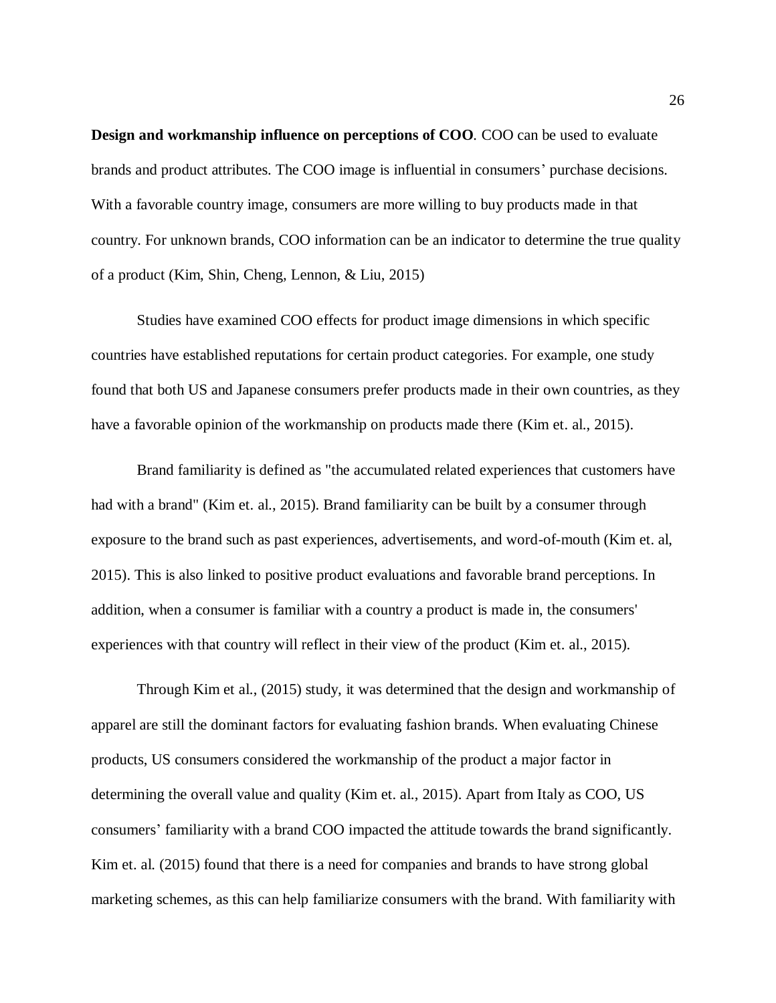**Design and workmanship influence on perceptions of COO***.* COO can be used to evaluate brands and product attributes. The COO image is influential in consumers' purchase decisions. With a favorable country image, consumers are more willing to buy products made in that country. For unknown brands, COO information can be an indicator to determine the true quality of a product (Kim, Shin, Cheng, Lennon, & Liu, 2015)

Studies have examined COO effects for product image dimensions in which specific countries have established reputations for certain product categories. For example, one study found that both US and Japanese consumers prefer products made in their own countries, as they have a favorable opinion of the workmanship on products made there (Kim et. al., 2015).

Brand familiarity is defined as "the accumulated related experiences that customers have had with a brand" (Kim et. al., 2015). Brand familiarity can be built by a consumer through exposure to the brand such as past experiences, advertisements, and word-of-mouth (Kim et. al, 2015). This is also linked to positive product evaluations and favorable brand perceptions. In addition, when a consumer is familiar with a country a product is made in, the consumers' experiences with that country will reflect in their view of the product (Kim et. al., 2015).

Through Kim et al., (2015) study, it was determined that the design and workmanship of apparel are still the dominant factors for evaluating fashion brands. When evaluating Chinese products, US consumers considered the workmanship of the product a major factor in determining the overall value and quality (Kim et. al., 2015). Apart from Italy as COO, US consumers' familiarity with a brand COO impacted the attitude towards the brand significantly. Kim et. al. (2015) found that there is a need for companies and brands to have strong global marketing schemes, as this can help familiarize consumers with the brand. With familiarity with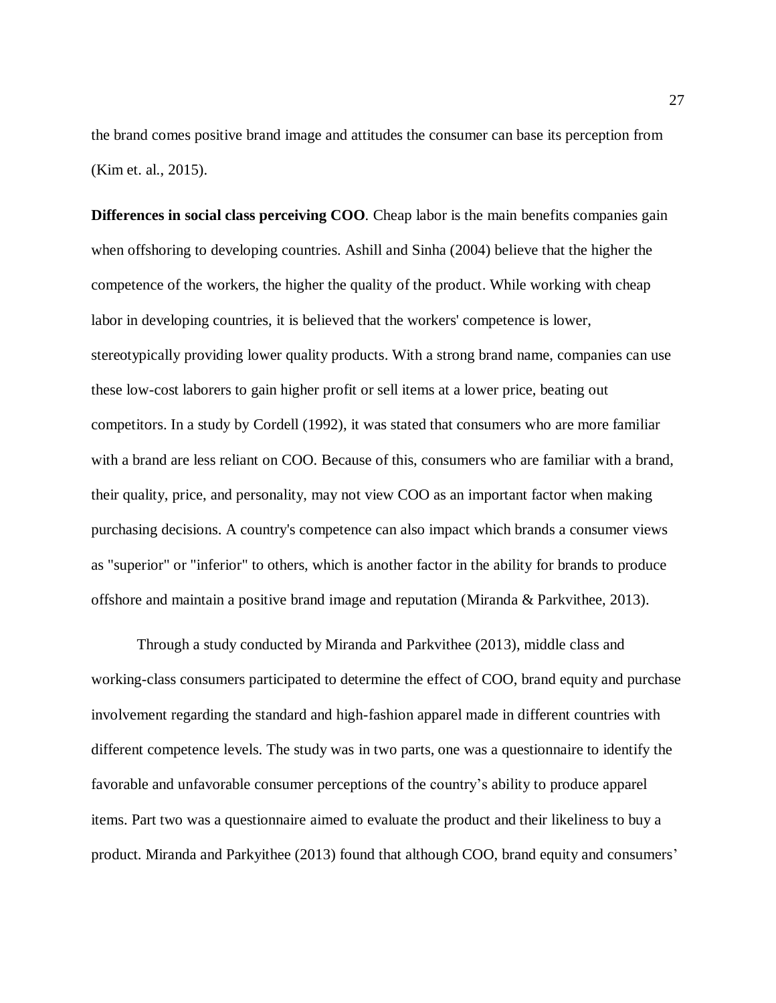the brand comes positive brand image and attitudes the consumer can base its perception from (Kim et. al., 2015).

**Differences in social class perceiving COO**. Cheap labor is the main benefits companies gain when offshoring to developing countries. Ashill and Sinha (2004) believe that the higher the competence of the workers, the higher the quality of the product. While working with cheap labor in developing countries, it is believed that the workers' competence is lower, stereotypically providing lower quality products. With a strong brand name, companies can use these low-cost laborers to gain higher profit or sell items at a lower price, beating out competitors. In a study by Cordell (1992), it was stated that consumers who are more familiar with a brand are less reliant on COO. Because of this, consumers who are familiar with a brand, their quality, price, and personality, may not view COO as an important factor when making purchasing decisions. A country's competence can also impact which brands a consumer views as "superior" or "inferior" to others, which is another factor in the ability for brands to produce offshore and maintain a positive brand image and reputation (Miranda & Parkvithee, 2013).

Through a study conducted by Miranda and Parkvithee (2013), middle class and working-class consumers participated to determine the effect of COO, brand equity and purchase involvement regarding the standard and high-fashion apparel made in different countries with different competence levels. The study was in two parts, one was a questionnaire to identify the favorable and unfavorable consumer perceptions of the country's ability to produce apparel items. Part two was a questionnaire aimed to evaluate the product and their likeliness to buy a product. Miranda and Parkyithee (2013) found that although COO, brand equity and consumers'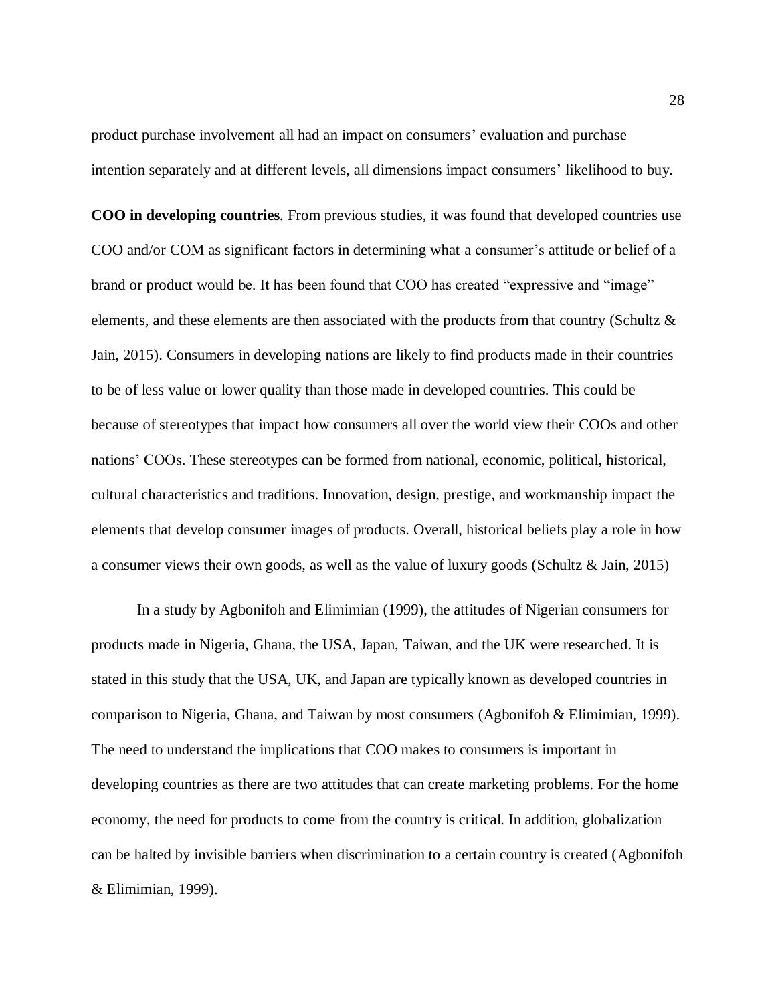product purchase involvement all had an impact on consumers' evaluation and purchase intention separately and at different levels, all dimensions impact consumers' likelihood to buy.

**COO in developing countries***.* From previous studies, it was found that developed countries use COO and/or COM as significant factors in determining what a consumer's attitude or belief of a brand or product would be. It has been found that COO has created "expressive and "image" elements, and these elements are then associated with the products from that country (Schultz & Jain, 2015). Consumers in developing nations are likely to find products made in their countries to be of less value or lower quality than those made in developed countries. This could be because of stereotypes that impact how consumers all over the world view their COOs and other nations' COOs. These stereotypes can be formed from national, economic, political, historical, cultural characteristics and traditions. Innovation, design, prestige, and workmanship impact the elements that develop consumer images of products. Overall, historical beliefs play a role in how a consumer views their own goods, as well as the value of luxury goods (Schultz & Jain, 2015)

In a study by Agbonifoh and Elimimian (1999), the attitudes of Nigerian consumers for products made in Nigeria, Ghana, the USA, Japan, Taiwan, and the UK were researched. It is stated in this study that the USA, UK, and Japan are typically known as developed countries in comparison to Nigeria, Ghana, and Taiwan by most consumers (Agbonifoh & Elimimian, 1999). The need to understand the implications that COO makes to consumers is important in developing countries as there are two attitudes that can create marketing problems. For the home economy, the need for products to come from the country is critical. In addition, globalization can be halted by invisible barriers when discrimination to a certain country is created (Agbonifoh & Elimimian, 1999).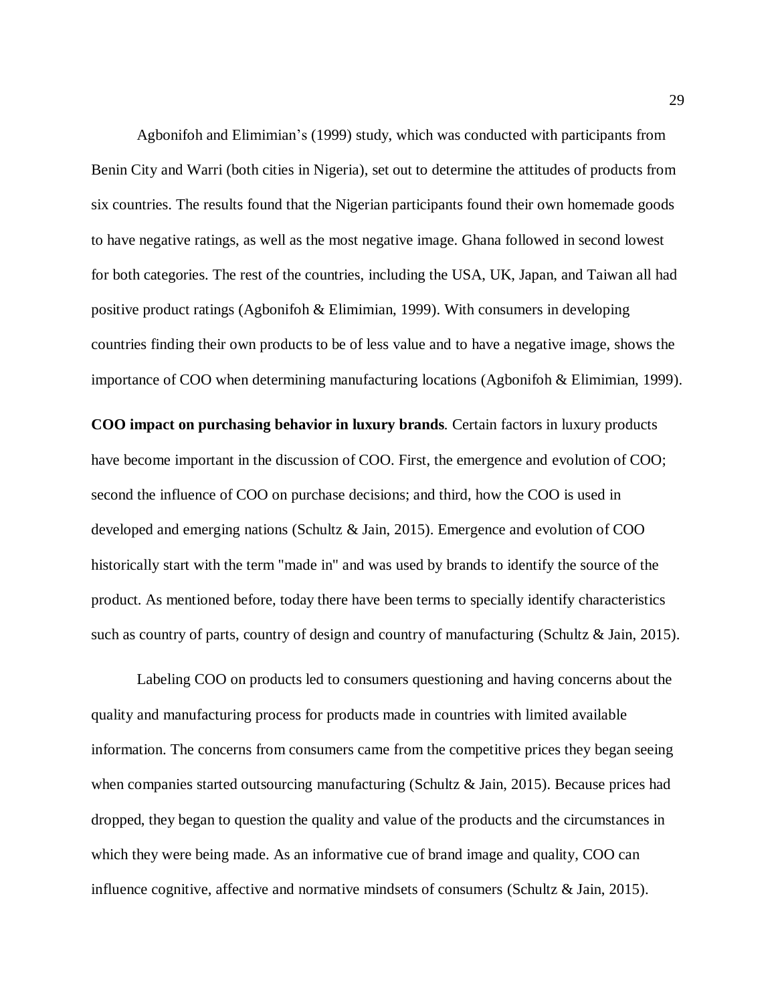Agbonifoh and Elimimian's (1999) study, which was conducted with participants from Benin City and Warri (both cities in Nigeria), set out to determine the attitudes of products from six countries. The results found that the Nigerian participants found their own homemade goods to have negative ratings, as well as the most negative image. Ghana followed in second lowest for both categories. The rest of the countries, including the USA, UK, Japan, and Taiwan all had positive product ratings (Agbonifoh & Elimimian, 1999). With consumers in developing countries finding their own products to be of less value and to have a negative image, shows the importance of COO when determining manufacturing locations (Agbonifoh & Elimimian, 1999).

**COO impact on purchasing behavior in luxury brands***.* Certain factors in luxury products have become important in the discussion of COO. First, the emergence and evolution of COO; second the influence of COO on purchase decisions; and third, how the COO is used in developed and emerging nations (Schultz & Jain, 2015). Emergence and evolution of COO historically start with the term "made in" and was used by brands to identify the source of the product. As mentioned before, today there have been terms to specially identify characteristics such as country of parts, country of design and country of manufacturing (Schultz & Jain, 2015).

Labeling COO on products led to consumers questioning and having concerns about the quality and manufacturing process for products made in countries with limited available information. The concerns from consumers came from the competitive prices they began seeing when companies started outsourcing manufacturing (Schultz & Jain, 2015). Because prices had dropped, they began to question the quality and value of the products and the circumstances in which they were being made. As an informative cue of brand image and quality, COO can influence cognitive, affective and normative mindsets of consumers (Schultz & Jain, 2015).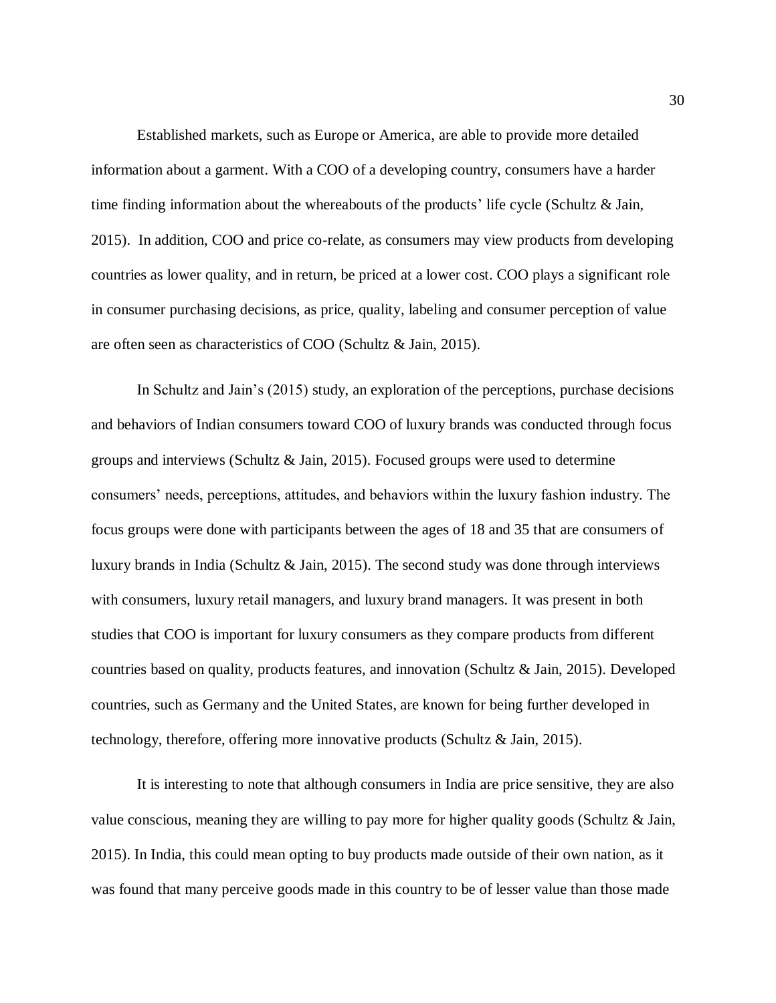Established markets, such as Europe or America, are able to provide more detailed information about a garment. With a COO of a developing country, consumers have a harder time finding information about the whereabouts of the products' life cycle (Schultz & Jain, 2015). In addition, COO and price co-relate, as consumers may view products from developing countries as lower quality, and in return, be priced at a lower cost. COO plays a significant role in consumer purchasing decisions, as price, quality, labeling and consumer perception of value are often seen as characteristics of COO (Schultz & Jain, 2015).

In Schultz and Jain's (2015) study, an exploration of the perceptions, purchase decisions and behaviors of Indian consumers toward COO of luxury brands was conducted through focus groups and interviews (Schultz & Jain, 2015). Focused groups were used to determine consumers' needs, perceptions, attitudes, and behaviors within the luxury fashion industry. The focus groups were done with participants between the ages of 18 and 35 that are consumers of luxury brands in India (Schultz & Jain, 2015). The second study was done through interviews with consumers, luxury retail managers, and luxury brand managers. It was present in both studies that COO is important for luxury consumers as they compare products from different countries based on quality, products features, and innovation (Schultz & Jain, 2015). Developed countries, such as Germany and the United States, are known for being further developed in technology, therefore, offering more innovative products (Schultz & Jain, 2015).

It is interesting to note that although consumers in India are price sensitive, they are also value conscious, meaning they are willing to pay more for higher quality goods (Schultz & Jain, 2015). In India, this could mean opting to buy products made outside of their own nation, as it was found that many perceive goods made in this country to be of lesser value than those made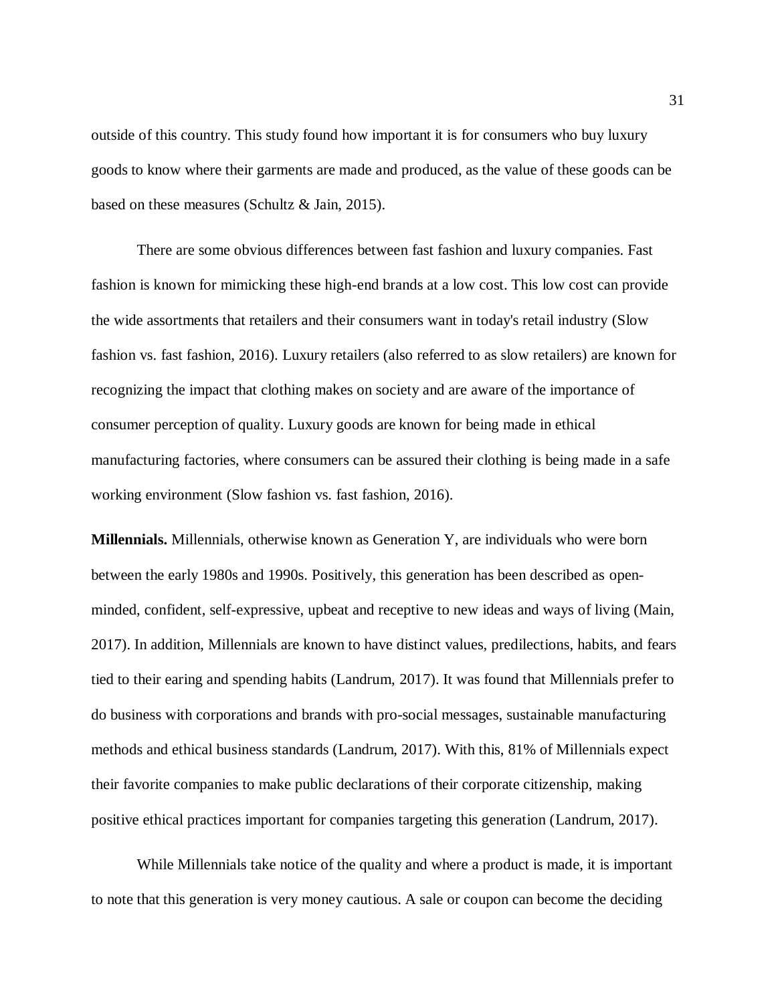outside of this country. This study found how important it is for consumers who buy luxury goods to know where their garments are made and produced, as the value of these goods can be based on these measures (Schultz & Jain, 2015).

There are some obvious differences between fast fashion and luxury companies. Fast fashion is known for mimicking these high-end brands at a low cost. This low cost can provide the wide assortments that retailers and their consumers want in today's retail industry (Slow fashion vs. fast fashion, 2016). Luxury retailers (also referred to as slow retailers) are known for recognizing the impact that clothing makes on society and are aware of the importance of consumer perception of quality. Luxury goods are known for being made in ethical manufacturing factories, where consumers can be assured their clothing is being made in a safe working environment (Slow fashion vs. fast fashion, 2016).

**Millennials.** Millennials, otherwise known as Generation Y, are individuals who were born between the early 1980s and 1990s. Positively, this generation has been described as openminded, confident, self-expressive, upbeat and receptive to new ideas and ways of living (Main, 2017). In addition, Millennials are known to have distinct values, predilections, habits, and fears tied to their earing and spending habits (Landrum, 2017). It was found that Millennials prefer to do business with corporations and brands with pro-social messages, sustainable manufacturing methods and ethical business standards (Landrum, 2017). With this, 81% of Millennials expect their favorite companies to make public declarations of their corporate citizenship, making positive ethical practices important for companies targeting this generation (Landrum, 2017).

While Millennials take notice of the quality and where a product is made, it is important to note that this generation is very money cautious. A sale or coupon can become the deciding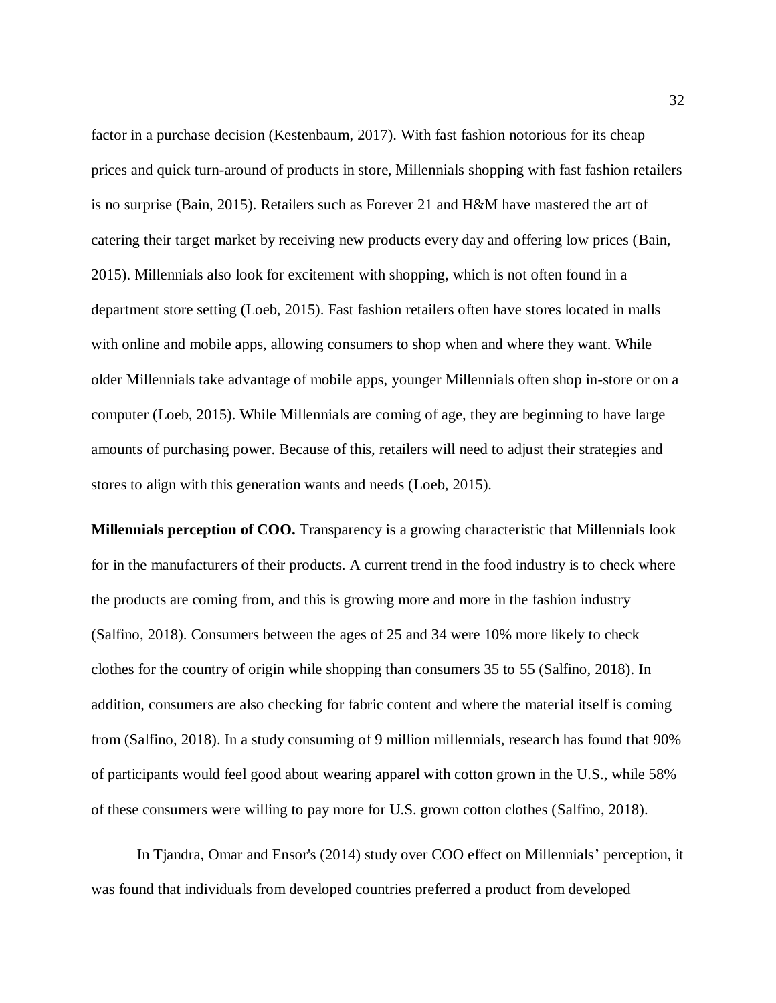factor in a purchase decision (Kestenbaum, 2017). With fast fashion notorious for its cheap prices and quick turn-around of products in store, Millennials shopping with fast fashion retailers is no surprise (Bain, 2015). Retailers such as Forever 21 and H&M have mastered the art of catering their target market by receiving new products every day and offering low prices (Bain, 2015). Millennials also look for excitement with shopping, which is not often found in a department store setting (Loeb, 2015). Fast fashion retailers often have stores located in malls with online and mobile apps, allowing consumers to shop when and where they want. While older Millennials take advantage of mobile apps, younger Millennials often shop in-store or on a computer (Loeb, 2015). While Millennials are coming of age, they are beginning to have large amounts of purchasing power. Because of this, retailers will need to adjust their strategies and stores to align with this generation wants and needs (Loeb, 2015).

**Millennials perception of COO.** Transparency is a growing characteristic that Millennials look for in the manufacturers of their products. A current trend in the food industry is to check where the products are coming from, and this is growing more and more in the fashion industry (Salfino, 2018). Consumers between the ages of 25 and 34 were 10% more likely to check clothes for the country of origin while shopping than consumers 35 to 55 (Salfino, 2018). In addition, consumers are also checking for fabric content and where the material itself is coming from (Salfino, 2018). In a study consuming of 9 million millennials, research has found that 90% of participants would feel good about wearing apparel with cotton grown in the U.S., while 58% of these consumers were willing to pay more for U.S. grown cotton clothes (Salfino, 2018).

In Tjandra, Omar and Ensor's (2014) study over COO effect on Millennials' perception, it was found that individuals from developed countries preferred a product from developed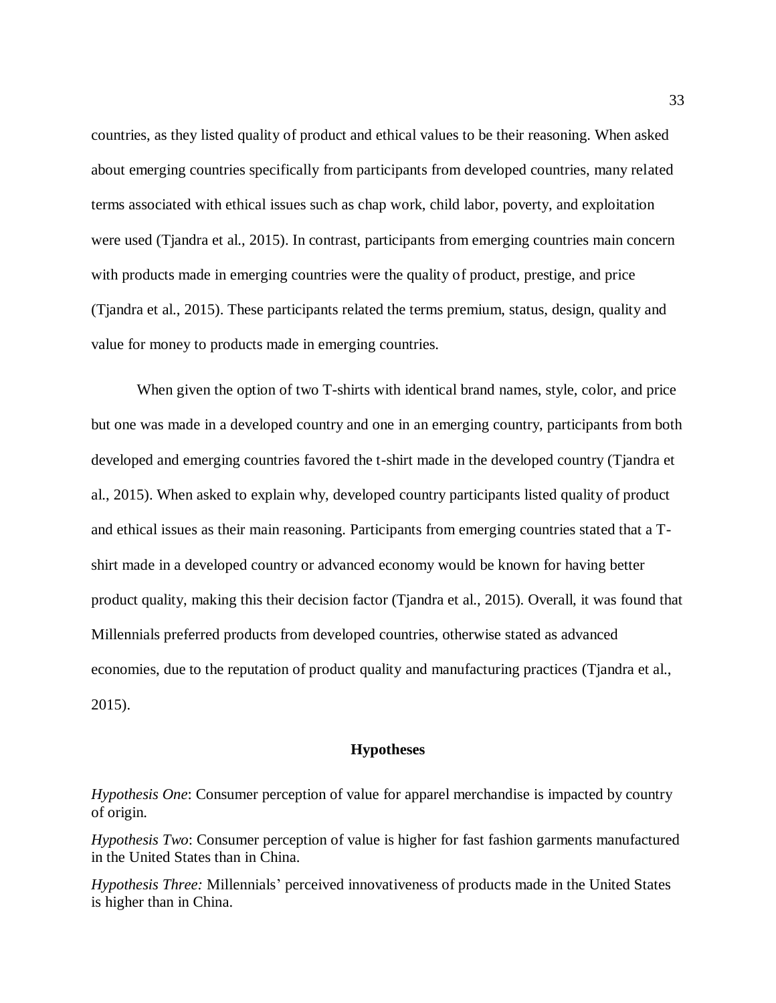countries, as they listed quality of product and ethical values to be their reasoning. When asked about emerging countries specifically from participants from developed countries, many related terms associated with ethical issues such as chap work, child labor, poverty, and exploitation were used (Tjandra et al., 2015). In contrast, participants from emerging countries main concern with products made in emerging countries were the quality of product, prestige, and price (Tjandra et al., 2015). These participants related the terms premium, status, design, quality and value for money to products made in emerging countries.

When given the option of two T-shirts with identical brand names, style, color, and price but one was made in a developed country and one in an emerging country, participants from both developed and emerging countries favored the t-shirt made in the developed country (Tjandra et al., 2015). When asked to explain why, developed country participants listed quality of product and ethical issues as their main reasoning. Participants from emerging countries stated that a Tshirt made in a developed country or advanced economy would be known for having better product quality, making this their decision factor (Tjandra et al., 2015). Overall, it was found that Millennials preferred products from developed countries, otherwise stated as advanced economies, due to the reputation of product quality and manufacturing practices (Tjandra et al., 2015).

#### **Hypotheses**

*Hypothesis One*: Consumer perception of value for apparel merchandise is impacted by country of origin.

*Hypothesis Two*: Consumer perception of value is higher for fast fashion garments manufactured in the United States than in China.

*Hypothesis Three:* Millennials' perceived innovativeness of products made in the United States is higher than in China.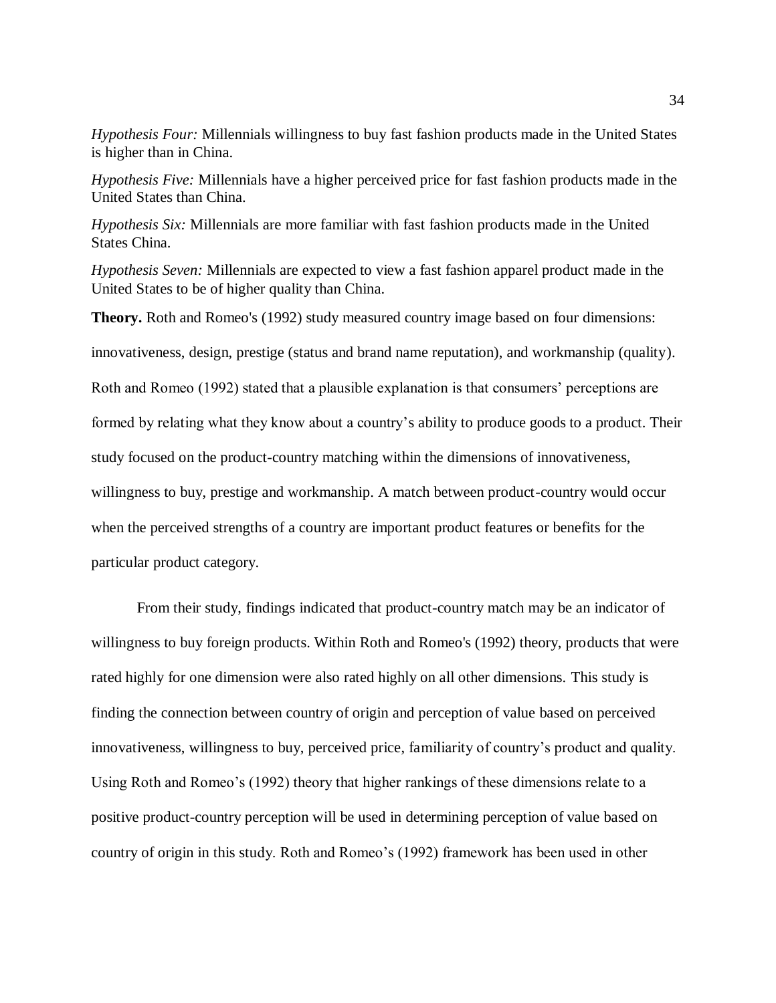*Hypothesis Four:* Millennials willingness to buy fast fashion products made in the United States is higher than in China.

*Hypothesis Five:* Millennials have a higher perceived price for fast fashion products made in the United States than China.

*Hypothesis Six:* Millennials are more familiar with fast fashion products made in the United States China.

*Hypothesis Seven:* Millennials are expected to view a fast fashion apparel product made in the United States to be of higher quality than China.

**Theory.** Roth and Romeo's (1992) study measured country image based on four dimensions:

innovativeness, design, prestige (status and brand name reputation), and workmanship (quality).

Roth and Romeo (1992) stated that a plausible explanation is that consumers' perceptions are formed by relating what they know about a country's ability to produce goods to a product. Their study focused on the product-country matching within the dimensions of innovativeness, willingness to buy, prestige and workmanship. A match between product-country would occur when the perceived strengths of a country are important product features or benefits for the particular product category.

From their study, findings indicated that product-country match may be an indicator of willingness to buy foreign products. Within Roth and Romeo's (1992) theory, products that were rated highly for one dimension were also rated highly on all other dimensions. This study is finding the connection between country of origin and perception of value based on perceived innovativeness, willingness to buy, perceived price, familiarity of country's product and quality. Using Roth and Romeo's (1992) theory that higher rankings of these dimensions relate to a positive product-country perception will be used in determining perception of value based on country of origin in this study. Roth and Romeo's (1992) framework has been used in other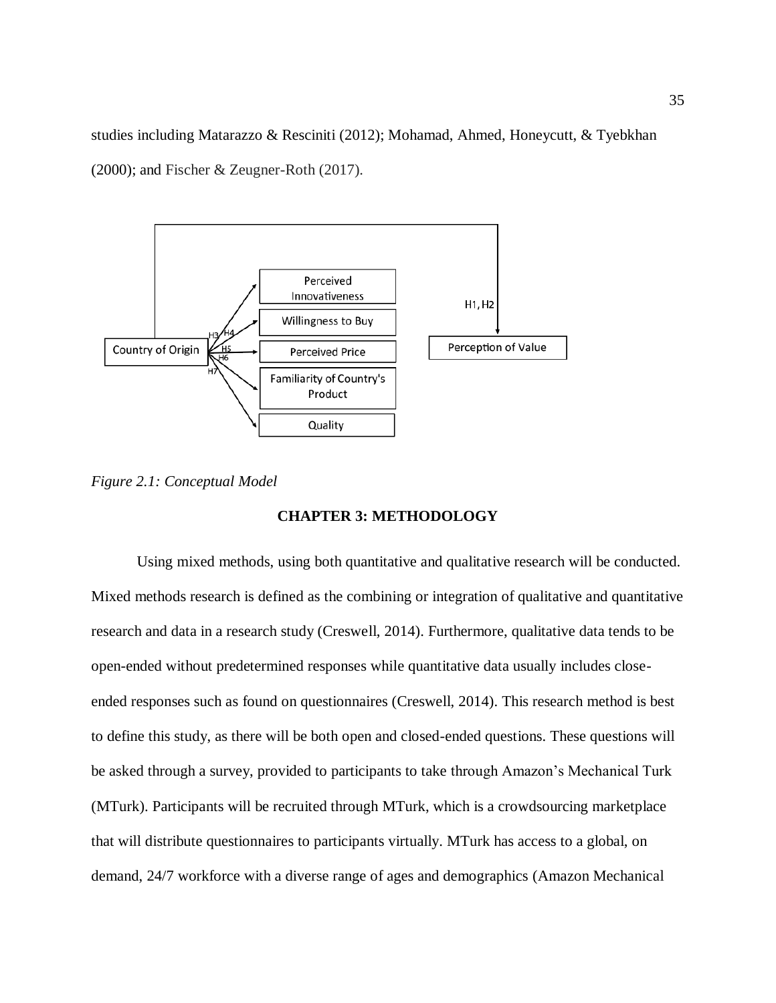studies including Matarazzo & Resciniti (2012); Mohamad, Ahmed, Honeycutt, & Tyebkhan (2000); and Fischer & Zeugner-Roth (2017).



*Figure 2.1: Conceptual Model*

# **CHAPTER 3: METHODOLOGY**

Using mixed methods, using both quantitative and qualitative research will be conducted. Mixed methods research is defined as the combining or integration of qualitative and quantitative research and data in a research study (Creswell, 2014). Furthermore, qualitative data tends to be open-ended without predetermined responses while quantitative data usually includes closeended responses such as found on questionnaires (Creswell, 2014). This research method is best to define this study, as there will be both open and closed-ended questions. These questions will be asked through a survey, provided to participants to take through Amazon's Mechanical Turk (MTurk). Participants will be recruited through MTurk, which is a crowdsourcing marketplace that will distribute questionnaires to participants virtually. MTurk has access to a global, on demand, 24/7 workforce with a diverse range of ages and demographics (Amazon Mechanical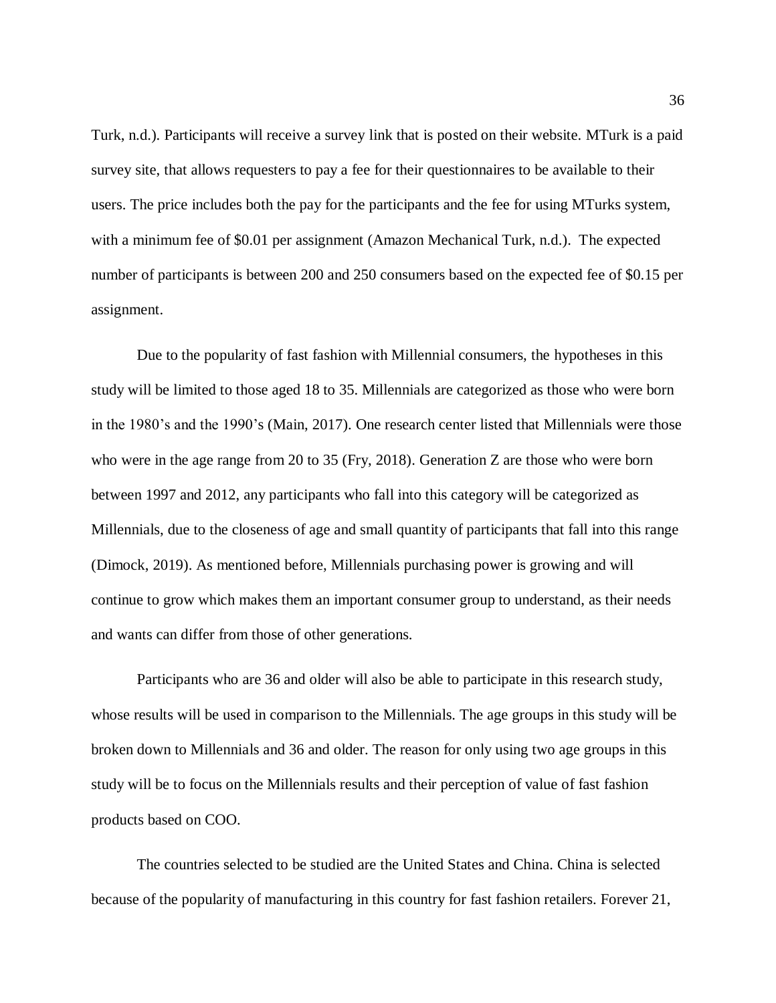Turk, n.d.). Participants will receive a survey link that is posted on their website. MTurk is a paid survey site, that allows requesters to pay a fee for their questionnaires to be available to their users. The price includes both the pay for the participants and the fee for using MTurks system, with a minimum fee of \$0.01 per assignment (Amazon Mechanical Turk, n.d.). The expected number of participants is between 200 and 250 consumers based on the expected fee of \$0.15 per assignment.

Due to the popularity of fast fashion with Millennial consumers, the hypotheses in this study will be limited to those aged 18 to 35. Millennials are categorized as those who were born in the 1980's and the 1990's (Main, 2017). One research center listed that Millennials were those who were in the age range from 20 to 35 (Fry, 2018). Generation Z are those who were born between 1997 and 2012, any participants who fall into this category will be categorized as Millennials, due to the closeness of age and small quantity of participants that fall into this range (Dimock, 2019). As mentioned before, Millennials purchasing power is growing and will continue to grow which makes them an important consumer group to understand, as their needs and wants can differ from those of other generations.

Participants who are 36 and older will also be able to participate in this research study, whose results will be used in comparison to the Millennials. The age groups in this study will be broken down to Millennials and 36 and older. The reason for only using two age groups in this study will be to focus on the Millennials results and their perception of value of fast fashion products based on COO.

The countries selected to be studied are the United States and China. China is selected because of the popularity of manufacturing in this country for fast fashion retailers. Forever 21,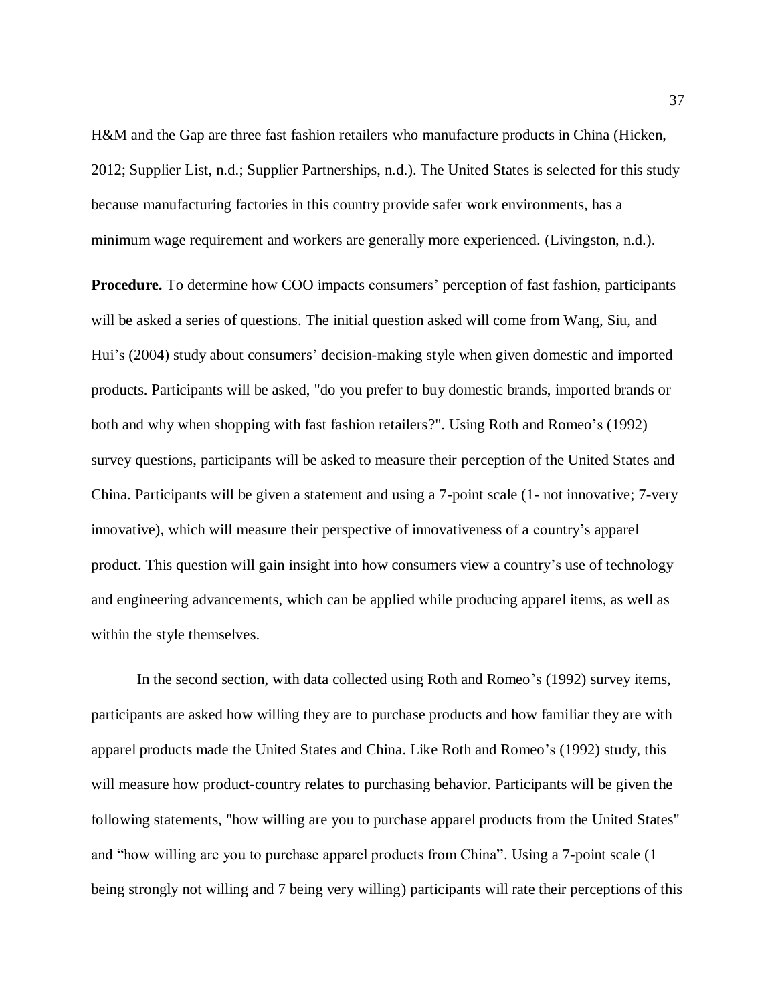H&M and the Gap are three fast fashion retailers who manufacture products in China (Hicken, 2012; Supplier List, n.d.; Supplier Partnerships, n.d.). The United States is selected for this study because manufacturing factories in this country provide safer work environments, has a minimum wage requirement and workers are generally more experienced. (Livingston, n.d.).

**Procedure.** To determine how COO impacts consumers' perception of fast fashion, participants will be asked a series of questions. The initial question asked will come from Wang, Siu, and Hui's (2004) study about consumers' decision-making style when given domestic and imported products. Participants will be asked, "do you prefer to buy domestic brands, imported brands or both and why when shopping with fast fashion retailers?". Using Roth and Romeo's (1992) survey questions, participants will be asked to measure their perception of the United States and China. Participants will be given a statement and using a 7-point scale (1- not innovative; 7-very innovative), which will measure their perspective of innovativeness of a country's apparel product. This question will gain insight into how consumers view a country's use of technology and engineering advancements, which can be applied while producing apparel items, as well as within the style themselves.

In the second section, with data collected using Roth and Romeo's (1992) survey items, participants are asked how willing they are to purchase products and how familiar they are with apparel products made the United States and China. Like Roth and Romeo's (1992) study, this will measure how product-country relates to purchasing behavior. Participants will be given the following statements, "how willing are you to purchase apparel products from the United States" and "how willing are you to purchase apparel products from China". Using a 7-point scale (1 being strongly not willing and 7 being very willing) participants will rate their perceptions of this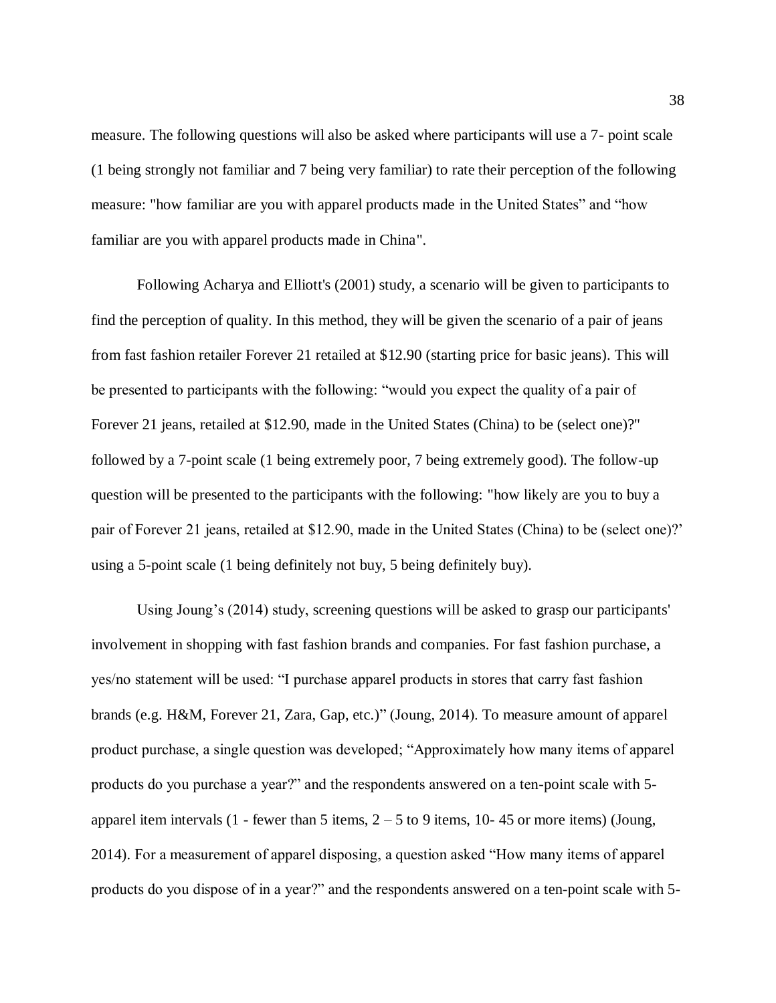measure. The following questions will also be asked where participants will use a 7- point scale (1 being strongly not familiar and 7 being very familiar) to rate their perception of the following measure: "how familiar are you with apparel products made in the United States" and "how familiar are you with apparel products made in China".

Following Acharya and Elliott's (2001) study, a scenario will be given to participants to find the perception of quality. In this method, they will be given the scenario of a pair of jeans from fast fashion retailer Forever 21 retailed at \$12.90 (starting price for basic jeans). This will be presented to participants with the following: "would you expect the quality of a pair of Forever 21 jeans, retailed at \$12.90, made in the United States (China) to be (select one)?" followed by a 7-point scale (1 being extremely poor, 7 being extremely good). The follow-up question will be presented to the participants with the following: "how likely are you to buy a pair of Forever 21 jeans, retailed at \$12.90, made in the United States (China) to be (select one)?' using a 5-point scale (1 being definitely not buy, 5 being definitely buy).

Using Joung's (2014) study, screening questions will be asked to grasp our participants' involvement in shopping with fast fashion brands and companies. For fast fashion purchase, a yes/no statement will be used: "I purchase apparel products in stores that carry fast fashion brands (e.g. H&M, Forever 21, Zara, Gap, etc.)" (Joung, 2014). To measure amount of apparel product purchase, a single question was developed; "Approximately how many items of apparel products do you purchase a year?" and the respondents answered on a ten-point scale with 5 apparel item intervals (1 - fewer than 5 items,  $2 - 5$  to 9 items, 10-45 or more items) (Joung, 2014). For a measurement of apparel disposing, a question asked "How many items of apparel products do you dispose of in a year?" and the respondents answered on a ten-point scale with 5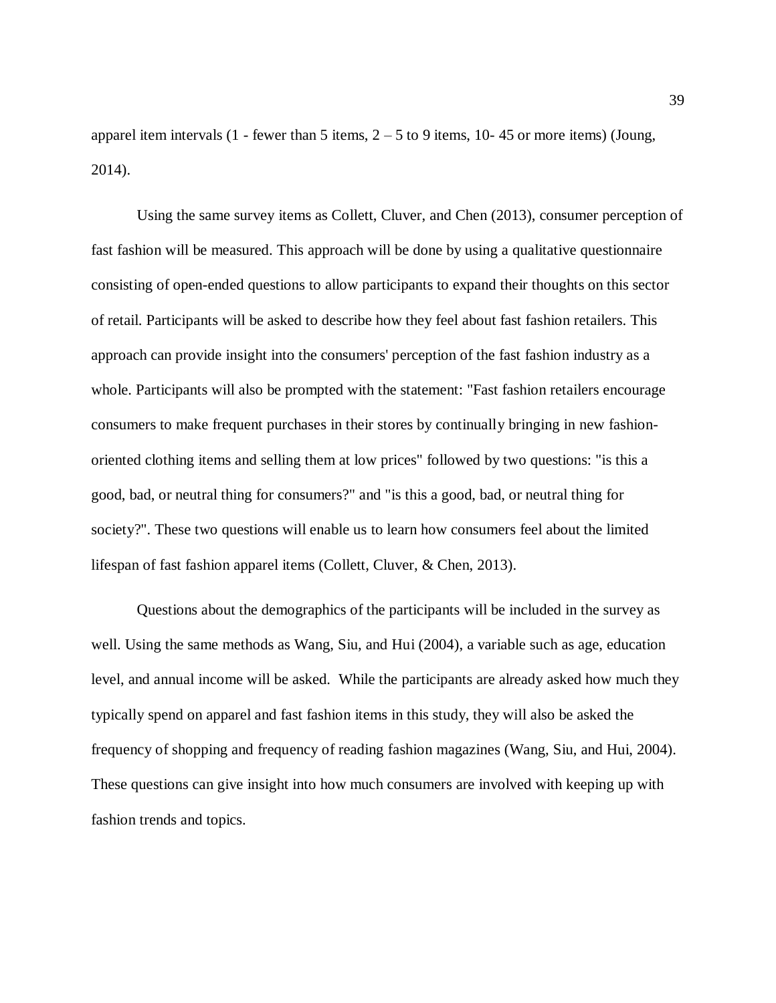apparel item intervals (1 - fewer than 5 items,  $2 - 5$  to 9 items, 10-45 or more items) (Joung, 2014).

Using the same survey items as Collett, Cluver, and Chen (2013), consumer perception of fast fashion will be measured. This approach will be done by using a qualitative questionnaire consisting of open-ended questions to allow participants to expand their thoughts on this sector of retail. Participants will be asked to describe how they feel about fast fashion retailers. This approach can provide insight into the consumers' perception of the fast fashion industry as a whole. Participants will also be prompted with the statement: "Fast fashion retailers encourage consumers to make frequent purchases in their stores by continually bringing in new fashionoriented clothing items and selling them at low prices" followed by two questions: "is this a good, bad, or neutral thing for consumers?" and "is this a good, bad, or neutral thing for society?". These two questions will enable us to learn how consumers feel about the limited lifespan of fast fashion apparel items (Collett, Cluver, & Chen, 2013).

Questions about the demographics of the participants will be included in the survey as well. Using the same methods as Wang, Siu, and Hui (2004), a variable such as age, education level, and annual income will be asked. While the participants are already asked how much they typically spend on apparel and fast fashion items in this study, they will also be asked the frequency of shopping and frequency of reading fashion magazines (Wang, Siu, and Hui, 2004). These questions can give insight into how much consumers are involved with keeping up with fashion trends and topics.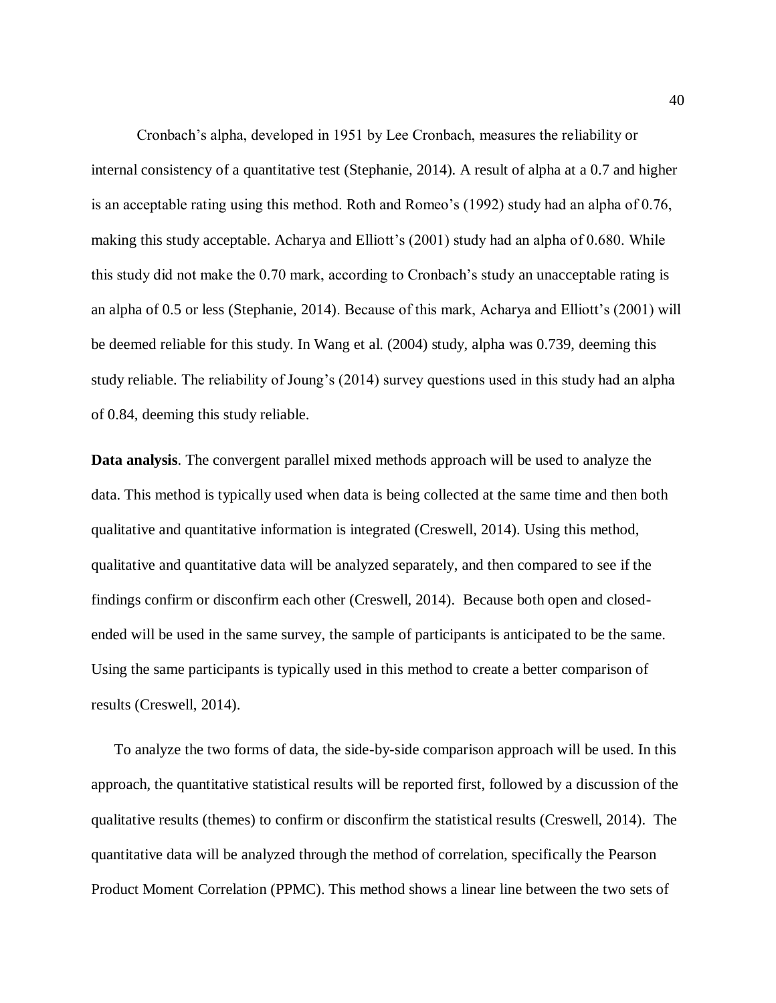Cronbach's alpha, developed in 1951 by Lee Cronbach, measures the reliability or internal consistency of a quantitative test (Stephanie, 2014). A result of alpha at a 0.7 and higher is an acceptable rating using this method. Roth and Romeo's (1992) study had an alpha of 0.76, making this study acceptable. Acharya and Elliott's (2001) study had an alpha of 0.680. While this study did not make the 0.70 mark, according to Cronbach's study an unacceptable rating is an alpha of 0.5 or less (Stephanie, 2014). Because of this mark, Acharya and Elliott's (2001) will be deemed reliable for this study. In Wang et al. (2004) study, alpha was 0.739, deeming this study reliable. The reliability of Joung's (2014) survey questions used in this study had an alpha of 0.84, deeming this study reliable.

**Data analysis**. The convergent parallel mixed methods approach will be used to analyze the data. This method is typically used when data is being collected at the same time and then both qualitative and quantitative information is integrated (Creswell, 2014). Using this method, qualitative and quantitative data will be analyzed separately, and then compared to see if the findings confirm or disconfirm each other (Creswell, 2014). Because both open and closedended will be used in the same survey, the sample of participants is anticipated to be the same. Using the same participants is typically used in this method to create a better comparison of results (Creswell, 2014).

To analyze the two forms of data, the side-by-side comparison approach will be used. In this approach, the quantitative statistical results will be reported first, followed by a discussion of the qualitative results (themes) to confirm or disconfirm the statistical results (Creswell, 2014). The quantitative data will be analyzed through the method of correlation, specifically the Pearson Product Moment Correlation (PPMC). This method shows a linear line between the two sets of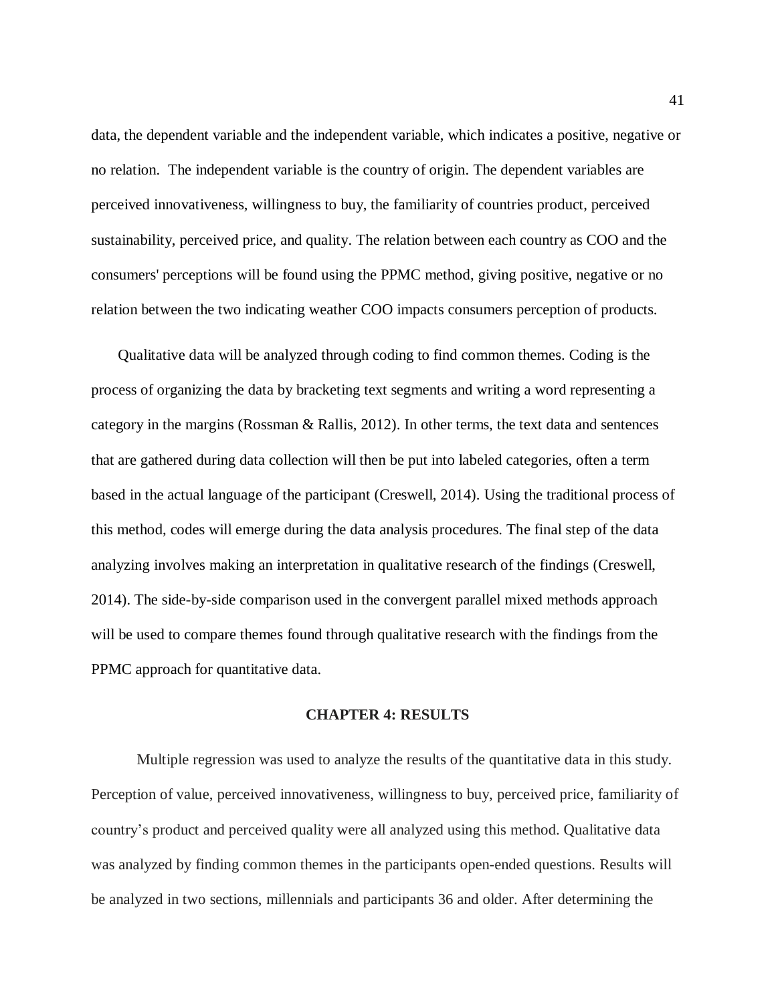data, the dependent variable and the independent variable, which indicates a positive, negative or no relation. The independent variable is the country of origin. The dependent variables are perceived innovativeness, willingness to buy, the familiarity of countries product, perceived sustainability, perceived price, and quality. The relation between each country as COO and the consumers' perceptions will be found using the PPMC method, giving positive, negative or no relation between the two indicating weather COO impacts consumers perception of products.

Qualitative data will be analyzed through coding to find common themes. Coding is the process of organizing the data by bracketing text segments and writing a word representing a category in the margins (Rossman & Rallis, 2012). In other terms, the text data and sentences that are gathered during data collection will then be put into labeled categories, often a term based in the actual language of the participant (Creswell, 2014). Using the traditional process of this method, codes will emerge during the data analysis procedures. The final step of the data analyzing involves making an interpretation in qualitative research of the findings (Creswell, 2014). The side-by-side comparison used in the convergent parallel mixed methods approach will be used to compare themes found through qualitative research with the findings from the PPMC approach for quantitative data.

#### **CHAPTER 4: RESULTS**

Multiple regression was used to analyze the results of the quantitative data in this study. Perception of value, perceived innovativeness, willingness to buy, perceived price, familiarity of country's product and perceived quality were all analyzed using this method. Qualitative data was analyzed by finding common themes in the participants open-ended questions. Results will be analyzed in two sections, millennials and participants 36 and older. After determining the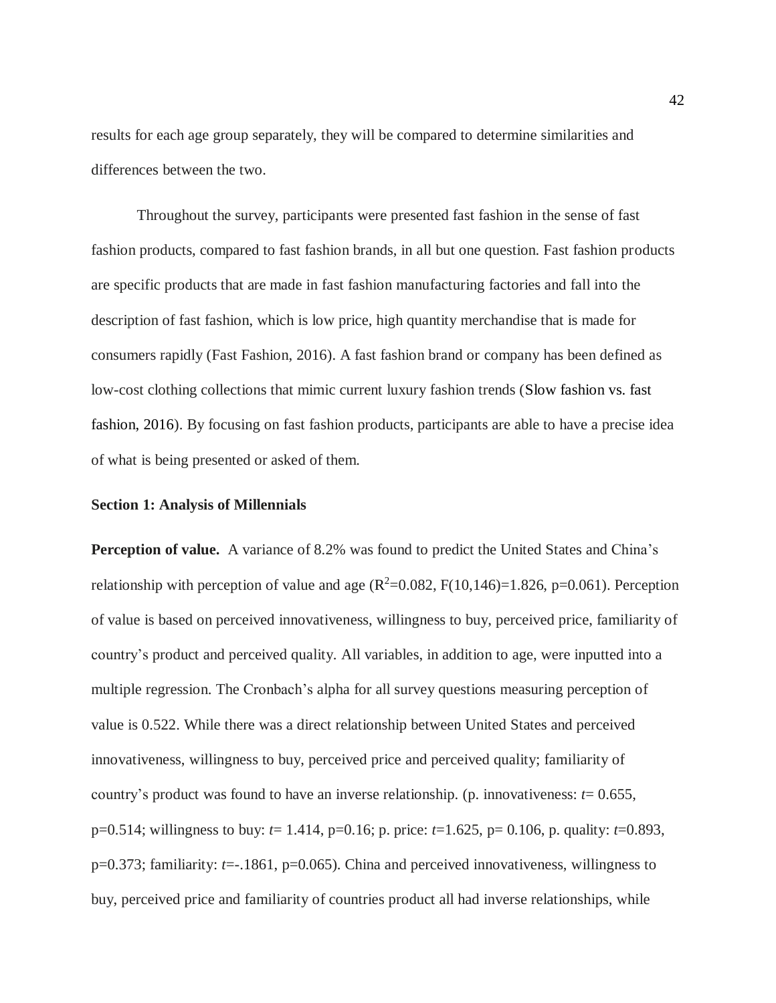results for each age group separately, they will be compared to determine similarities and differences between the two.

Throughout the survey, participants were presented fast fashion in the sense of fast fashion products, compared to fast fashion brands, in all but one question. Fast fashion products are specific products that are made in fast fashion manufacturing factories and fall into the description of fast fashion, which is low price, high quantity merchandise that is made for consumers rapidly (Fast Fashion, 2016). A fast fashion brand or company has been defined as low-cost clothing collections that mimic current luxury fashion trends (Slow fashion vs. fast fashion, 2016). By focusing on fast fashion products, participants are able to have a precise idea of what is being presented or asked of them.

# **Section 1: Analysis of Millennials**

**Perception of value.** A variance of 8.2% was found to predict the United States and China's relationship with perception of value and age  $(R^2=0.082, F(10,146)=1.826, p=0.061)$ . Perception of value is based on perceived innovativeness, willingness to buy, perceived price, familiarity of country's product and perceived quality. All variables, in addition to age, were inputted into a multiple regression. The Cronbach's alpha for all survey questions measuring perception of value is 0.522. While there was a direct relationship between United States and perceived innovativeness, willingness to buy, perceived price and perceived quality; familiarity of country's product was found to have an inverse relationship. (p. innovativeness:  $t=0.655$ , p=0.514; willingness to buy: *t*= 1.414, p=0.16; p. price: *t*=1.625, p= 0.106, p. quality: *t*=0.893, p=0.373; familiarity: *t*=-.1861, p=0.065). China and perceived innovativeness, willingness to buy, perceived price and familiarity of countries product all had inverse relationships, while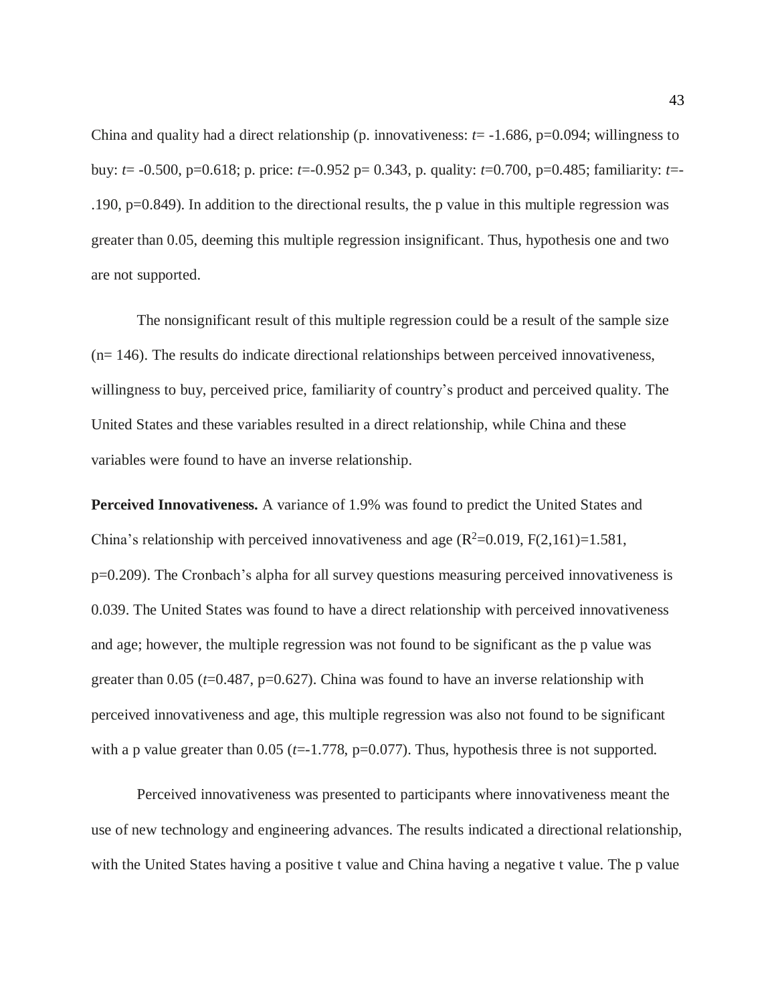China and quality had a direct relationship (p. innovativeness:  $t = -1.686$ , p=0.094; willingness to buy: *t*= -0.500, p=0.618; p. price: *t*=-0.952 p= 0.343, p. quality: *t*=0.700, p=0.485; familiarity: *t*=- .190, p=0.849). In addition to the directional results, the p value in this multiple regression was greater than 0.05, deeming this multiple regression insignificant. Thus, hypothesis one and two are not supported.

The nonsignificant result of this multiple regression could be a result of the sample size (n= 146). The results do indicate directional relationships between perceived innovativeness, willingness to buy, perceived price, familiarity of country's product and perceived quality. The United States and these variables resulted in a direct relationship, while China and these variables were found to have an inverse relationship.

**Perceived Innovativeness.** A variance of 1.9% was found to predict the United States and China's relationship with perceived innovativeness and age  $(R^2=0.019, F(2,161)=1.581,$ p=0.209). The Cronbach's alpha for all survey questions measuring perceived innovativeness is 0.039. The United States was found to have a direct relationship with perceived innovativeness and age; however, the multiple regression was not found to be significant as the p value was greater than 0.05 (*t*=0.487, p=0.627). China was found to have an inverse relationship with perceived innovativeness and age, this multiple regression was also not found to be significant with a p value greater than  $0.05$  ( $t=1.778$ ,  $p=0.077$ ). Thus, hypothesis three is not supported.

Perceived innovativeness was presented to participants where innovativeness meant the use of new technology and engineering advances. The results indicated a directional relationship, with the United States having a positive t value and China having a negative t value. The p value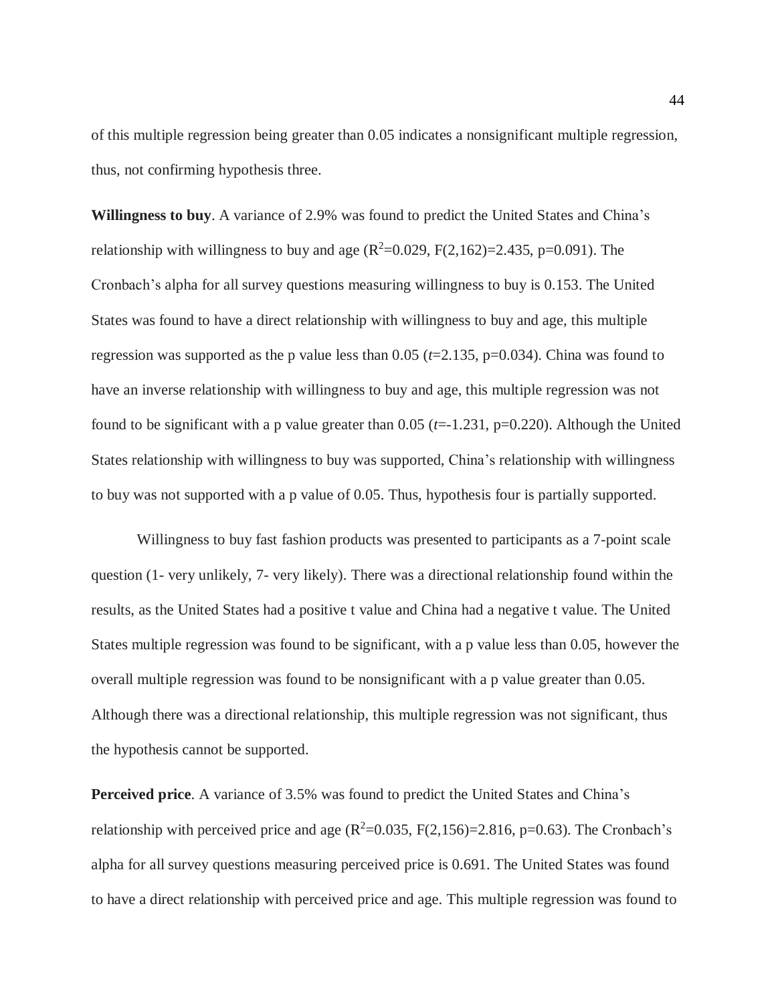of this multiple regression being greater than 0.05 indicates a nonsignificant multiple regression, thus, not confirming hypothesis three.

**Willingness to buy**. A variance of 2.9% was found to predict the United States and China's relationship with willingness to buy and age  $(R^2=0.029, F(2,162)=2.435, p=0.091)$ . The Cronbach's alpha for all survey questions measuring willingness to buy is 0.153. The United States was found to have a direct relationship with willingness to buy and age, this multiple regression was supported as the p value less than 0.05 (*t*=2.135, p=0.034). China was found to have an inverse relationship with willingness to buy and age, this multiple regression was not found to be significant with a p value greater than  $0.05$  ( $t=-1.231$ ,  $p=0.220$ ). Although the United States relationship with willingness to buy was supported, China's relationship with willingness to buy was not supported with a p value of 0.05. Thus, hypothesis four is partially supported.

Willingness to buy fast fashion products was presented to participants as a 7-point scale question (1- very unlikely, 7- very likely). There was a directional relationship found within the results, as the United States had a positive t value and China had a negative t value. The United States multiple regression was found to be significant, with a p value less than 0.05, however the overall multiple regression was found to be nonsignificant with a p value greater than 0.05. Although there was a directional relationship, this multiple regression was not significant, thus the hypothesis cannot be supported.

**Perceived price**. A variance of 3.5% was found to predict the United States and China's relationship with perceived price and age  $(R^2=0.035, F(2,156)=2.816, p=0.63)$ . The Cronbach's alpha for all survey questions measuring perceived price is 0.691. The United States was found to have a direct relationship with perceived price and age. This multiple regression was found to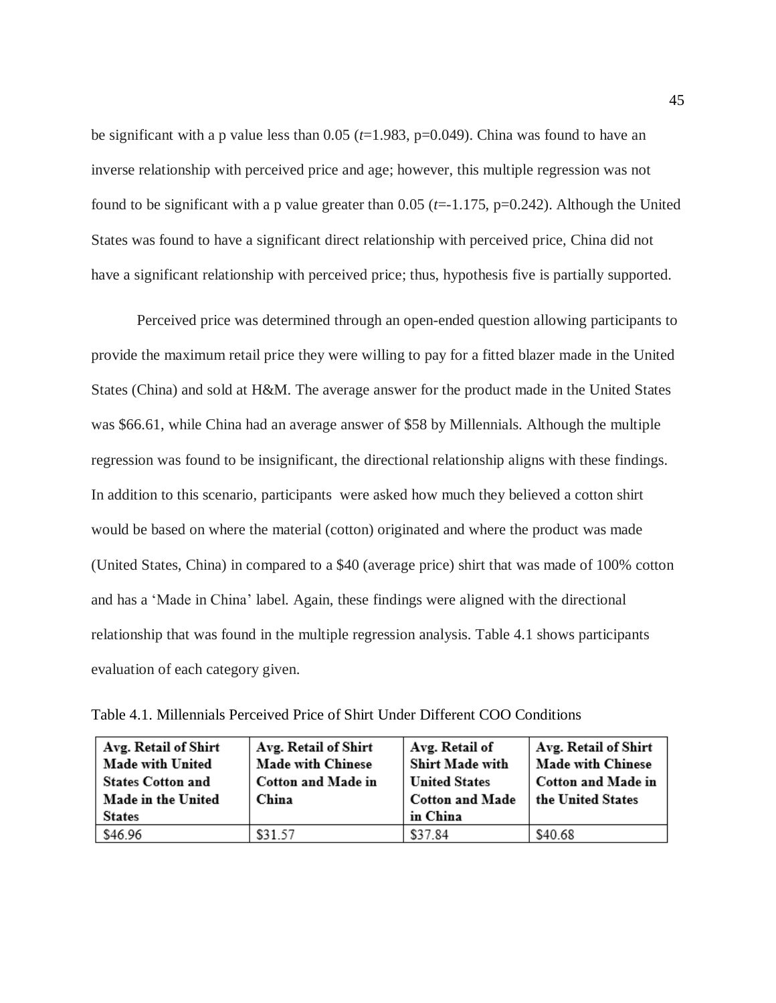be significant with a p value less than 0.05 (*t*=1.983, p=0.049). China was found to have an inverse relationship with perceived price and age; however, this multiple regression was not found to be significant with a p value greater than  $0.05$  ( $t=-1.175$ ,  $p=0.242$ ). Although the United States was found to have a significant direct relationship with perceived price, China did not have a significant relationship with perceived price; thus, hypothesis five is partially supported.

Perceived price was determined through an open-ended question allowing participants to provide the maximum retail price they were willing to pay for a fitted blazer made in the United States (China) and sold at H&M. The average answer for the product made in the United States was \$66.61, while China had an average answer of \$58 by Millennials. Although the multiple regression was found to be insignificant, the directional relationship aligns with these findings. In addition to this scenario, participants were asked how much they believed a cotton shirt would be based on where the material (cotton) originated and where the product was made (United States, China) in compared to a \$40 (average price) shirt that was made of 100% cotton and has a 'Made in China' label. Again, these findings were aligned with the directional relationship that was found in the multiple regression analysis. Table 4.1 shows participants evaluation of each category given.

Table 4.1. Millennials Perceived Price of Shirt Under Different COO Conditions

| Avg. Retail of Shirt<br><b>Made with United</b><br><b>States Cotton and</b><br>Made in the United<br><b>States</b> | Avg. Retail of Shirt<br><b>Made with Chinese</b><br><b>Cotton and Made in</b><br>China | Avg. Retail of<br><b>Shirt Made with</b><br><b>United States</b><br><b>Cotton and Made</b><br>in China | Avg. Retail of Shirt<br>Made with Chinese<br>Cotton and Made in<br>the United States |
|--------------------------------------------------------------------------------------------------------------------|----------------------------------------------------------------------------------------|--------------------------------------------------------------------------------------------------------|--------------------------------------------------------------------------------------|
| \$46.96                                                                                                            | \$31.57                                                                                | \$37.84                                                                                                | \$40.68                                                                              |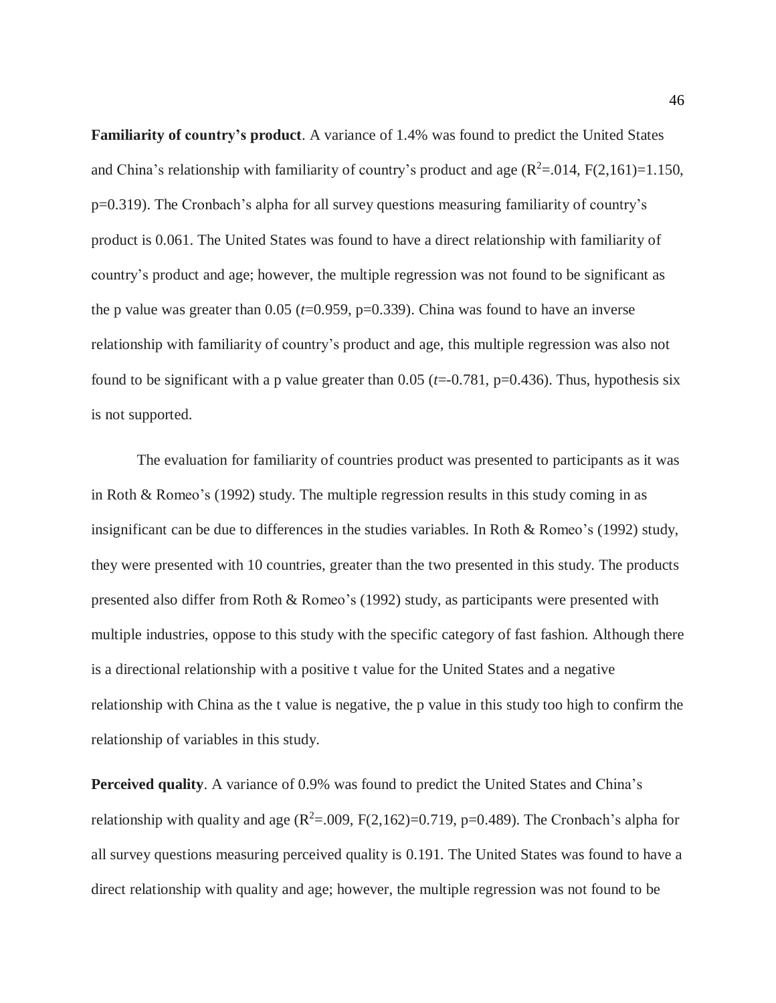**Familiarity of country's product**. A variance of 1.4% was found to predict the United States and China's relationship with familiarity of country's product and age  $(R^2=0.014, F(2,161)=1.150,$ p=0.319). The Cronbach's alpha for all survey questions measuring familiarity of country's product is 0.061. The United States was found to have a direct relationship with familiarity of country's product and age; however, the multiple regression was not found to be significant as the p value was greater than  $0.05$  ( $t=0.959$ ,  $p=0.339$ ). China was found to have an inverse relationship with familiarity of country's product and age, this multiple regression was also not found to be significant with a p value greater than  $0.05$  ( $t=0.781$ ,  $p=0.436$ ). Thus, hypothesis six is not supported.

The evaluation for familiarity of countries product was presented to participants as it was in Roth & Romeo's (1992) study. The multiple regression results in this study coming in as insignificant can be due to differences in the studies variables. In Roth & Romeo's (1992) study, they were presented with 10 countries, greater than the two presented in this study. The products presented also differ from Roth & Romeo's (1992) study, as participants were presented with multiple industries, oppose to this study with the specific category of fast fashion. Although there is a directional relationship with a positive t value for the United States and a negative relationship with China as the t value is negative, the p value in this study too high to confirm the relationship of variables in this study.

**Perceived quality**. A variance of 0.9% was found to predict the United States and China's relationship with quality and age  $(R^2=0.09, F(2,162)=0.719, p=0.489)$ . The Cronbach's alpha for all survey questions measuring perceived quality is 0.191. The United States was found to have a direct relationship with quality and age; however, the multiple regression was not found to be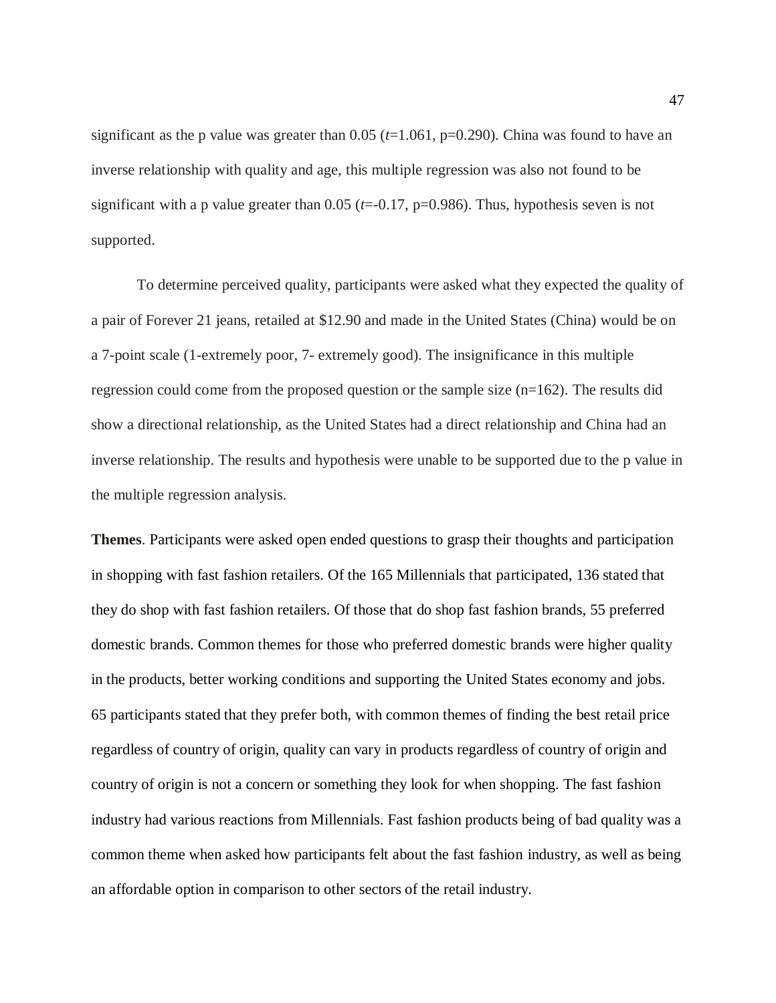significant as the p value was greater than 0.05 (*t*=1.061, p=0.290). China was found to have an inverse relationship with quality and age, this multiple regression was also not found to be significant with a p value greater than  $0.05$  ( $t=0.17$ ,  $p=0.986$ ). Thus, hypothesis seven is not supported.

To determine perceived quality, participants were asked what they expected the quality of a pair of Forever 21 jeans, retailed at \$12.90 and made in the United States (China) would be on a 7-point scale (1-extremely poor, 7- extremely good). The insignificance in this multiple regression could come from the proposed question or the sample size (n=162). The results did show a directional relationship, as the United States had a direct relationship and China had an inverse relationship. The results and hypothesis were unable to be supported due to the p value in the multiple regression analysis.

**Themes**. Participants were asked open ended questions to grasp their thoughts and participation in shopping with fast fashion retailers. Of the 165 Millennials that participated, 136 stated that they do shop with fast fashion retailers. Of those that do shop fast fashion brands, 55 preferred domestic brands. Common themes for those who preferred domestic brands were higher quality in the products, better working conditions and supporting the United States economy and jobs. 65 participants stated that they prefer both, with common themes of finding the best retail price regardless of country of origin, quality can vary in products regardless of country of origin and country of origin is not a concern or something they look for when shopping. The fast fashion industry had various reactions from Millennials. Fast fashion products being of bad quality was a common theme when asked how participants felt about the fast fashion industry, as well as being an affordable option in comparison to other sectors of the retail industry.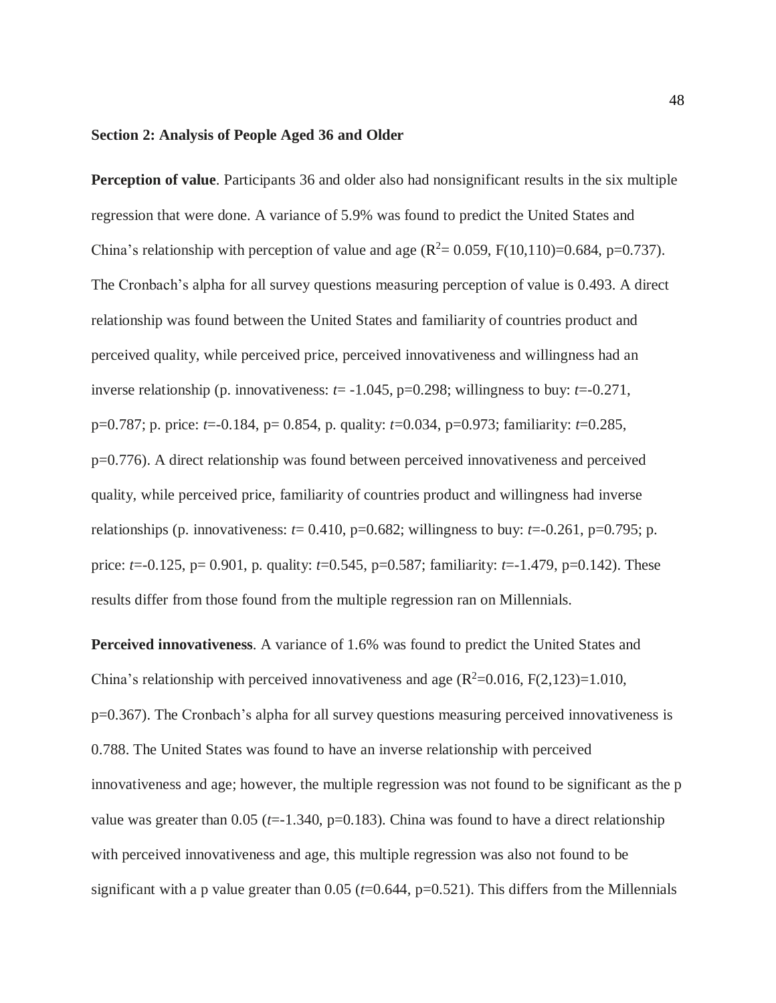#### **Section 2: Analysis of People Aged 36 and Older**

**Perception of value**. Participants 36 and older also had nonsignificant results in the six multiple regression that were done. A variance of 5.9% was found to predict the United States and China's relationship with perception of value and age ( $R^2 = 0.059$ ,  $F(10,110) = 0.684$ , p=0.737). The Cronbach's alpha for all survey questions measuring perception of value is 0.493. A direct relationship was found between the United States and familiarity of countries product and perceived quality, while perceived price, perceived innovativeness and willingness had an inverse relationship (p. innovativeness: *t*= -1.045, p=0.298; willingness to buy: *t*=-0.271, p=0.787; p. price: *t*=-0.184, p= 0.854, p. quality: *t*=0.034, p=0.973; familiarity: *t*=0.285, p=0.776). A direct relationship was found between perceived innovativeness and perceived quality, while perceived price, familiarity of countries product and willingness had inverse relationships (p. innovativeness:  $t = 0.410$ , p=0.682; willingness to buy:  $t = -0.261$ , p=0.795; p. price: *t*=-0.125, p= 0.901, p. quality: *t*=0.545, p=0.587; familiarity: *t*=-1.479, p=0.142). These results differ from those found from the multiple regression ran on Millennials.

**Perceived innovativeness**. A variance of 1.6% was found to predict the United States and China's relationship with perceived innovativeness and age  $(R^2=0.016, F(2,123)=1.010,$ p=0.367). The Cronbach's alpha for all survey questions measuring perceived innovativeness is 0.788. The United States was found to have an inverse relationship with perceived innovativeness and age; however, the multiple regression was not found to be significant as the p value was greater than  $0.05$  ( $t=1.340$ ,  $p=0.183$ ). China was found to have a direct relationship with perceived innovativeness and age, this multiple regression was also not found to be significant with a p value greater than  $0.05$  ( $t=0.644$ ,  $p=0.521$ ). This differs from the Millennials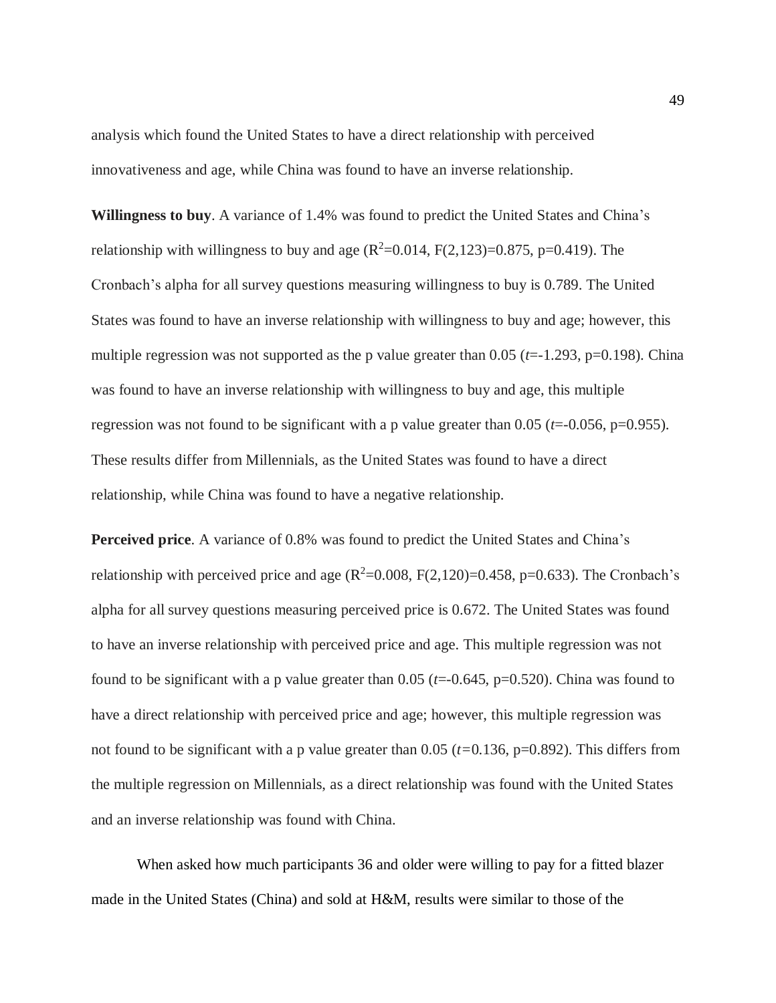analysis which found the United States to have a direct relationship with perceived innovativeness and age, while China was found to have an inverse relationship.

**Willingness to buy**. A variance of 1.4% was found to predict the United States and China's relationship with willingness to buy and age  $(R^2=0.014, F(2,123)=0.875, p=0.419)$ . The Cronbach's alpha for all survey questions measuring willingness to buy is 0.789. The United States was found to have an inverse relationship with willingness to buy and age; however, this multiple regression was not supported as the p value greater than 0.05 (*t*=-1.293, p=0.198). China was found to have an inverse relationship with willingness to buy and age, this multiple regression was not found to be significant with a p value greater than 0.05 (*t*=-0.056, p=0.955). These results differ from Millennials, as the United States was found to have a direct relationship, while China was found to have a negative relationship.

**Perceived price**. A variance of 0.8% was found to predict the United States and China's relationship with perceived price and age  $(R^2=0.008, F(2,120)=0.458, p=0.633)$ . The Cronbach's alpha for all survey questions measuring perceived price is 0.672. The United States was found to have an inverse relationship with perceived price and age. This multiple regression was not found to be significant with a p value greater than  $0.05$  ( $t=0.645$ ,  $p=0.520$ ). China was found to have a direct relationship with perceived price and age; however, this multiple regression was not found to be significant with a p value greater than 0.05 (*t=*0.136, p=0.892). This differs from the multiple regression on Millennials, as a direct relationship was found with the United States and an inverse relationship was found with China.

When asked how much participants 36 and older were willing to pay for a fitted blazer made in the United States (China) and sold at H&M, results were similar to those of the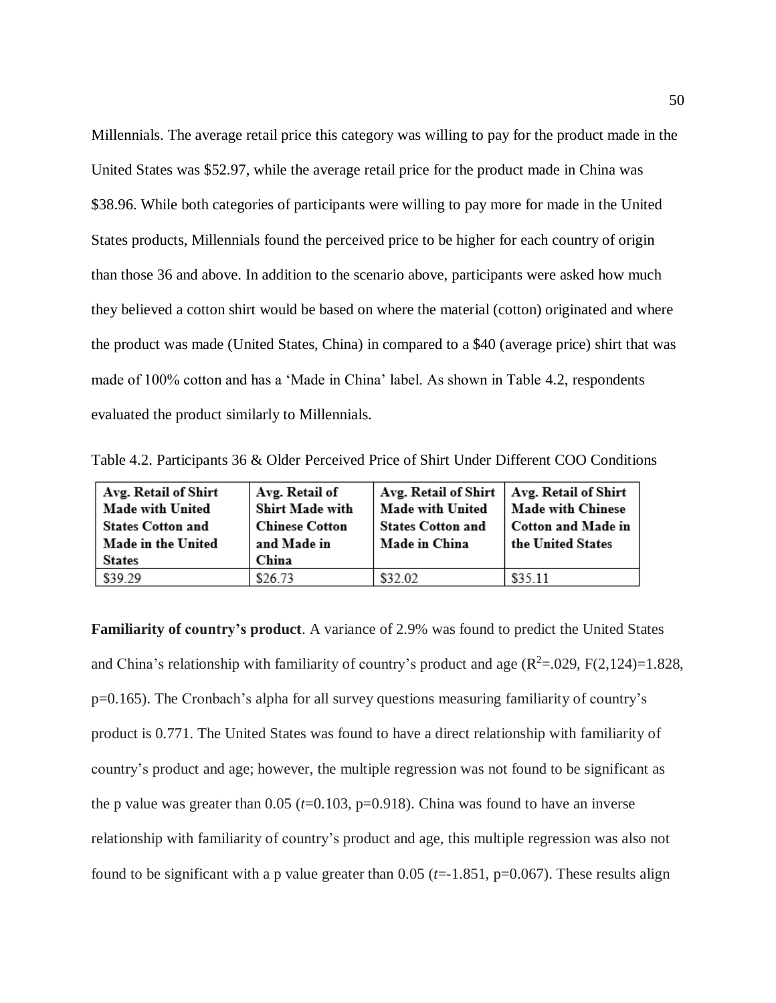Millennials. The average retail price this category was willing to pay for the product made in the United States was \$52.97, while the average retail price for the product made in China was \$38.96. While both categories of participants were willing to pay more for made in the United States products, Millennials found the perceived price to be higher for each country of origin than those 36 and above. In addition to the scenario above, participants were asked how much they believed a cotton shirt would be based on where the material (cotton) originated and where the product was made (United States, China) in compared to a \$40 (average price) shirt that was made of 100% cotton and has a 'Made in China' label. As shown in Table 4.2, respondents evaluated the product similarly to Millennials.

Table 4.2. Participants 36 & Older Perceived Price of Shirt Under Different COO Conditions

| Avg. Retail of Shirt<br><b>Made with United</b><br><b>States Cotton and</b><br>Made in the United<br><b>States</b> | Avg. Retail of<br><b>Shirt Made with</b><br><b>Chinese Cotton</b><br>and Made in<br>China | Avg. Retail of Shirt<br><b>Made with United</b><br><b>States Cotton and</b><br>Made in China | Avg. Retail of Shirt<br><b>Made with Chinese</b><br>Cotton and Made in<br>the United States |
|--------------------------------------------------------------------------------------------------------------------|-------------------------------------------------------------------------------------------|----------------------------------------------------------------------------------------------|---------------------------------------------------------------------------------------------|
| \$39.29                                                                                                            | \$26.73                                                                                   | \$32.02                                                                                      | \$35.11                                                                                     |

**Familiarity of country's product**. A variance of 2.9% was found to predict the United States and China's relationship with familiarity of country's product and age  $(R^2=0.029, F(2,124)=1.828,$ p=0.165). The Cronbach's alpha for all survey questions measuring familiarity of country's product is 0.771. The United States was found to have a direct relationship with familiarity of country's product and age; however, the multiple regression was not found to be significant as the p value was greater than  $0.05$  ( $t=0.103$ ,  $p=0.918$ ). China was found to have an inverse relationship with familiarity of country's product and age, this multiple regression was also not found to be significant with a p value greater than  $0.05$  ( $t=1.851$ ,  $p=0.067$ ). These results align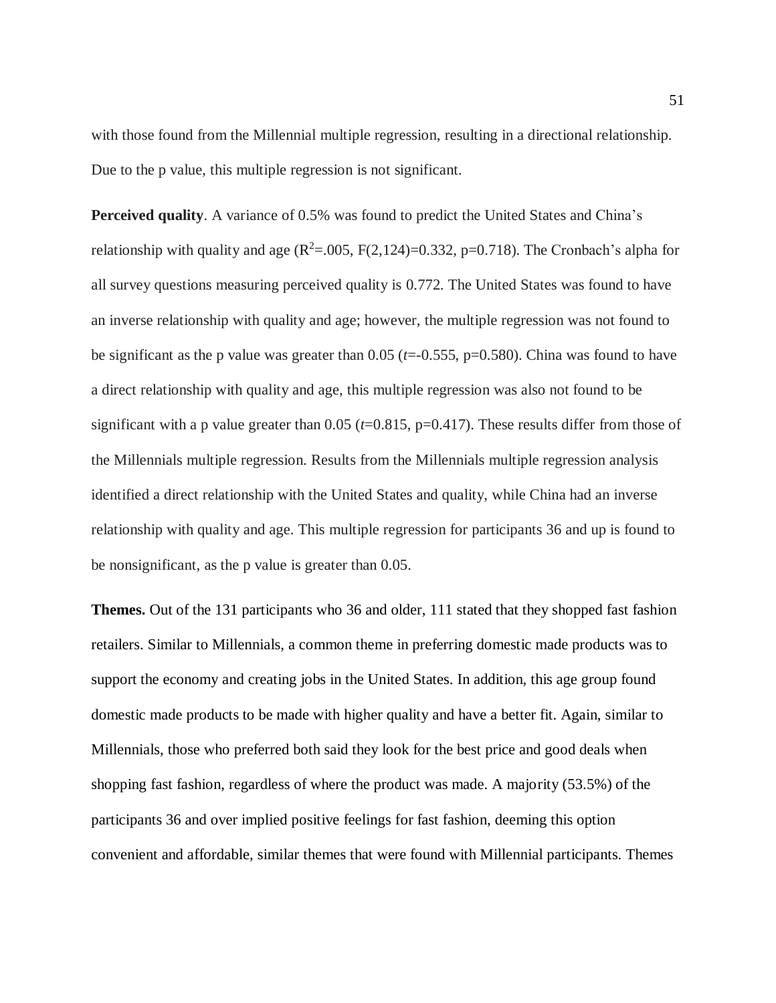with those found from the Millennial multiple regression, resulting in a directional relationship. Due to the p value, this multiple regression is not significant.

**Perceived quality**. A variance of 0.5% was found to predict the United States and China's relationship with quality and age  $(R^2=0.005, F(2,124)=0.332, p=0.718)$ . The Cronbach's alpha for all survey questions measuring perceived quality is 0.772. The United States was found to have an inverse relationship with quality and age; however, the multiple regression was not found to be significant as the p value was greater than 0.05 (*t*=-0.555, p=0.580). China was found to have a direct relationship with quality and age, this multiple regression was also not found to be significant with a p value greater than 0.05 (*t*=0.815, p=0.417). These results differ from those of the Millennials multiple regression. Results from the Millennials multiple regression analysis identified a direct relationship with the United States and quality, while China had an inverse relationship with quality and age. This multiple regression for participants 36 and up is found to be nonsignificant, as the p value is greater than 0.05.

**Themes.** Out of the 131 participants who 36 and older, 111 stated that they shopped fast fashion retailers. Similar to Millennials, a common theme in preferring domestic made products was to support the economy and creating jobs in the United States. In addition, this age group found domestic made products to be made with higher quality and have a better fit. Again, similar to Millennials, those who preferred both said they look for the best price and good deals when shopping fast fashion, regardless of where the product was made. A majority (53.5%) of the participants 36 and over implied positive feelings for fast fashion, deeming this option convenient and affordable, similar themes that were found with Millennial participants. Themes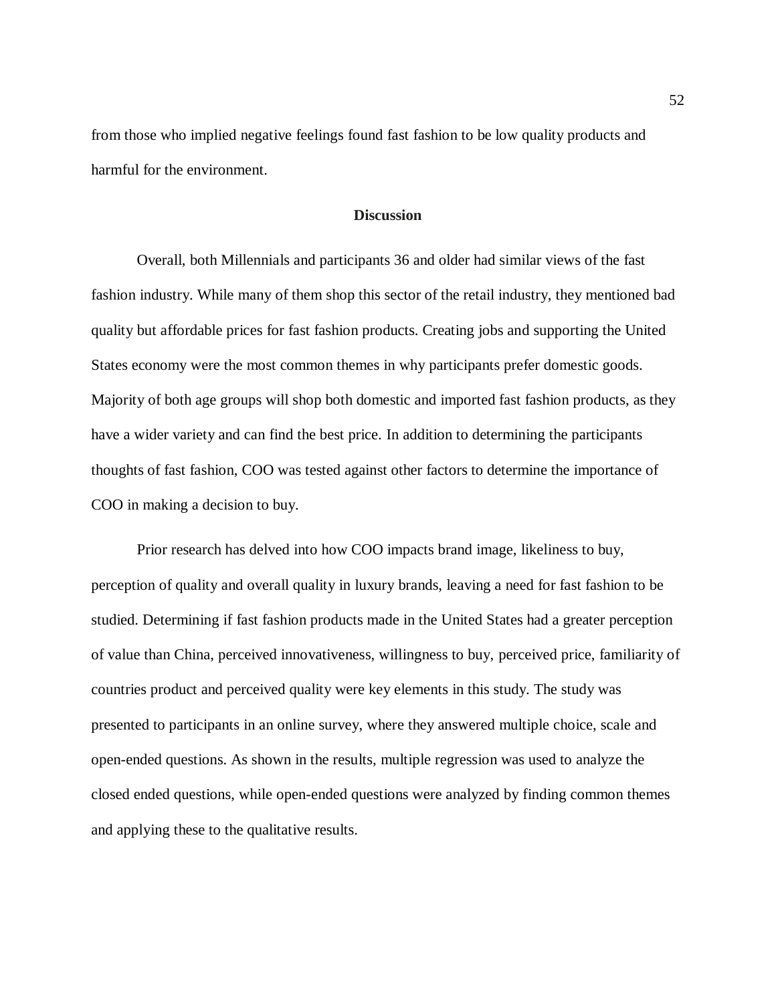from those who implied negative feelings found fast fashion to be low quality products and harmful for the environment.

### **Discussion**

Overall, both Millennials and participants 36 and older had similar views of the fast fashion industry. While many of them shop this sector of the retail industry, they mentioned bad quality but affordable prices for fast fashion products. Creating jobs and supporting the United States economy were the most common themes in why participants prefer domestic goods. Majority of both age groups will shop both domestic and imported fast fashion products, as they have a wider variety and can find the best price. In addition to determining the participants thoughts of fast fashion, COO was tested against other factors to determine the importance of COO in making a decision to buy.

Prior research has delved into how COO impacts brand image, likeliness to buy, perception of quality and overall quality in luxury brands, leaving a need for fast fashion to be studied. Determining if fast fashion products made in the United States had a greater perception of value than China, perceived innovativeness, willingness to buy, perceived price, familiarity of countries product and perceived quality were key elements in this study. The study was presented to participants in an online survey, where they answered multiple choice, scale and open-ended questions. As shown in the results, multiple regression was used to analyze the closed ended questions, while open-ended questions were analyzed by finding common themes and applying these to the qualitative results.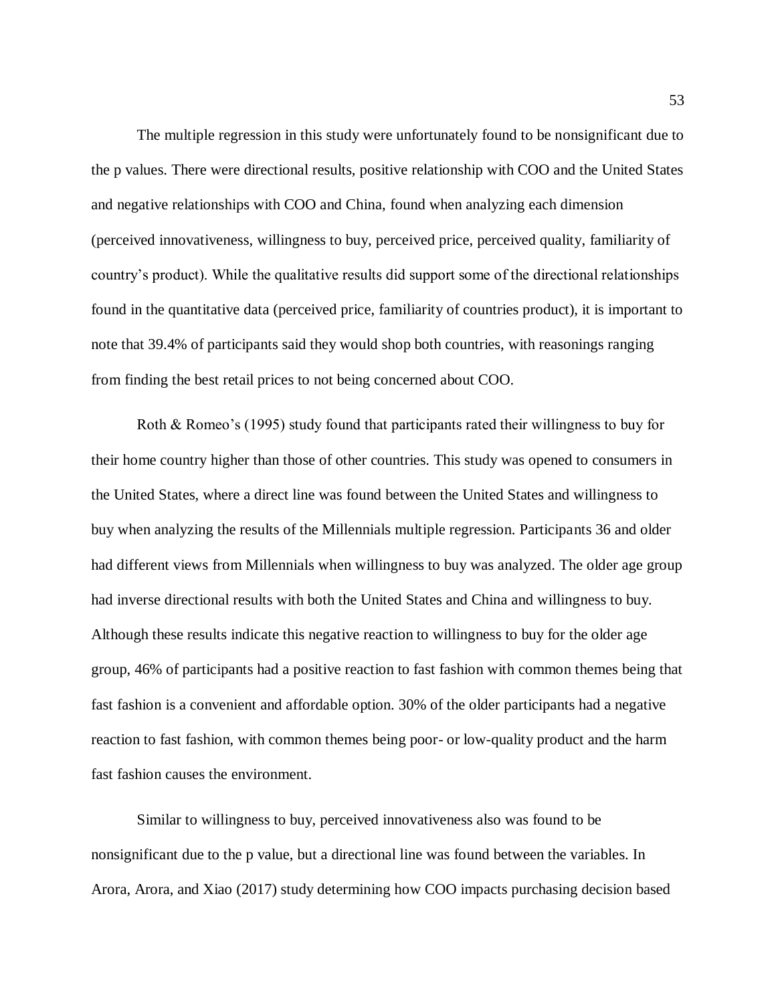The multiple regression in this study were unfortunately found to be nonsignificant due to the p values. There were directional results, positive relationship with COO and the United States and negative relationships with COO and China, found when analyzing each dimension (perceived innovativeness, willingness to buy, perceived price, perceived quality, familiarity of country's product). While the qualitative results did support some of the directional relationships found in the quantitative data (perceived price, familiarity of countries product), it is important to note that 39.4% of participants said they would shop both countries, with reasonings ranging from finding the best retail prices to not being concerned about COO.

Roth & Romeo's (1995) study found that participants rated their willingness to buy for their home country higher than those of other countries. This study was opened to consumers in the United States, where a direct line was found between the United States and willingness to buy when analyzing the results of the Millennials multiple regression. Participants 36 and older had different views from Millennials when willingness to buy was analyzed. The older age group had inverse directional results with both the United States and China and willingness to buy. Although these results indicate this negative reaction to willingness to buy for the older age group, 46% of participants had a positive reaction to fast fashion with common themes being that fast fashion is a convenient and affordable option. 30% of the older participants had a negative reaction to fast fashion, with common themes being poor- or low-quality product and the harm fast fashion causes the environment.

Similar to willingness to buy, perceived innovativeness also was found to be nonsignificant due to the p value, but a directional line was found between the variables. In Arora, Arora, and Xiao (2017) study determining how COO impacts purchasing decision based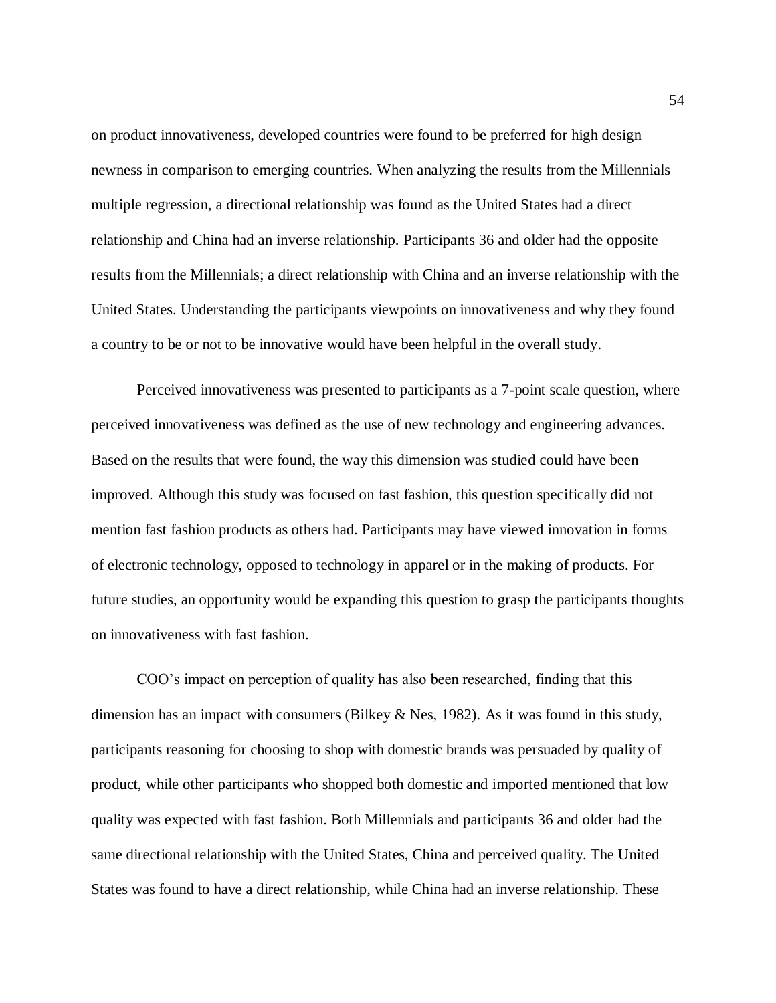on product innovativeness, developed countries were found to be preferred for high design newness in comparison to emerging countries. When analyzing the results from the Millennials multiple regression, a directional relationship was found as the United States had a direct relationship and China had an inverse relationship. Participants 36 and older had the opposite results from the Millennials; a direct relationship with China and an inverse relationship with the United States. Understanding the participants viewpoints on innovativeness and why they found a country to be or not to be innovative would have been helpful in the overall study.

Perceived innovativeness was presented to participants as a 7-point scale question, where perceived innovativeness was defined as the use of new technology and engineering advances. Based on the results that were found, the way this dimension was studied could have been improved. Although this study was focused on fast fashion, this question specifically did not mention fast fashion products as others had. Participants may have viewed innovation in forms of electronic technology, opposed to technology in apparel or in the making of products. For future studies, an opportunity would be expanding this question to grasp the participants thoughts on innovativeness with fast fashion.

COO's impact on perception of quality has also been researched, finding that this dimension has an impact with consumers (Bilkey  $\&$  Nes, 1982). As it was found in this study, participants reasoning for choosing to shop with domestic brands was persuaded by quality of product, while other participants who shopped both domestic and imported mentioned that low quality was expected with fast fashion. Both Millennials and participants 36 and older had the same directional relationship with the United States, China and perceived quality. The United States was found to have a direct relationship, while China had an inverse relationship. These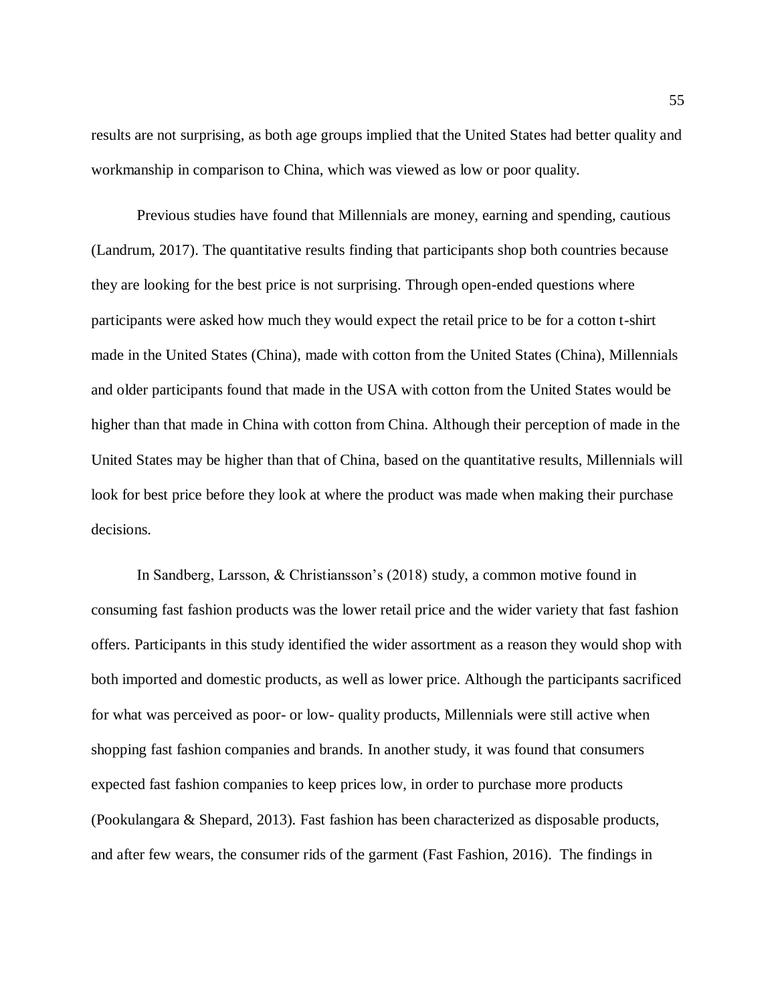results are not surprising, as both age groups implied that the United States had better quality and workmanship in comparison to China, which was viewed as low or poor quality.

Previous studies have found that Millennials are money, earning and spending, cautious (Landrum, 2017). The quantitative results finding that participants shop both countries because they are looking for the best price is not surprising. Through open-ended questions where participants were asked how much they would expect the retail price to be for a cotton t-shirt made in the United States (China), made with cotton from the United States (China), Millennials and older participants found that made in the USA with cotton from the United States would be higher than that made in China with cotton from China. Although their perception of made in the United States may be higher than that of China, based on the quantitative results, Millennials will look for best price before they look at where the product was made when making their purchase decisions.

In Sandberg, Larsson, & Christiansson's (2018) study, a common motive found in consuming fast fashion products was the lower retail price and the wider variety that fast fashion offers. Participants in this study identified the wider assortment as a reason they would shop with both imported and domestic products, as well as lower price. Although the participants sacrificed for what was perceived as poor- or low- quality products, Millennials were still active when shopping fast fashion companies and brands. In another study, it was found that consumers expected fast fashion companies to keep prices low, in order to purchase more products (Pookulangara & Shepard, 2013). Fast fashion has been characterized as disposable products, and after few wears, the consumer rids of the garment [\(Fast](http://www.thefashionlaw.com/learn/fast-fashions-green-initiatives-dont-believe-the-hype) Fashion, 2016). The findings in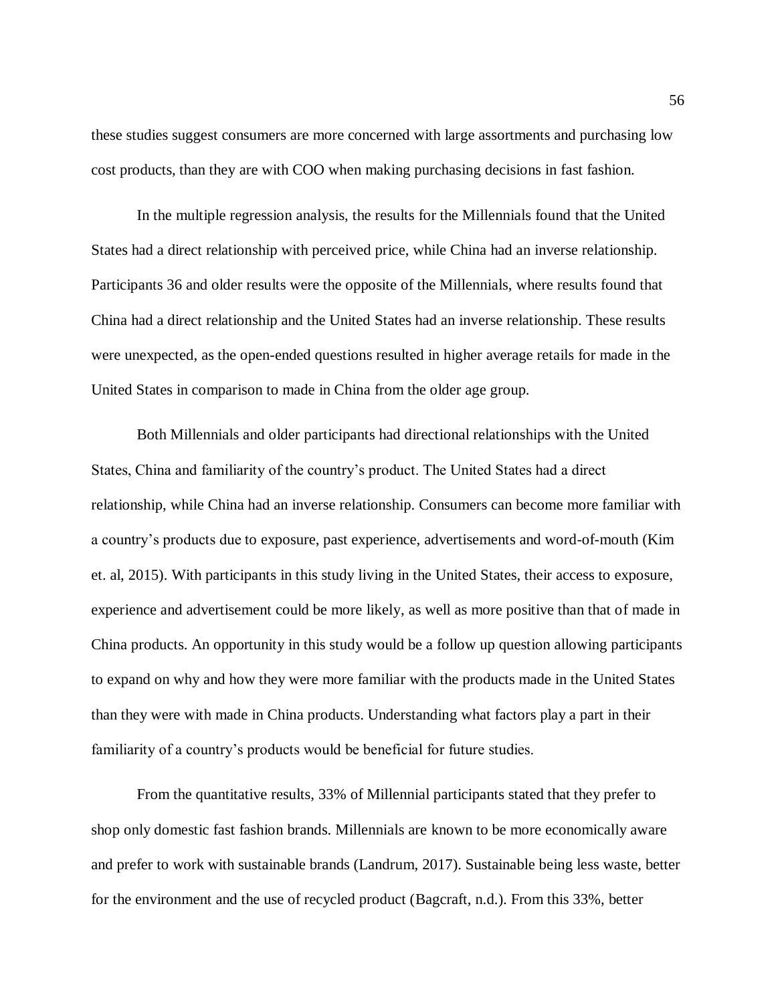these studies suggest consumers are more concerned with large assortments and purchasing low cost products, than they are with COO when making purchasing decisions in fast fashion.

In the multiple regression analysis, the results for the Millennials found that the United States had a direct relationship with perceived price, while China had an inverse relationship. Participants 36 and older results were the opposite of the Millennials, where results found that China had a direct relationship and the United States had an inverse relationship. These results were unexpected, as the open-ended questions resulted in higher average retails for made in the United States in comparison to made in China from the older age group.

Both Millennials and older participants had directional relationships with the United States, China and familiarity of the country's product. The United States had a direct relationship, while China had an inverse relationship. Consumers can become more familiar with a country's products due to exposure, past experience, advertisements and word-of-mouth (Kim et. al, 2015). With participants in this study living in the United States, their access to exposure, experience and advertisement could be more likely, as well as more positive than that of made in China products. An opportunity in this study would be a follow up question allowing participants to expand on why and how they were more familiar with the products made in the United States than they were with made in China products. Understanding what factors play a part in their familiarity of a country's products would be beneficial for future studies.

From the quantitative results, 33% of Millennial participants stated that they prefer to shop only domestic fast fashion brands. Millennials are known to be more economically aware and prefer to work with sustainable brands (Landrum, 2017). Sustainable being less waste, better for the environment and the use of recycled product [\(Bagcraft,](https://www.bagcraft.com/glossary-of-sustainable-terms/) n.d.). From this 33%, better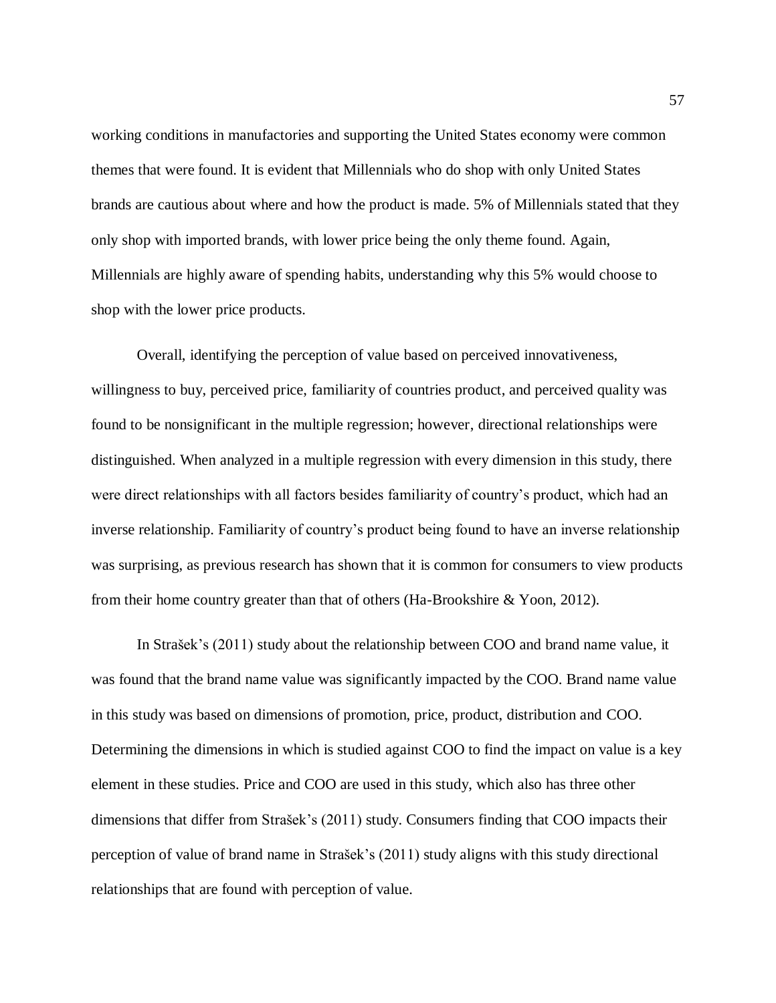working conditions in manufactories and supporting the United States economy were common themes that were found. It is evident that Millennials who do shop with only United States brands are cautious about where and how the product is made. 5% of Millennials stated that they only shop with imported brands, with lower price being the only theme found. Again, Millennials are highly aware of spending habits, understanding why this 5% would choose to shop with the lower price products.

Overall, identifying the perception of value based on perceived innovativeness, willingness to buy, perceived price, familiarity of countries product, and perceived quality was found to be nonsignificant in the multiple regression; however, directional relationships were distinguished. When analyzed in a multiple regression with every dimension in this study, there were direct relationships with all factors besides familiarity of country's product, which had an inverse relationship. Familiarity of country's product being found to have an inverse relationship was surprising, as previous research has shown that it is common for consumers to view products from their home country greater than that of others (Ha-Brookshire & Yoon, 2012).

In Strašek's (2011) study about the relationship between COO and brand name value, it was found that the brand name value was significantly impacted by the COO. Brand name value in this study was based on dimensions of promotion, price, product, distribution and COO. Determining the dimensions in which is studied against COO to find the impact on value is a key element in these studies. Price and COO are used in this study, which also has three other dimensions that differ from Strašek's (2011) study. Consumers finding that COO impacts their perception of value of brand name in Strašek's (2011) study aligns with this study directional relationships that are found with perception of value.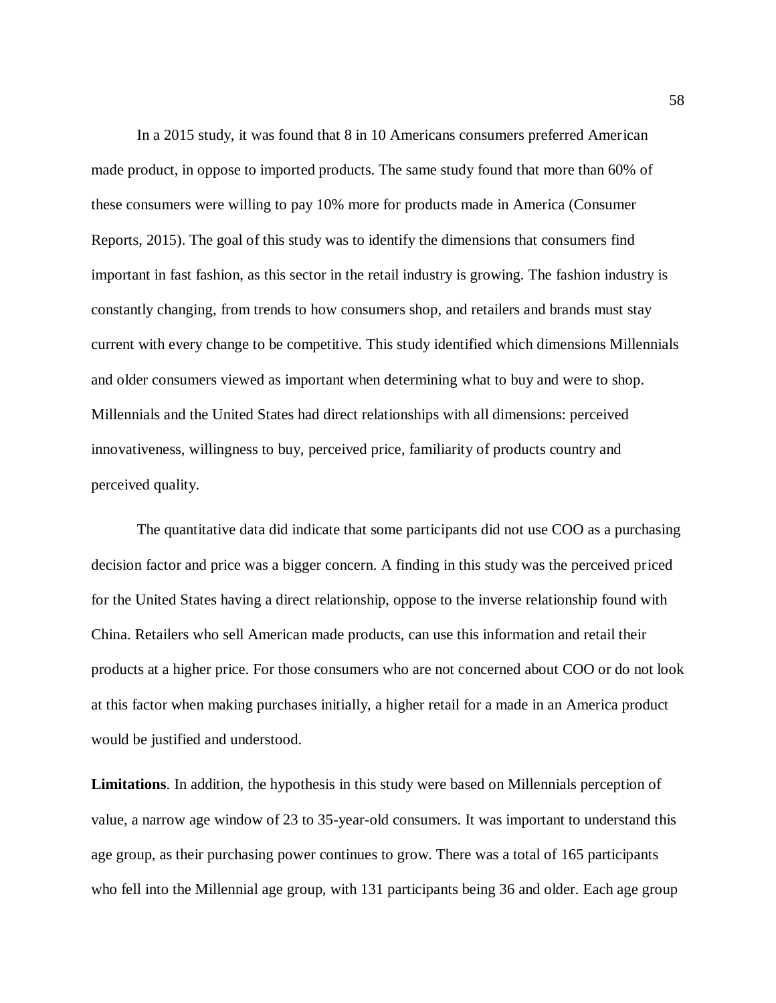In a 2015 study, it was found that 8 in 10 Americans consumers preferred American made product, in oppose to imported products. The same study found that more than 60% of these consumers were willing to pay 10% more for products made in America (Consumer Reports, 2015). The goal of this study was to identify the dimensions that consumers find important in fast fashion, as this sector in the retail industry is growing. The fashion industry is constantly changing, from trends to how consumers shop, and retailers and brands must stay current with every change to be competitive. This study identified which dimensions Millennials and older consumers viewed as important when determining what to buy and were to shop. Millennials and the United States had direct relationships with all dimensions: perceived innovativeness, willingness to buy, perceived price, familiarity of products country and perceived quality.

The quantitative data did indicate that some participants did not use COO as a purchasing decision factor and price was a bigger concern. A finding in this study was the perceived priced for the United States having a direct relationship, oppose to the inverse relationship found with China. Retailers who sell American made products, can use this information and retail their products at a higher price. For those consumers who are not concerned about COO or do not look at this factor when making purchases initially, a higher retail for a made in an America product would be justified and understood.

**Limitations**. In addition, the hypothesis in this study were based on Millennials perception of value, a narrow age window of 23 to 35-year-old consumers. It was important to understand this age group, as their purchasing power continues to grow. There was a total of 165 participants who fell into the Millennial age group, with 131 participants being 36 and older. Each age group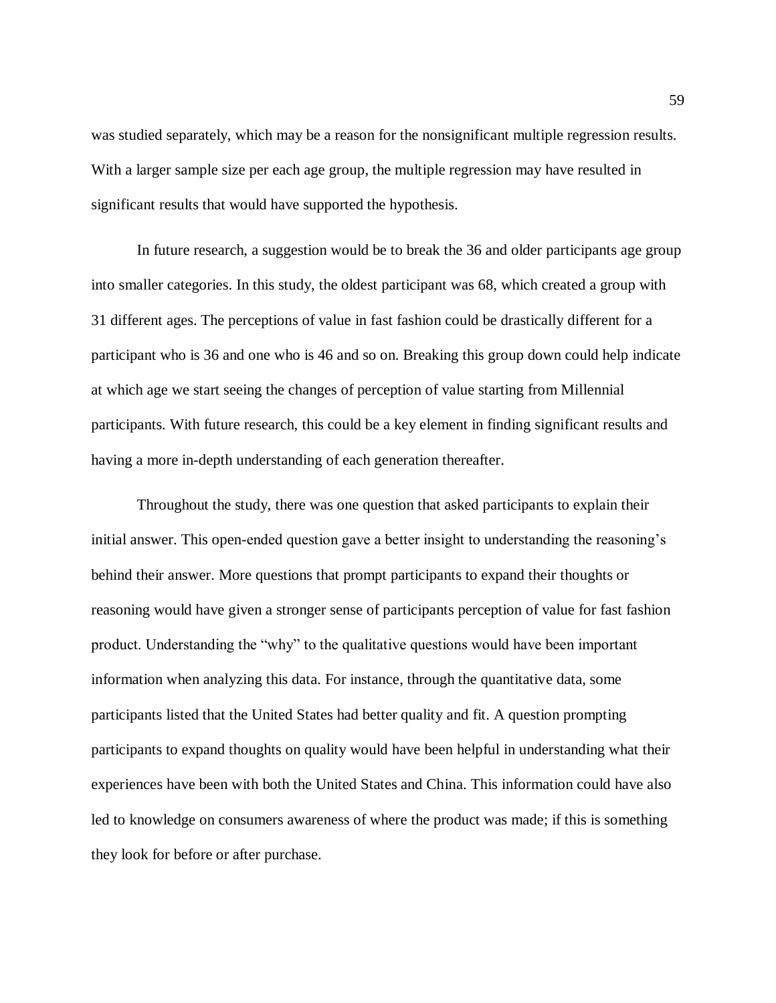was studied separately, which may be a reason for the nonsignificant multiple regression results. With a larger sample size per each age group, the multiple regression may have resulted in significant results that would have supported the hypothesis.

In future research, a suggestion would be to break the 36 and older participants age group into smaller categories. In this study, the oldest participant was 68, which created a group with 31 different ages. The perceptions of value in fast fashion could be drastically different for a participant who is 36 and one who is 46 and so on. Breaking this group down could help indicate at which age we start seeing the changes of perception of value starting from Millennial participants. With future research, this could be a key element in finding significant results and having a more in-depth understanding of each generation thereafter.

Throughout the study, there was one question that asked participants to explain their initial answer. This open-ended question gave a better insight to understanding the reasoning's behind their answer. More questions that prompt participants to expand their thoughts or reasoning would have given a stronger sense of participants perception of value for fast fashion product. Understanding the "why" to the qualitative questions would have been important information when analyzing this data. For instance, through the quantitative data, some participants listed that the United States had better quality and fit. A question prompting participants to expand thoughts on quality would have been helpful in understanding what their experiences have been with both the United States and China. This information could have also led to knowledge on consumers awareness of where the product was made; if this is something they look for before or after purchase.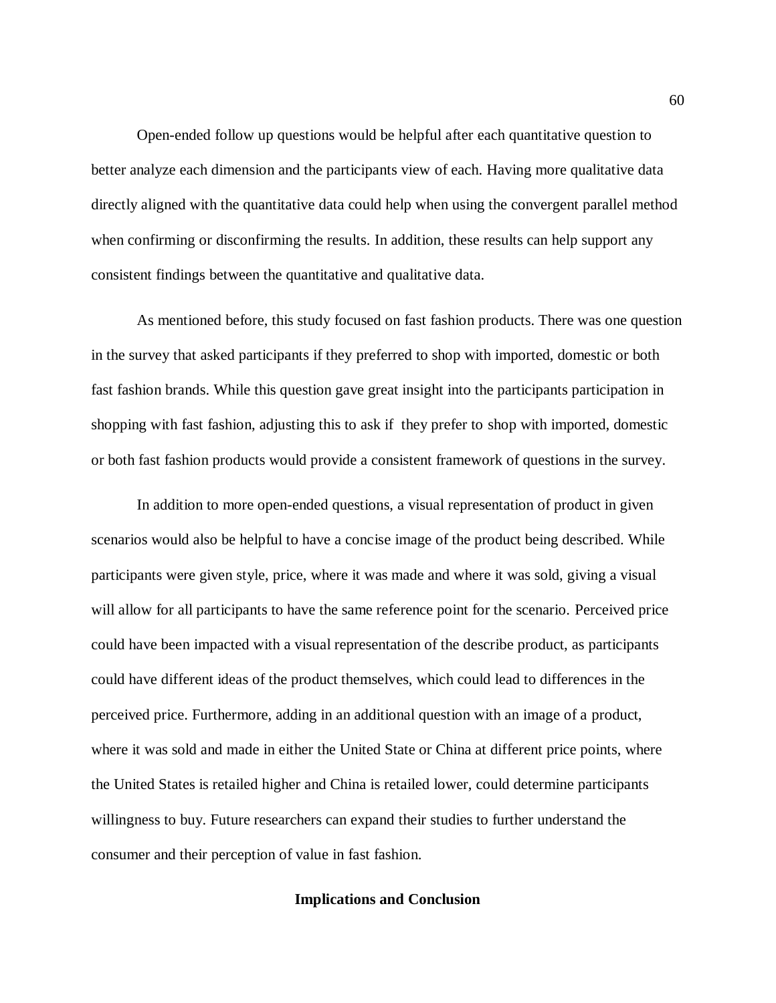Open-ended follow up questions would be helpful after each quantitative question to better analyze each dimension and the participants view of each. Having more qualitative data directly aligned with the quantitative data could help when using the convergent parallel method when confirming or disconfirming the results. In addition, these results can help support any consistent findings between the quantitative and qualitative data.

As mentioned before, this study focused on fast fashion products. There was one question in the survey that asked participants if they preferred to shop with imported, domestic or both fast fashion brands. While this question gave great insight into the participants participation in shopping with fast fashion, adjusting this to ask if they prefer to shop with imported, domestic or both fast fashion products would provide a consistent framework of questions in the survey.

In addition to more open-ended questions, a visual representation of product in given scenarios would also be helpful to have a concise image of the product being described. While participants were given style, price, where it was made and where it was sold, giving a visual will allow for all participants to have the same reference point for the scenario. Perceived price could have been impacted with a visual representation of the describe product, as participants could have different ideas of the product themselves, which could lead to differences in the perceived price. Furthermore, adding in an additional question with an image of a product, where it was sold and made in either the United State or China at different price points, where the United States is retailed higher and China is retailed lower, could determine participants willingness to buy. Future researchers can expand their studies to further understand the consumer and their perception of value in fast fashion.

## **Implications and Conclusion**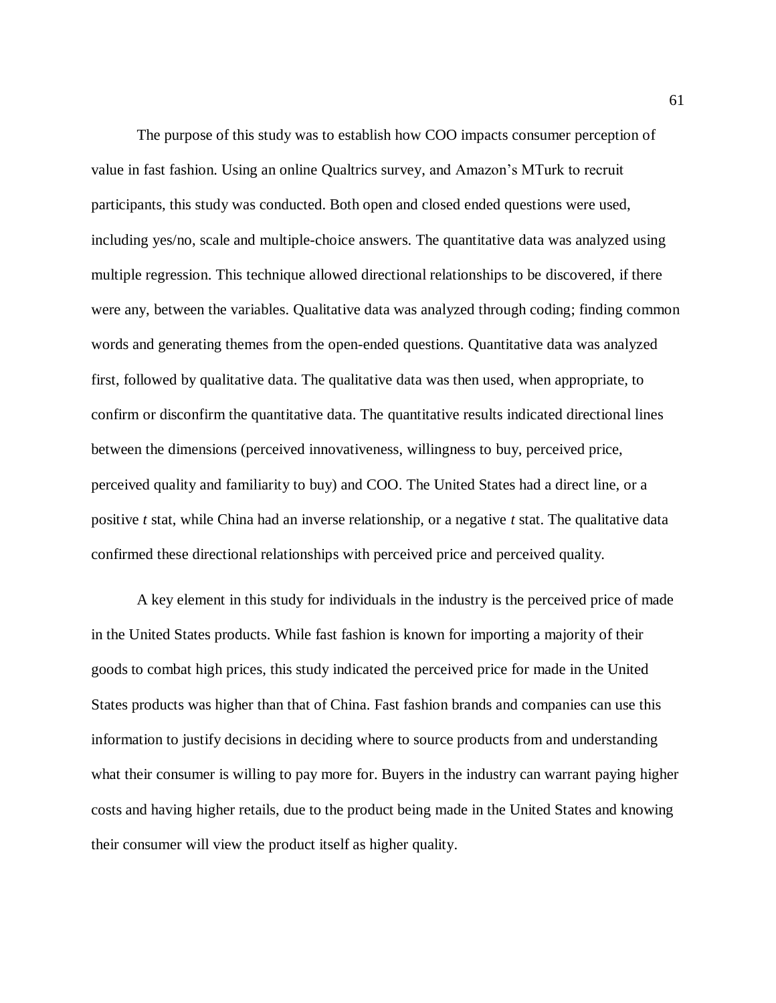The purpose of this study was to establish how COO impacts consumer perception of value in fast fashion. Using an online Qualtrics survey, and Amazon's MTurk to recruit participants, this study was conducted. Both open and closed ended questions were used, including yes/no, scale and multiple-choice answers. The quantitative data was analyzed using multiple regression. This technique allowed directional relationships to be discovered, if there were any, between the variables. Qualitative data was analyzed through coding; finding common words and generating themes from the open-ended questions. Quantitative data was analyzed first, followed by qualitative data. The qualitative data was then used, when appropriate, to confirm or disconfirm the quantitative data. The quantitative results indicated directional lines between the dimensions (perceived innovativeness, willingness to buy, perceived price, perceived quality and familiarity to buy) and COO. The United States had a direct line, or a positive *t* stat, while China had an inverse relationship, or a negative *t* stat. The qualitative data confirmed these directional relationships with perceived price and perceived quality.

A key element in this study for individuals in the industry is the perceived price of made in the United States products. While fast fashion is known for importing a majority of their goods to combat high prices, this study indicated the perceived price for made in the United States products was higher than that of China. Fast fashion brands and companies can use this information to justify decisions in deciding where to source products from and understanding what their consumer is willing to pay more for. Buyers in the industry can warrant paying higher costs and having higher retails, due to the product being made in the United States and knowing their consumer will view the product itself as higher quality.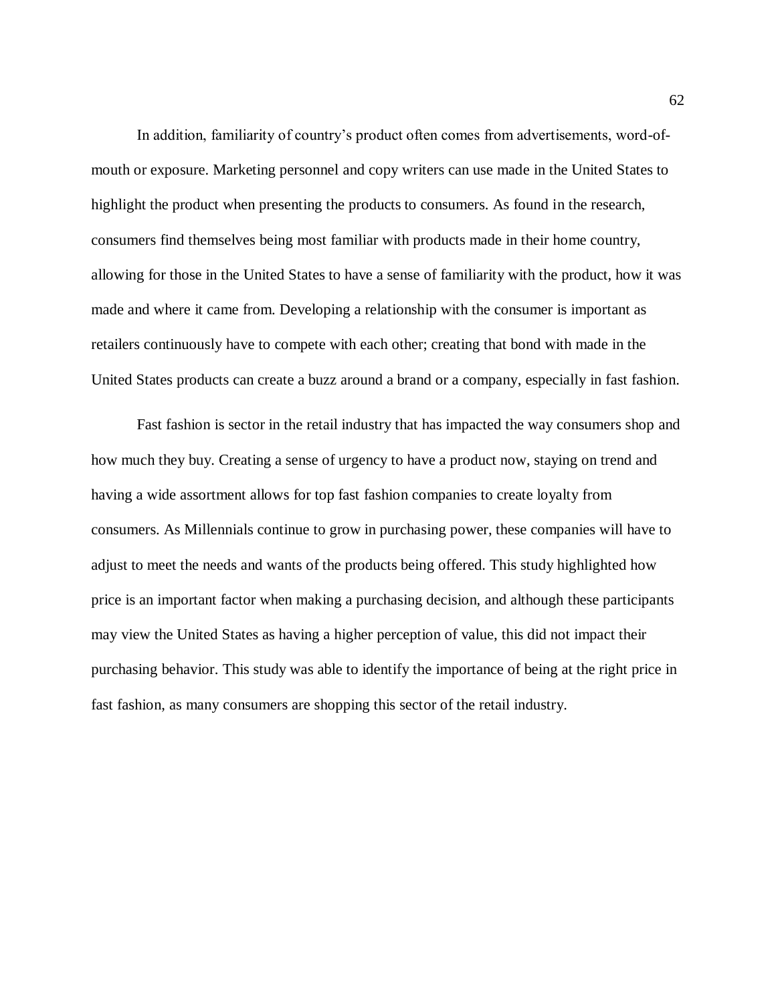In addition, familiarity of country's product often comes from advertisements, word-ofmouth or exposure. Marketing personnel and copy writers can use made in the United States to highlight the product when presenting the products to consumers. As found in the research, consumers find themselves being most familiar with products made in their home country, allowing for those in the United States to have a sense of familiarity with the product, how it was made and where it came from. Developing a relationship with the consumer is important as retailers continuously have to compete with each other; creating that bond with made in the United States products can create a buzz around a brand or a company, especially in fast fashion.

Fast fashion is sector in the retail industry that has impacted the way consumers shop and how much they buy. Creating a sense of urgency to have a product now, staying on trend and having a wide assortment allows for top fast fashion companies to create loyalty from consumers. As Millennials continue to grow in purchasing power, these companies will have to adjust to meet the needs and wants of the products being offered. This study highlighted how price is an important factor when making a purchasing decision, and although these participants may view the United States as having a higher perception of value, this did not impact their purchasing behavior. This study was able to identify the importance of being at the right price in fast fashion, as many consumers are shopping this sector of the retail industry.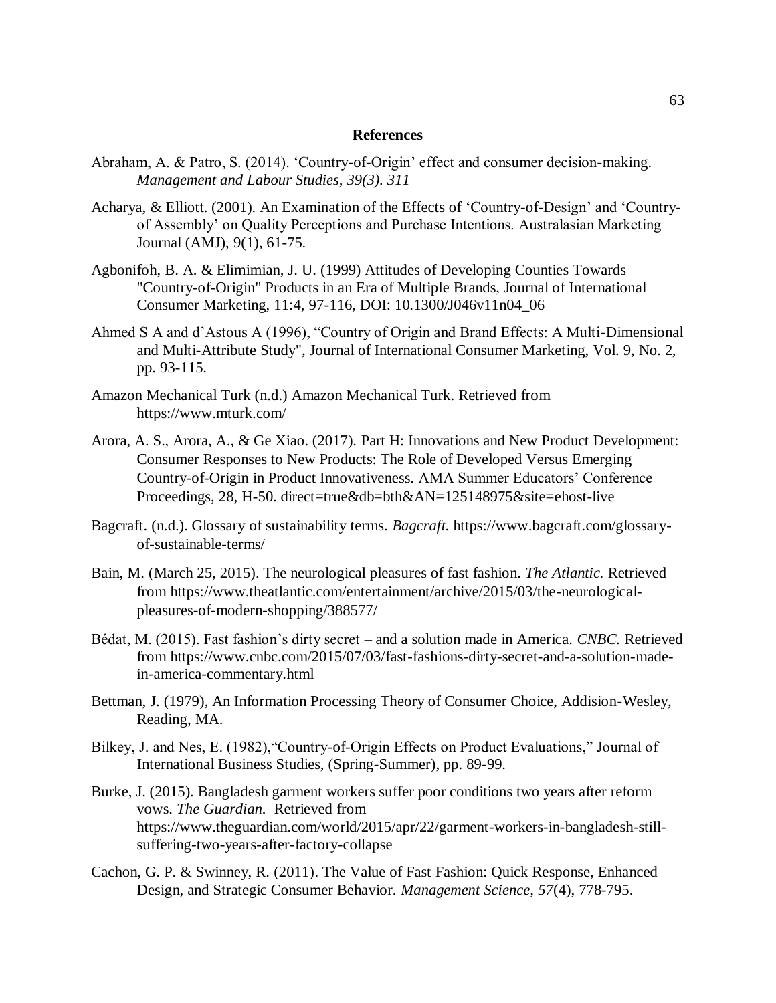### **References**

- Abraham, A. & Patro, S. (2014). 'Country-of-Origin' effect and consumer decision-making. *Management and Labour Studies, 39(3). 311*
- Acharya, & Elliott. (2001). An Examination of the Effects of 'Country-of-Design' and 'Countryof Assembly' on Quality Perceptions and Purchase Intentions. Australasian Marketing Journal (AMJ), 9(1), 61-75.
- Agbonifoh, B. A. & Elimimian, J. U. (1999) Attitudes of Developing Counties Towards "Country-of-Origin" Products in an Era of Multiple Brands, Journal of International Consumer Marketing, 11:4, 97-116, DOI: 10.1300/J046v11n04\_06
- Ahmed S A and d'Astous A (1996), "Country of Origin and Brand Effects: A Multi-Dimensional and Multi-Attribute Study", Journal of International Consumer Marketing, Vol. 9, No. 2, pp. 93-115.
- Amazon Mechanical Turk (n.d.) Amazon Mechanical Turk. Retrieved from <https://www.mturk.com/>
- Arora, A. S., Arora, A., & Ge Xiao. (2017). Part H: Innovations and New Product Development: Consumer Responses to New Products: The Role of Developed Versus Emerging Country-of-Origin in Product Innovativeness. AMA Summer Educators' Conference Proceedings, 28, H-50. direct=true&db=bth&AN=125148975&site=ehost-live
- Bagcraft. (n.d.). Glossary of sustainability terms. *Bagcraft.* [https://www.bagcraft.com/glossary](https://www.bagcraft.com/glossary-of-sustainable-terms/)[of-sustainable-terms/](https://www.bagcraft.com/glossary-of-sustainable-terms/)
- Bain, M. (March 25, 2015). The neurological pleasures of fast fashion. *The Atlantic.* Retrieved from [https://www.theatlantic.com/entertainment/archive/2015/03/the-neurological](https://www.theatlantic.com/entertainment/archive/2015/03/the-neurological-pleasures-of-modern-shopping/388577/)[pleasures-of-modern-shopping/388577/](https://www.theatlantic.com/entertainment/archive/2015/03/the-neurological-pleasures-of-modern-shopping/388577/)
- Bédat, M. (2015). Fast fashion's dirty secret and a solution made in America. *CNBC.* Retrieved from [https://www.cnbc.com/2015/07/03/fast-fashions-dirty-secret-and-a-solution-made](https://www.cnbc.com/2015/07/03/fast-fashions-dirty-secret-and-a-solution-made-in-america-commentary.html)[in-america-commentary.html](https://www.cnbc.com/2015/07/03/fast-fashions-dirty-secret-and-a-solution-made-in-america-commentary.html)
- Bettman, J. (1979), An Information Processing Theory of Consumer Choice, Addision-Wesley, Reading, MA.
- Bilkey, J. and Nes, E. (1982),"Country-of-Origin Effects on Product Evaluations," Journal of International Business Studies, (Spring-Summer), pp. 89-99.
- Burke, J. (2015). Bangladesh garment workers suffer poor conditions two years after reform vows. *The Guardian.* Retrieved from https://www.theguardian.com/world/2015/apr/22/garment-workers-in-bangladesh-stillsuffering-two-years-after-factory-collapse
- Cachon, G. P. & Swinney, R. (2011). The Value of Fast Fashion: Quick Response, Enhanced Design, and Strategic Consumer Behavior. *Management Science, 57*(4), 778-795.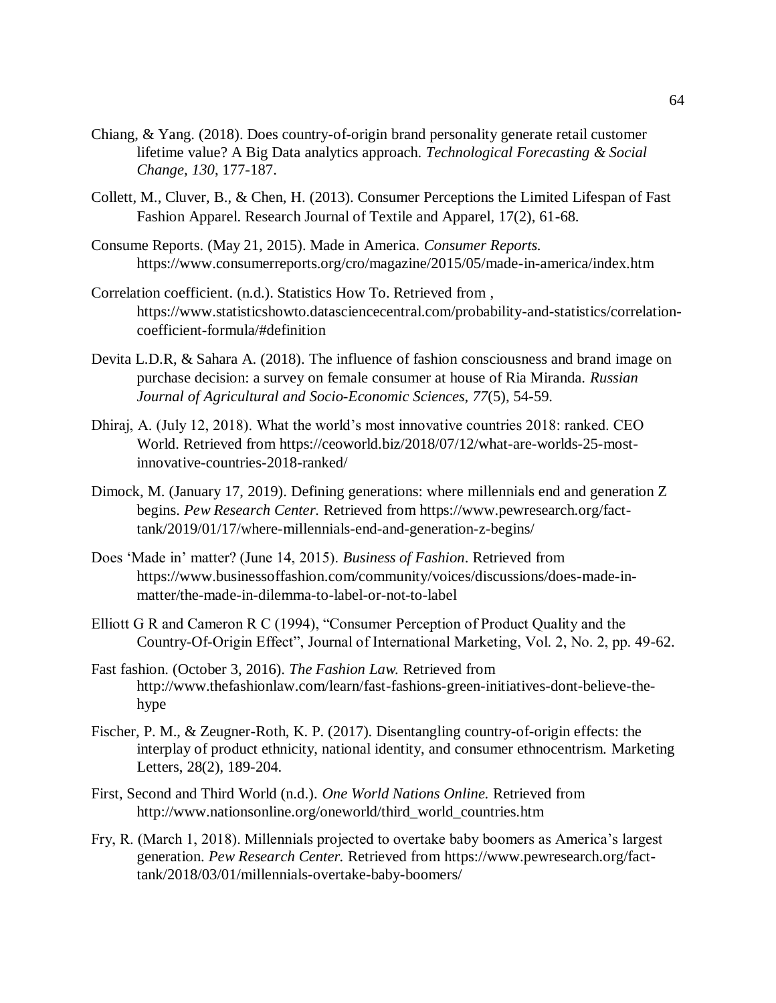- Chiang, & Yang. (2018). Does country-of-origin brand personality generate retail customer lifetime value? A Big Data analytics approach. *Technological Forecasting & Social Change, 130*, 177-187.
- Collett, M., Cluver, B., & Chen, H. (2013). Consumer Perceptions the Limited Lifespan of Fast Fashion Apparel. Research Journal of Textile and Apparel, 17(2), 61-68.
- Consume Reports. (May 21, 2015). Made in America. *Consumer Reports.* <https://www.consumerreports.org/cro/magazine/2015/05/made-in-america/index.htm>
- Correlation coefficient. (n.d.). Statistics How To. Retrieved from , [https://www.statisticshowto.datasciencecentral.com/probability-and-statistics/correlation](https://www.statisticshowto.datasciencecentral.com/probability-and-statistics/correlation-coefficient-formula/#definition)[coefficient-formula/#definition](https://www.statisticshowto.datasciencecentral.com/probability-and-statistics/correlation-coefficient-formula/#definition)
- Devita L.D.R, & Sahara A. (2018). The influence of fashion consciousness and brand image on purchase decision: a survey on female consumer at house of Ria Miranda. *Russian Journal of Agricultural and Socio-Economic Sciences, 77*(5), 54-59.
- Dhiraj, A. (July 12, 2018). What the world's most innovative countries 2018: ranked. CEO World. Retrieved from [https://ceoworld.biz/2018/07/12/what-are-worlds-25-most](https://ceoworld.biz/2018/07/12/what-are-worlds-25-most-innovative-countries-2018-ranked/)[innovative-countries-2018-ranked/](https://ceoworld.biz/2018/07/12/what-are-worlds-25-most-innovative-countries-2018-ranked/)
- Dimock, M. (January 17, 2019). Defining generations: where millennials end and generation Z begins. *Pew Research Center.* Retrieved from [https://www.pewresearch.org/fact](https://www.pewresearch.org/fact-tank/2019/01/17/where-millennials-end-and-generation-z-begins/)[tank/2019/01/17/where-millennials-end-and-generation-z-begins/](https://www.pewresearch.org/fact-tank/2019/01/17/where-millennials-end-and-generation-z-begins/)
- Does 'Made in' matter? (June 14, 2015). *Business of Fashion*. Retrieved from [https://www.businessoffashion.com/community/voices/discussions/does-made-in](https://www.businessoffashion.com/community/voices/discussions/does-made-in-matter/the-made-in-dilemma-to-label-or-not-to-label)[matter/the-made-in-dilemma-to-label-or-not-to-label](https://www.businessoffashion.com/community/voices/discussions/does-made-in-matter/the-made-in-dilemma-to-label-or-not-to-label)
- Elliott G R and Cameron R C (1994), "Consumer Perception of Product Quality and the Country-Of-Origin Effect", Journal of International Marketing, Vol. 2, No. 2, pp. 49-62.
- Fast fashion. (October 3, 2016). *The Fashion Law.* Retrieved from [http://www.thefashionlaw.com/learn/fast-fashions-green-initiatives-dont-believe-the](http://www.thefashionlaw.com/learn/fast-fashions-green-initiatives-dont-believe-the-hype)[hype](http://www.thefashionlaw.com/learn/fast-fashions-green-initiatives-dont-believe-the-hype)
- Fischer, P. M., & Zeugner-Roth, K. P. (2017). Disentangling country-of-origin effects: the interplay of product ethnicity, national identity, and consumer ethnocentrism. Marketing Letters, 28(2), 189-204.
- First, Second and Third World (n.d.). *One World Nations Online.* Retrieved from [http://www.nationsonline.org/oneworld/third\\_world\\_countries.htm](http://www.nationsonline.org/oneworld/third_world_countries.htm)
- Fry, R. (March 1, 2018). Millennials projected to overtake baby boomers as America's largest generation. *Pew Research Center.* Retrieved from [https://www.pewresearch.org/fact](https://www.pewresearch.org/fact-tank/2018/03/01/millennials-overtake-baby-boomers/)[tank/2018/03/01/millennials-overtake-baby-boomers/](https://www.pewresearch.org/fact-tank/2018/03/01/millennials-overtake-baby-boomers/)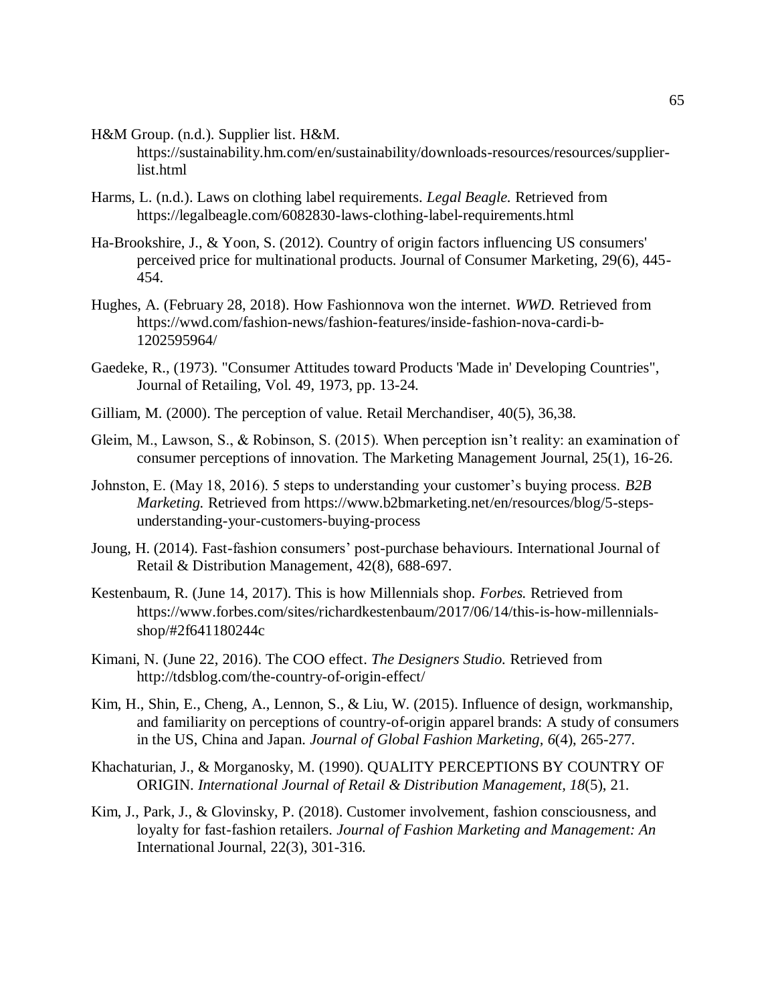H&M Group. (n.d.). Supplier list. H&M. [https://sustainability.hm.com/en/sustainability/downloads-resources/resources/supplier](https://sustainability.hm.com/en/sustainability/downloads-resources/resources/supplier-list.html)[list.html](https://sustainability.hm.com/en/sustainability/downloads-resources/resources/supplier-list.html)

- Harms, L. (n.d.). Laws on clothing label requirements. *Legal Beagle.* Retrieved from <https://legalbeagle.com/6082830-laws-clothing-label-requirements.html>
- Ha-Brookshire, J., & Yoon, S. (2012). Country of origin factors influencing US consumers' perceived price for multinational products. Journal of Consumer Marketing, 29(6), 445- 454.
- Hughes, A. (February 28, 2018). How Fashionnova won the internet. *WWD.* Retrieved from [https://wwd.com/fashion-news/fashion-features/inside-fashion-nova-cardi-b-](https://wwd.com/fashion-news/fashion-features/inside-fashion-nova-cardi-b-1202595964/)[1202595964/](https://wwd.com/fashion-news/fashion-features/inside-fashion-nova-cardi-b-1202595964/)
- Gaedeke, R., (1973). "Consumer Attitudes toward Products 'Made in' Developing Countries", Journal of Retailing, Vol. 49, 1973, pp. 13-24.
- Gilliam, M. (2000). The perception of value. Retail Merchandiser, 40(5), 36,38.
- Gleim, M., Lawson, S., & Robinson, S. (2015). When perception isn't reality: an examination of consumer perceptions of innovation. The Marketing Management Journal, 25(1), 16-26.
- Johnston, E. (May 18, 2016). 5 steps to understanding your customer's buying process. *B2B Marketing.* Retrieved from [https://www.b2bmarketing.net/en/resources/blog/5-steps](https://www.b2bmarketing.net/en/resources/blog/5-steps-understanding-your-customers-buying-process)[understanding-your-customers-buying-process](https://www.b2bmarketing.net/en/resources/blog/5-steps-understanding-your-customers-buying-process)
- Joung, H. (2014). Fast-fashion consumers' post-purchase behaviours. International Journal of Retail & Distribution Management, 42(8), 688-697.
- Kestenbaum, R. (June 14, 2017). This is how Millennials shop. *Forbes.* Retrieved from [https://www.forbes.com/sites/richardkestenbaum/2017/06/14/this-is-how-millennials](https://www.forbes.com/sites/richardkestenbaum/2017/06/14/this-is-how-millennials-shop/#2f641180244c)[shop/#2f641180244c](https://www.forbes.com/sites/richardkestenbaum/2017/06/14/this-is-how-millennials-shop/#2f641180244c)
- Kimani, N. (June 22, 2016). The COO effect. *The Designers Studio.* Retrieved from <http://tdsblog.com/the-country-of-origin-effect/>
- Kim, H., Shin, E., Cheng, A., Lennon, S., & Liu, W. (2015). Influence of design, workmanship, and familiarity on perceptions of country-of-origin apparel brands: A study of consumers in the US, China and Japan. *Journal of Global Fashion Marketing, 6*(4), 265-277.
- Khachaturian, J., & Morganosky, M. (1990). QUALITY PERCEPTIONS BY COUNTRY OF ORIGIN. *International Journal of Retail & Distribution Management, 18*(5), 21.
- Kim, J., Park, J., & Glovinsky, P. (2018). Customer involvement, fashion consciousness, and loyalty for fast-fashion retailers. *Journal of Fashion Marketing and Management: An*  International Journal, 22(3), 301-316.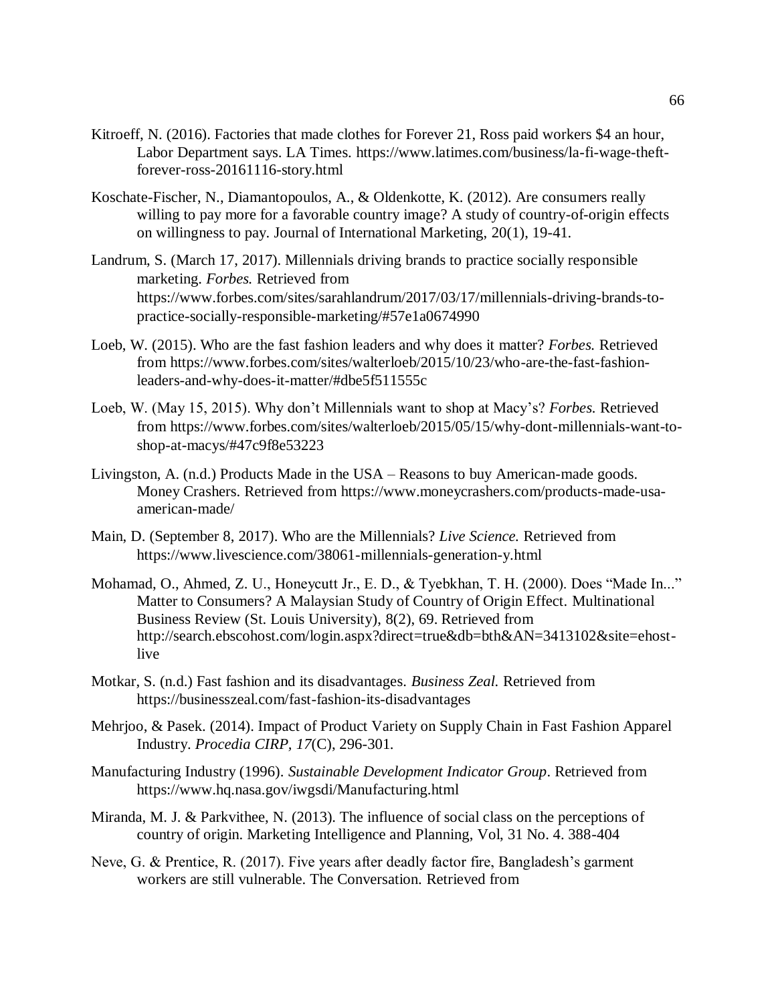- Kitroeff, N. (2016). Factories that made clothes for Forever 21, Ross paid workers \$4 an hour, Labor Department says. LA Times. [https://www.latimes.com/business/la-fi-wage-theft](https://www.latimes.com/business/la-fi-wage-theft-forever-ross-20161116-story.html)[forever-ross-20161116-story.html](https://www.latimes.com/business/la-fi-wage-theft-forever-ross-20161116-story.html)
- Koschate-Fischer, N., Diamantopoulos, A., & Oldenkotte, K. (2012). Are consumers really willing to pay more for a favorable country image? A study of country-of-origin effects on willingness to pay. Journal of International Marketing, 20(1), 19-41.
- Landrum, S. (March 17, 2017). Millennials driving brands to practice socially responsible marketing. *Forbes.* Retrieved from [https://www.forbes.com/sites/sarahlandrum/2017/03/17/millennials-driving-brands-to](https://www.forbes.com/sites/sarahlandrum/2017/03/17/millennials-driving-brands-to-practice-socially-responsible-marketing/#57e1a0674990)[practice-socially-responsible-marketing/#57e1a0674990](https://www.forbes.com/sites/sarahlandrum/2017/03/17/millennials-driving-brands-to-practice-socially-responsible-marketing/#57e1a0674990)
- Loeb, W. (2015). Who are the fast fashion leaders and why does it matter? *Forbes.* Retrieved from [https://www.forbes.com/sites/walterloeb/2015/10/23/who-are-the-fast-fashion](https://www.forbes.com/sites/walterloeb/2015/10/23/who-are-the-fast-fashion-leaders-and-why-does-it-matter/#dbe5f511555c)[leaders-and-why-does-it-matter/#dbe5f511555c](https://www.forbes.com/sites/walterloeb/2015/10/23/who-are-the-fast-fashion-leaders-and-why-does-it-matter/#dbe5f511555c)
- Loeb, W. (May 15, 2015). Why don't Millennials want to shop at Macy's? *Forbes.* Retrieved from [https://www.forbes.com/sites/walterloeb/2015/05/15/why-dont-millennials-want-to](https://www.forbes.com/sites/walterloeb/2015/05/15/why-dont-millennials-want-to-shop-at-macys/#47c9f8e53223)[shop-at-macys/#47c9f8e53223](https://www.forbes.com/sites/walterloeb/2015/05/15/why-dont-millennials-want-to-shop-at-macys/#47c9f8e53223)
- Livingston, A. (n.d.) Products Made in the USA Reasons to buy American-made goods. Money Crashers. Retrieved from [https://www.moneycrashers.com/products-made-usa](https://www.moneycrashers.com/products-made-usa-american-made/)[american-made/](https://www.moneycrashers.com/products-made-usa-american-made/)
- Main, D. (September 8, 2017). Who are the Millennials? *Live Science.* Retrieved from <https://www.livescience.com/38061-millennials-generation-y.html>
- Mohamad, O., Ahmed, Z. U., Honeycutt Jr., E. D., & Tyebkhan, T. H. (2000). Does "Made In..." Matter to Consumers? A Malaysian Study of Country of Origin Effect. Multinational Business Review (St. Louis University), 8(2), 69. Retrieved from [http://search.ebscohost.com/login.aspx?direct=true&db=bth&AN=3413102&site=ehost](http://search.ebscohost.com/login.aspx?direct=true&db=bth&AN=3413102&site=ehost-live)[live](http://search.ebscohost.com/login.aspx?direct=true&db=bth&AN=3413102&site=ehost-live)
- Motkar, S. (n.d.) Fast fashion and its disadvantages. *Business Zeal.* Retrieved from <https://businesszeal.com/fast-fashion-its-disadvantages>
- Mehrjoo, & Pasek. (2014). Impact of Product Variety on Supply Chain in Fast Fashion Apparel Industry. *Procedia CIRP, 17*(C), 296-301.
- Manufacturing Industry (1996). *Sustainable Development Indicator Group*. Retrieved from <https://www.hq.nasa.gov/iwgsdi/Manufacturing.html>
- Miranda, M. J. & Parkvithee, N. (2013). The influence of social class on the perceptions of country of origin. Marketing Intelligence and Planning, Vol, 31 No. 4. 388-404
- Neve, G. & Prentice, R. (2017). Five years after deadly factor fire, Bangladesh's garment workers are still vulnerable. The Conversation. Retrieved from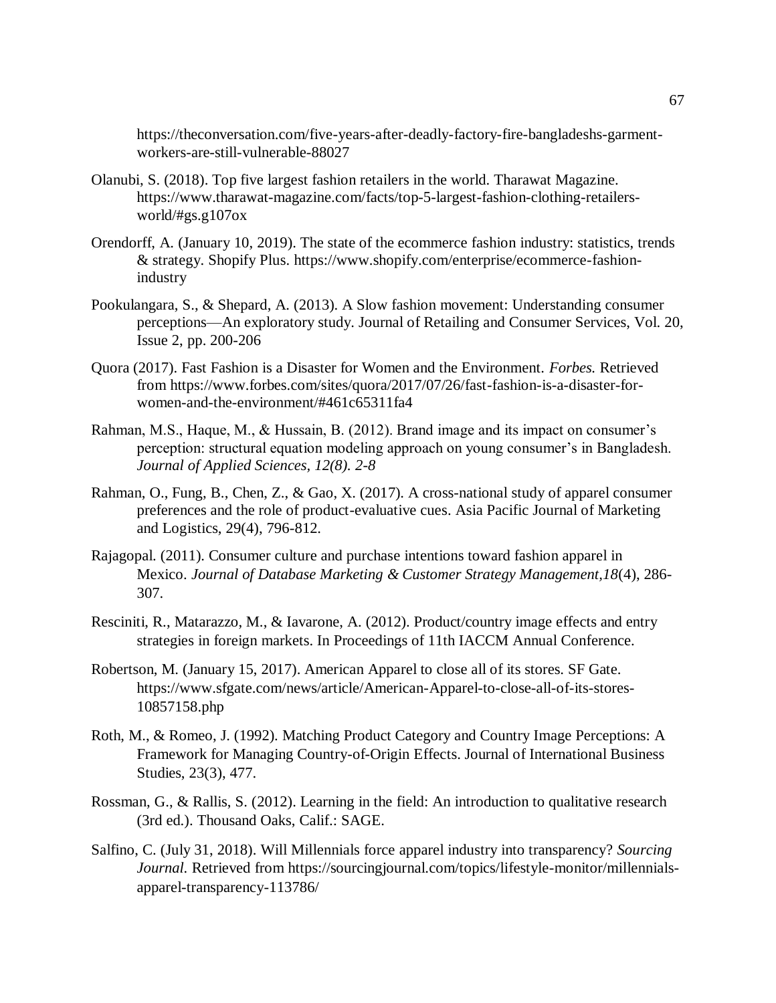[https://theconversation.com/five-years-after-deadly-factory-fire-bangladeshs-garment](https://theconversation.com/five-years-after-deadly-factory-fire-bangladeshs-garment-workers-are-still-vulnerable-88027)[workers-are-still-vulnerable-88027](https://theconversation.com/five-years-after-deadly-factory-fire-bangladeshs-garment-workers-are-still-vulnerable-88027)

- Olanubi, S. (2018). Top five largest fashion retailers in the world. Tharawat Magazine. [https://www.tharawat-magazine.com/facts/top-5-largest-fashion-clothing-retailers](https://www.tharawat-magazine.com/facts/top-5-largest-fashion-clothing-retailers-world/#gs.g107ox)[world/#gs.g107ox](https://www.tharawat-magazine.com/facts/top-5-largest-fashion-clothing-retailers-world/#gs.g107ox)
- Orendorff, A. (January 10, 2019). The state of the ecommerce fashion industry: statistics, trends & strategy. Shopify Plus. [https://www.shopify.com/enterprise/ecommerce-fashion](https://www.shopify.com/enterprise/ecommerce-fashion-industry)[industry](https://www.shopify.com/enterprise/ecommerce-fashion-industry)
- Pookulangara, S., & Shepard, A. (2013). A Slow fashion movement: Understanding consumer perceptions—An exploratory study. Journal of Retailing and Consumer Services, Vol. 20, Issue 2, pp. 200-206
- Quora (2017). Fast Fashion is a Disaster for Women and the Environment. *Forbes.* Retrieved from [https://www.forbes.com/sites/quora/2017/07/26/fast-fashion-is-a-disaster-for](https://www.forbes.com/sites/quora/2017/07/26/fast-fashion-is-a-disaster-for-women-and-the-environment/#461c65311fa4)[women-and-the-environment/#461c65311fa4](https://www.forbes.com/sites/quora/2017/07/26/fast-fashion-is-a-disaster-for-women-and-the-environment/#461c65311fa4)
- Rahman, M.S., Haque, M., & Hussain, B. (2012). Brand image and its impact on consumer's perception: structural equation modeling approach on young consumer's in Bangladesh. *Journal of Applied Sciences, 12(8). 2-8*
- Rahman, O., Fung, B., Chen, Z., & Gao, X. (2017). A cross-national study of apparel consumer preferences and the role of product-evaluative cues. Asia Pacific Journal of Marketing and Logistics, 29(4), 796-812.
- Rajagopal. (2011). Consumer culture and purchase intentions toward fashion apparel in Mexico. *Journal of Database Marketing & Customer Strategy Management,18*(4), 286- 307.
- Resciniti, R., Matarazzo, M., & Iavarone, A. (2012). Product/country image effects and entry strategies in foreign markets. In Proceedings of 11th IACCM Annual Conference.
- Robertson, M. (January 15, 2017). American Apparel to close all of its stores. SF Gate. [https://www.sfgate.com/news/article/American-Apparel-to-close-all-of-its-stores-](https://www.sfgate.com/news/article/American-Apparel-to-close-all-of-its-stores-10857158.php)[10857158.php](https://www.sfgate.com/news/article/American-Apparel-to-close-all-of-its-stores-10857158.php)
- Roth, M., & Romeo, J. (1992). Matching Product Category and Country Image Perceptions: A Framework for Managing Country-of-Origin Effects. Journal of International Business Studies, 23(3), 477.
- Rossman, G., & Rallis, S. (2012). Learning in the field: An introduction to qualitative research (3rd ed.). Thousand Oaks, Calif.: SAGE.
- Salfino, C. (July 31, 2018). Will Millennials force apparel industry into transparency? *Sourcing Journal.* Retrieved from [https://sourcingjournal.com/topics/lifestyle-monitor/millennials](https://sourcingjournal.com/topics/lifestyle-monitor/millennials-apparel-transparency-113786/)[apparel-transparency-113786/](https://sourcingjournal.com/topics/lifestyle-monitor/millennials-apparel-transparency-113786/)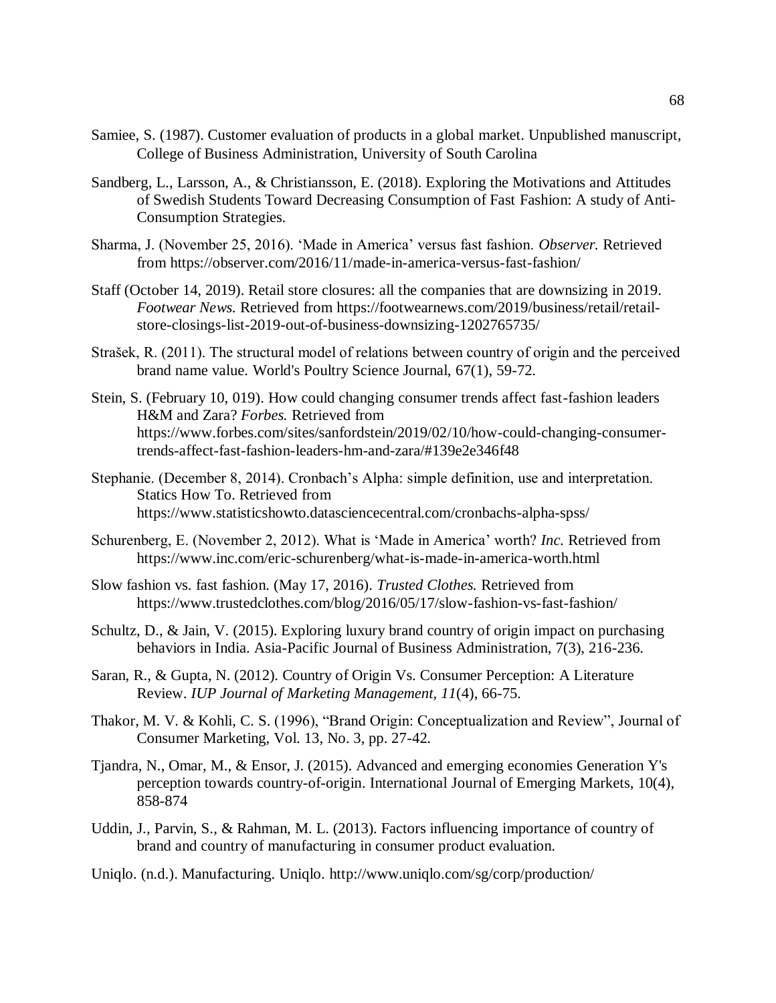- Samiee, S. (1987). Customer evaluation of products in a global market. Unpublished manuscript, College of Business Administration, University of South Carolina
- Sandberg, L., Larsson, A., & Christiansson, E. (2018). Exploring the Motivations and Attitudes of Swedish Students Toward Decreasing Consumption of Fast Fashion: A study of Anti-Consumption Strategies.
- Sharma, J. (November 25, 2016). 'Made in America' versus fast fashion. *Observer.* Retrieved from<https://observer.com/2016/11/made-in-america-versus-fast-fashion/>
- Staff (October 14, 2019). Retail store closures: all the companies that are downsizing in 2019. *Footwear News.* Retrieved from [https://footwearnews.com/2019/business/retail/retail](https://footwearnews.com/2019/business/retail/retail-store-closings-list-2019-out-of-business-downsizing-1202765735/)[store-closings-list-2019-out-of-business-downsizing-1202765735/](https://footwearnews.com/2019/business/retail/retail-store-closings-list-2019-out-of-business-downsizing-1202765735/)
- Strašek, R. (2011). The structural model of relations between country of origin and the perceived brand name value. World's Poultry Science Journal, 67(1), 59-72.
- Stein, S. (February 10, 019). How could changing consumer trends affect fast-fashion leaders H&M and Zara? *Forbes.* Retrieved from [https://www.forbes.com/sites/sanfordstein/2019/02/10/how-could-changing-consumer](https://www.forbes.com/sites/sanfordstein/2019/02/10/how-could-changing-consumer-trends-affect-fast-fashion-leaders-hm-and-zara/#139e2e346f48)[trends-affect-fast-fashion-leaders-hm-and-zara/#139e2e346f48](https://www.forbes.com/sites/sanfordstein/2019/02/10/how-could-changing-consumer-trends-affect-fast-fashion-leaders-hm-and-zara/#139e2e346f48)
- Stephanie. (December 8, 2014). Cronbach's Alpha: simple definition, use and interpretation. Statics How To. Retrieved from <https://www.statisticshowto.datasciencecentral.com/cronbachs-alpha-spss/>
- Schurenberg, E. (November 2, 2012). What is 'Made in America' worth? *Inc.* Retrieved from <https://www.inc.com/eric-schurenberg/what-is-made-in-america-worth.html>
- Slow fashion vs. fast fashion. (May 17, 2016). *Trusted Clothes.* Retrieved from <https://www.trustedclothes.com/blog/2016/05/17/slow-fashion-vs-fast-fashion/>
- Schultz, D., & Jain, V. (2015). Exploring luxury brand country of origin impact on purchasing behaviors in India. Asia-Pacific Journal of Business Administration, 7(3), 216-236.
- Saran, R., & Gupta, N. (2012). Country of Origin Vs. Consumer Perception: A Literature Review. *IUP Journal of Marketing Management, 11*(4), 66-75.
- Thakor, M. V. & Kohli, C. S. (1996), "Brand Origin: Conceptualization and Review", Journal of Consumer Marketing, Vol. 13, No. 3, pp. 27-42.
- Tjandra, N., Omar, M., & Ensor, J. (2015). Advanced and emerging economies Generation Y's perception towards country-of-origin. International Journal of Emerging Markets, 10(4), 858-874
- Uddin, J., Parvin, S., & Rahman, M. L. (2013). Factors influencing importance of country of brand and country of manufacturing in consumer product evaluation.
- Uniqlo. (n.d.). Manufacturing. Uniqlo.<http://www.uniqlo.com/sg/corp/production/>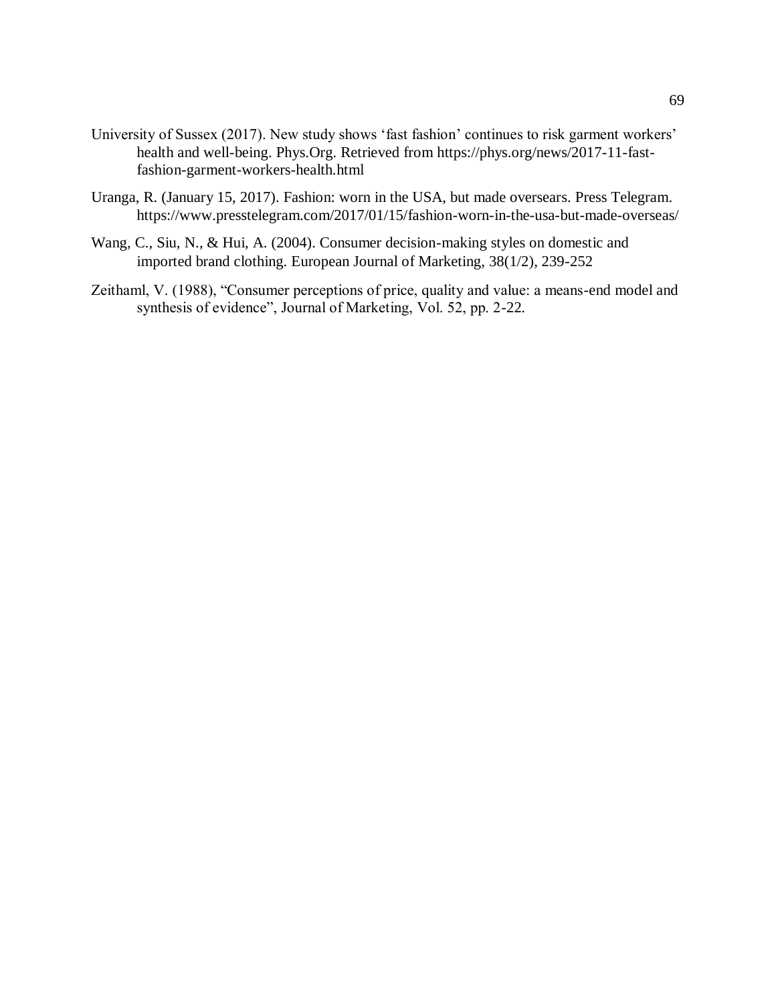- University of Sussex (2017). New study shows 'fast fashion' continues to risk garment workers' health and well-being. Phys.Org. Retrieved from [https://phys.org/news/2017-11-fast](https://phys.org/news/2017-11-fast-fashion-garment-workers-health.html)[fashion-garment-workers-health.html](https://phys.org/news/2017-11-fast-fashion-garment-workers-health.html)
- Uranga, R. (January 15, 2017). Fashion: worn in the USA, but made oversears. Press Telegram. <https://www.presstelegram.com/2017/01/15/fashion-worn-in-the-usa-but-made-overseas/>
- Wang, C., Siu, N., & Hui, A. (2004). Consumer decision-making styles on domestic and imported brand clothing. European Journal of Marketing, 38(1/2), 239-252
- Zeithaml, V. (1988), "Consumer perceptions of price, quality and value: a means-end model and synthesis of evidence", Journal of Marketing, Vol. 52, pp. 2-22.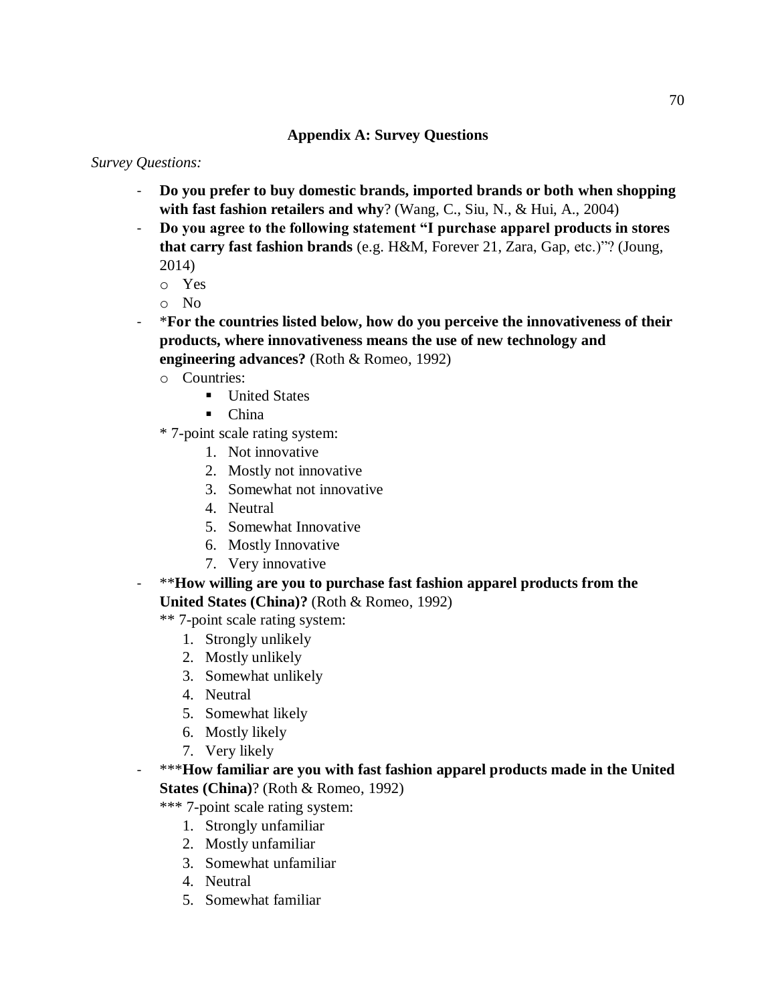#### **Appendix A: Survey Questions**

#### *Survey Questions:*

- **Do you prefer to buy domestic brands, imported brands or both when shopping with fast fashion retailers and why**? (Wang, C., Siu, N., & Hui, A., 2004)
- **Do you agree to the following statement "I purchase apparel products in stores that carry fast fashion brands** (e.g. H&M, Forever 21, Zara, Gap, etc.)"? (Joung, 2014)
	- o Yes
	- o No
- \***For the countries listed below, how do you perceive the innovativeness of their products, where innovativeness means the use of new technology and engineering advances?** (Roth & Romeo, 1992)
	- o Countries:
		- United States
		- China
	- \* 7-point scale rating system:
		- 1. Not innovative
		- 2. Mostly not innovative
		- 3. Somewhat not innovative
		- 4. Neutral
		- 5. Somewhat Innovative
		- 6. Mostly Innovative
		- 7. Very innovative
- \*\***How willing are you to purchase fast fashion apparel products from the United States (China)?** (Roth & Romeo, 1992)

\*\* 7-point scale rating system:

- 1. Strongly unlikely
- 2. Mostly unlikely
- 3. Somewhat unlikely
- 4. Neutral
- 5. Somewhat likely
- 6. Mostly likely
- 7. Very likely
- \*\*\***How familiar are you with fast fashion apparel products made in the United States (China)**? (Roth & Romeo, 1992)
	- \*\*\* 7-point scale rating system:
		- 1. Strongly unfamiliar
		- 2. Mostly unfamiliar
		- 3. Somewhat unfamiliar
		- 4. Neutral
		- 5. Somewhat familiar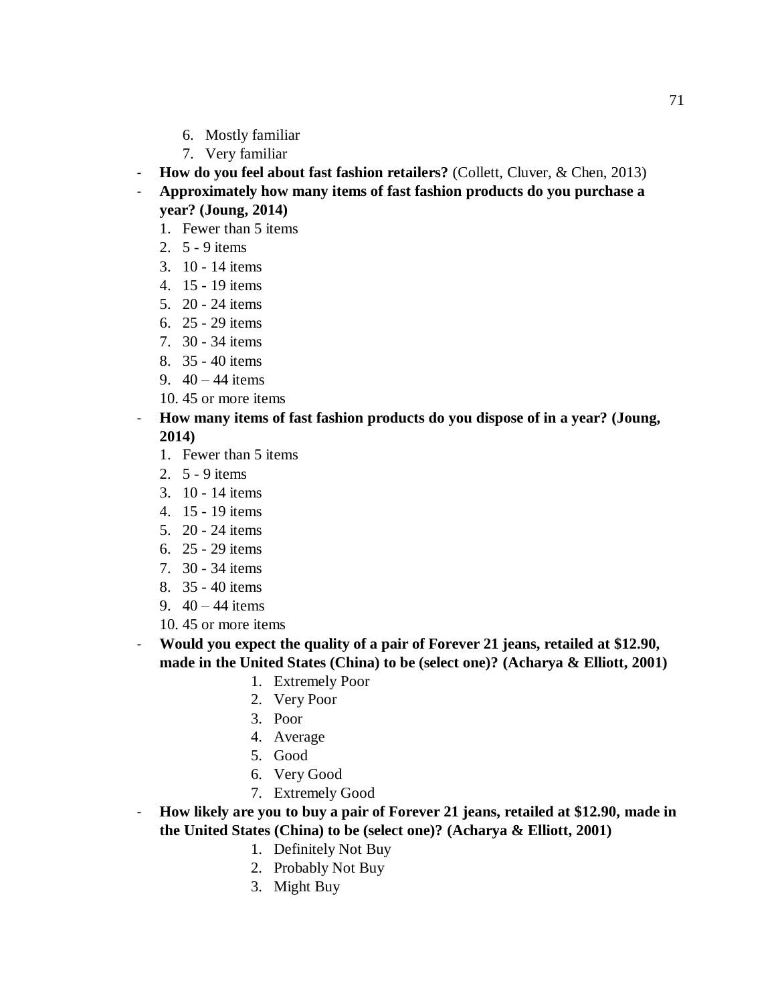- 6. Mostly familiar
- 7. Very familiar
- **How do you feel about fast fashion retailers?** (Collett, Cluver, & Chen, 2013)
- **Approximately how many items of fast fashion products do you purchase a year? (Joung, 2014)**
	- 1. Fewer than 5 items
	- 2. 5 9 items
	- 3. 10 14 items
	- 4. 15 19 items
	- 5. 20 24 items
	- 6. 25 29 items
	- 7. 30 34 items
	- 8. 35 40 items
	- 9.  $40 44$  items
	- 10. 45 or more items
- **How many items of fast fashion products do you dispose of in a year? (Joung, 2014)**
	- 1. Fewer than 5 items
	- 2. 5 9 items
	- 3. 10 14 items
	- 4. 15 19 items
	- 5. 20 24 items
	- 6. 25 29 items
	- 7. 30 34 items
	- 8. 35 40 items
	- 9.  $40 44$  items
	- 10. 45 or more items
- **Would you expect the quality of a pair of Forever 21 jeans, retailed at \$12.90, made in the United States (China) to be (select one)? (Acharya & Elliott, 2001)**
	- 1. Extremely Poor
	- 2. Very Poor
	- 3. Poor
	- 4. Average
	- 5. Good
	- 6. Very Good
	- 7. Extremely Good
- **How likely are you to buy a pair of Forever 21 jeans, retailed at \$12.90, made in the United States (China) to be (select one)? (Acharya & Elliott, 2001)**
	- 1. Definitely Not Buy
	- 2. Probably Not Buy
	- 3. Might Buy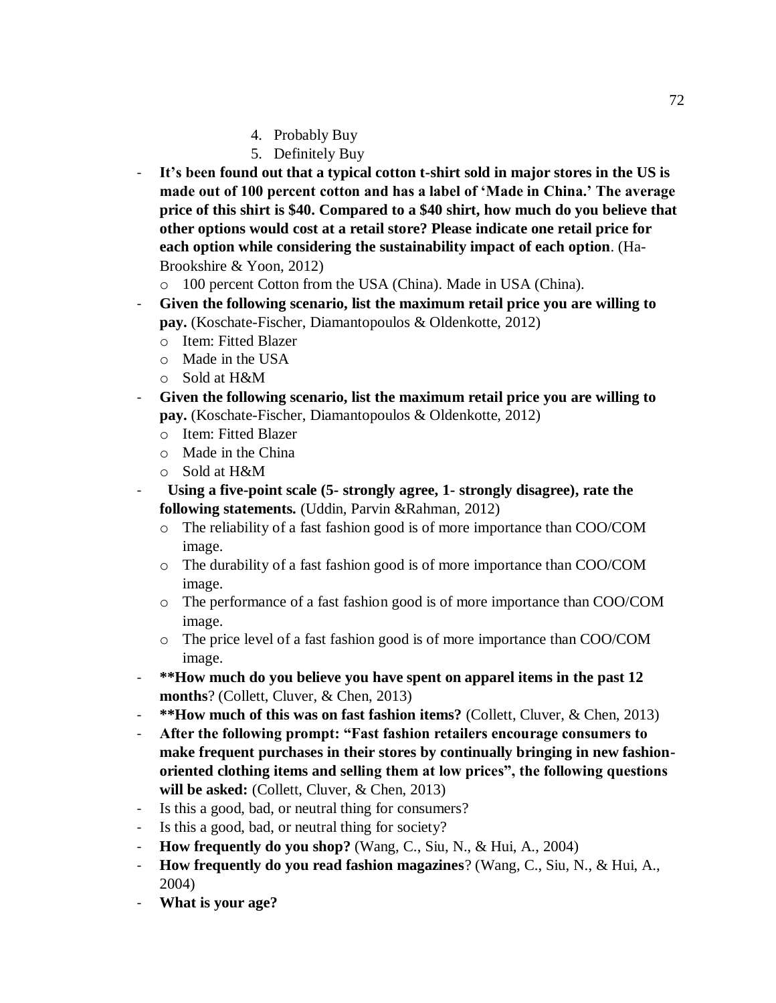- 4. Probably Buy
- 5. Definitely Buy
- **It's been found out that a typical cotton t-shirt sold in major stores in the US is made out of 100 percent cotton and has a label of 'Made in China.' The average price of this shirt is \$40. Compared to a \$40 shirt, how much do you believe that other options would cost at a retail store? Please indicate one retail price for each option while considering the sustainability impact of each option**. (Ha-Brookshire & Yoon, 2012)
	- o 100 percent Cotton from the USA (China). Made in USA (China).
- **Given the following scenario, list the maximum retail price you are willing to pay.** (Koschate-Fischer, Diamantopoulos & Oldenkotte, 2012)
	- o Item: Fitted Blazer
	- o Made in the USA
	- o Sold at H&M
- **Given the following scenario, list the maximum retail price you are willing to pay.** (Koschate-Fischer, Diamantopoulos & Oldenkotte, 2012)
	- o Item: Fitted Blazer
	- o Made in the China
	- o Sold at H&M
- - **Using a five-point scale (5- strongly agree, 1- strongly disagree), rate the following statements.** (Uddin, Parvin &Rahman, 2012)
	- o The reliability of a fast fashion good is of more importance than COO/COM image.
	- o The durability of a fast fashion good is of more importance than COO/COM image.
	- o The performance of a fast fashion good is of more importance than COO/COM image.
	- o The price level of a fast fashion good is of more importance than COO/COM image.
- **\*\*How much do you believe you have spent on apparel items in the past 12 months**? (Collett, Cluver, & Chen, 2013)
- **\*\*How much of this was on fast fashion items?** (Collett, Cluver, & Chen, 2013)
- **After the following prompt: "Fast fashion retailers encourage consumers to make frequent purchases in their stores by continually bringing in new fashionoriented clothing items and selling them at low prices", the following questions will be asked:** (Collett, Cluver, & Chen, 2013)
- Is this a good, bad, or neutral thing for consumers?
- Is this a good, bad, or neutral thing for society?
- **How frequently do you shop?** (Wang, C., Siu, N., & Hui, A., 2004)
- **How frequently do you read fashion magazines**? (Wang, C., Siu, N., & Hui, A., 2004)
- **What is your age?**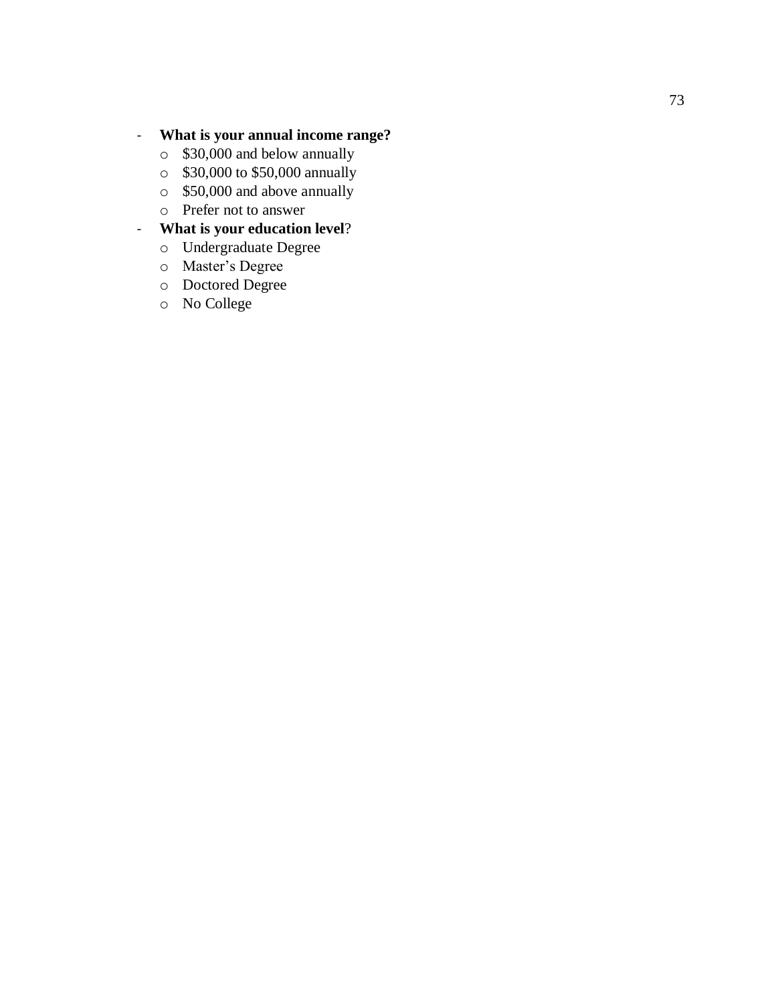- **What is your annual income range?**
	- o \$30,000 and below annually
	- o \$30,000 to \$50,000 annually
	- o \$50,000 and above annually
	- o Prefer not to answer

# - **What is your education level**?

- o Undergraduate Degree
- o Master's Degree
- o Doctored Degree
- o No College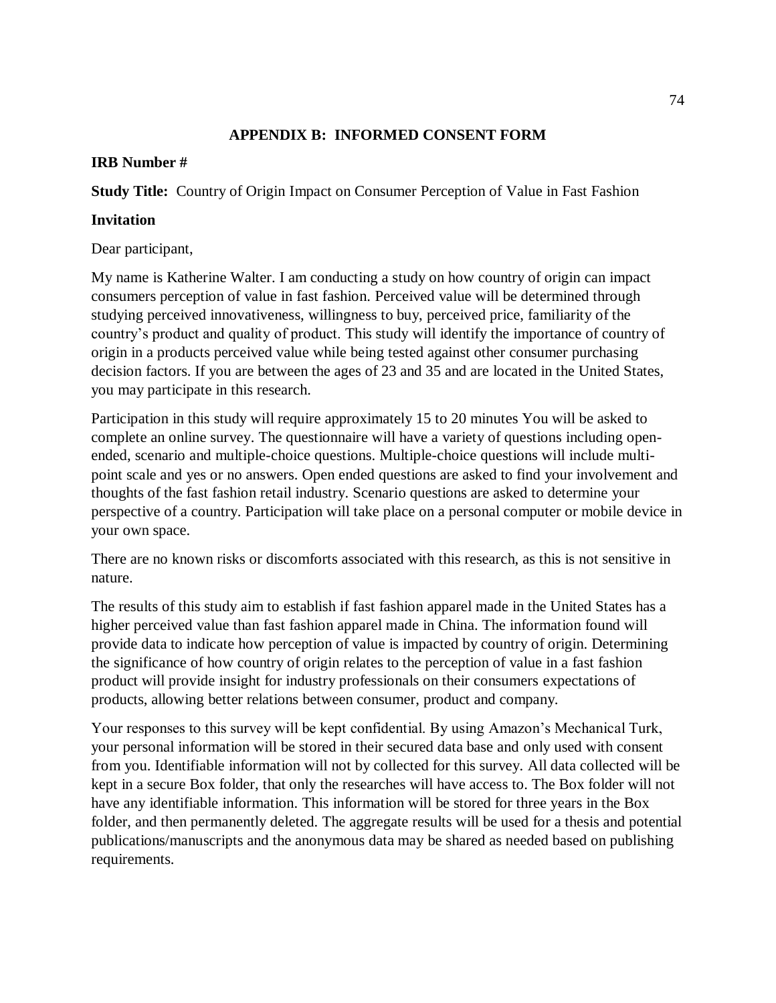## **APPENDIX B: INFORMED CONSENT FORM**

#### **IRB Number #**

**Study Title:** Country of Origin Impact on Consumer Perception of Value in Fast Fashion

## **Invitation**

#### Dear participant,

My name is Katherine Walter. I am conducting a study on how country of origin can impact consumers perception of value in fast fashion. Perceived value will be determined through studying perceived innovativeness, willingness to buy, perceived price, familiarity of the country's product and quality of product. This study will identify the importance of country of origin in a products perceived value while being tested against other consumer purchasing decision factors. If you are between the ages of 23 and 35 and are located in the United States, you may participate in this research.

Participation in this study will require approximately 15 to 20 minutes You will be asked to complete an online survey. The questionnaire will have a variety of questions including openended, scenario and multiple-choice questions. Multiple-choice questions will include multipoint scale and yes or no answers. Open ended questions are asked to find your involvement and thoughts of the fast fashion retail industry. Scenario questions are asked to determine your perspective of a country. Participation will take place on a personal computer or mobile device in your own space.

There are no known risks or discomforts associated with this research, as this is not sensitive in nature.

The results of this study aim to establish if fast fashion apparel made in the United States has a higher perceived value than fast fashion apparel made in China. The information found will provide data to indicate how perception of value is impacted by country of origin. Determining the significance of how country of origin relates to the perception of value in a fast fashion product will provide insight for industry professionals on their consumers expectations of products, allowing better relations between consumer, product and company.

Your responses to this survey will be kept confidential. By using Amazon's Mechanical Turk, your personal information will be stored in their secured data base and only used with consent from you. Identifiable information will not by collected for this survey. All data collected will be kept in a secure Box folder, that only the researches will have access to. The Box folder will not have any identifiable information. This information will be stored for three years in the Box folder, and then permanently deleted. The aggregate results will be used for a thesis and potential publications/manuscripts and the anonymous data may be shared as needed based on publishing requirements.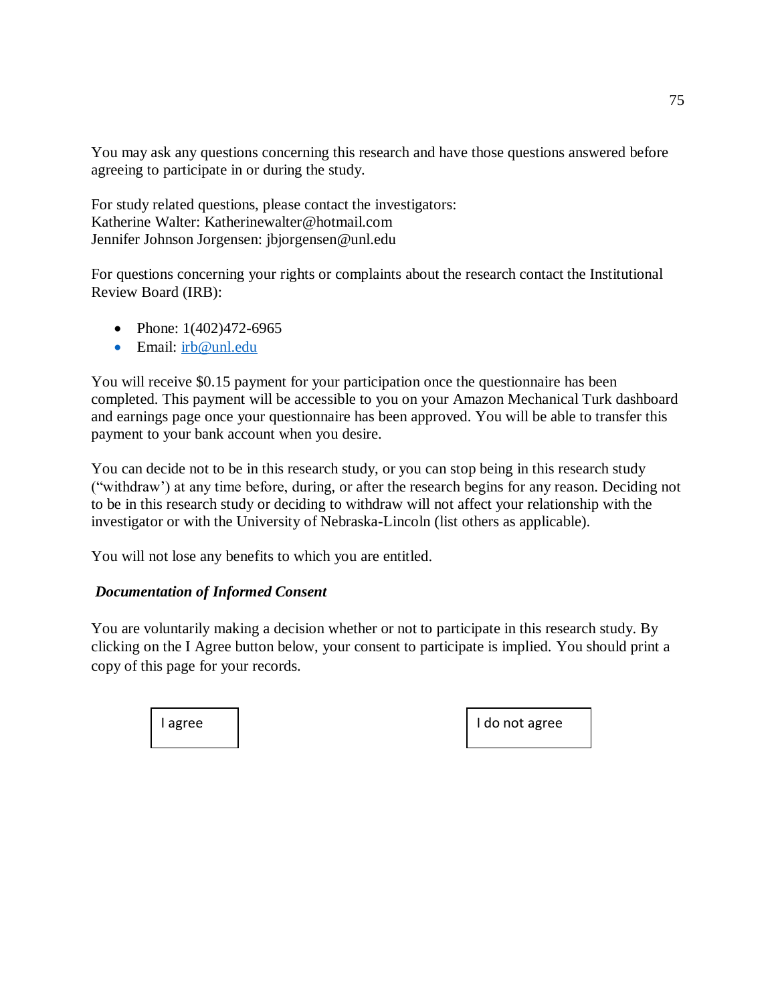You may ask any questions concerning this research and have those questions answered before agreeing to participate in or during the study.

For study related questions, please contact the investigators: Katherine Walter: [Katherinewalter@hotmail.com](mailto:Katherinewalter@hotmail.com) Jennifer Johnson Jorgensen: jbjorgensen@unl.edu

For questions concerning your rights or complaints about the research contact the Institutional Review Board (IRB):

- Phone: 1(402)472-6965
- Email: [irb@unl.edu](mailto:irb@unl.edu)

You will receive \$0.15 payment for your participation once the questionnaire has been completed. This payment will be accessible to you on your Amazon Mechanical Turk dashboard and earnings page once your questionnaire has been approved. You will be able to transfer this payment to your bank account when you desire.

You can decide not to be in this research study, or you can stop being in this research study ("withdraw') at any time before, during, or after the research begins for any reason. Deciding not to be in this research study or deciding to withdraw will not affect your relationship with the investigator or with the University of Nebraska-Lincoln (list others as applicable).

You will not lose any benefits to which you are entitled.

# *Documentation of Informed Consent*

You are voluntarily making a decision whether or not to participate in this research study. By clicking on the I Agree button below, your consent to participate is implied. You should print a copy of this page for your records.

I agree I do not agree